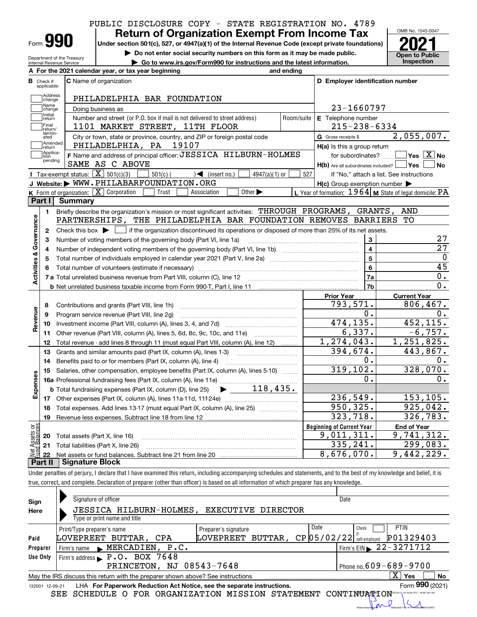#### **Return of Organization Exempt From Income Tax** PUBLIC DISCLOSURE COPY - STATE REGISTRATION NO. 4789

Form**990**

Department of the Treasury Internal Revenue Service

## Under section 501(c), 527, or 4947(a)(1) of the Internal Revenue Code (except private foundations) **2021**

**| Do not enter social security numbers on this form as it may be made public.**

**| Go to www.irs.gov/Form990 for instructions and the latest information. Inspection**



|                         |                         | A For the 2021 calendar year, or tax year beginning                                                                                                   | and ending              |                                                     |                                                           |
|-------------------------|-------------------------|-------------------------------------------------------------------------------------------------------------------------------------------------------|-------------------------|-----------------------------------------------------|-----------------------------------------------------------|
| В                       | Check if<br>applicable: | <b>C</b> Name of organization                                                                                                                         |                         | D Employer identification number                    |                                                           |
|                         | Address<br>change       | PHILADELPHIA BAR FOUNDATION                                                                                                                           |                         |                                                     |                                                           |
|                         | Name<br>change          | Doing business as                                                                                                                                     | 23-1660797              |                                                     |                                                           |
|                         | Initial<br>return       | Number and street (or P.O. box if mail is not delivered to street address)                                                                            | E Telephone number      |                                                     |                                                           |
|                         | Final<br>return/        | 1101 MARKET STREET, 11TH FLOOR                                                                                                                        | Room/suite              | $215 - 238 - 6334$                                  |                                                           |
|                         | termin-<br>ated         | City or town, state or province, country, and ZIP or foreign postal code                                                                              |                         | G Gross receipts \$                                 | 2,055,007.                                                |
|                         | Amended<br>return       | PHILADELPHIA, PA 19107                                                                                                                                |                         | H(a) Is this a group return                         |                                                           |
|                         | Applica-<br>tion        | F Name and address of principal officer: JESSICA HILBURN-HOLMES                                                                                       |                         | for subordinates?                                   | $\sqrt{\mathsf{Yes}\mathord{\;\mathbb{X}}\,}$ No          |
|                         | pending                 | SAME AS C ABOVE                                                                                                                                       |                         | $H(b)$ Are all subordinates included? $\Box$ Yes    | No                                                        |
|                         |                         | <b>I</b> Tax-exempt status: $\boxed{\mathbf{X}}$ 501(c)(3) $\boxed{\mathbf{X}}$<br>$\sqrt{\frac{1}{1}}$ (insert no.)<br>$501(c)$ (<br>$4947(a)(1)$ or | 527                     |                                                     | If "No," attach a list. See instructions                  |
|                         |                         | J Website: WWW.PHILABARFOUNDATION.ORG                                                                                                                 |                         | $H(c)$ Group exemption number $\blacktriangleright$ |                                                           |
|                         |                         | K Form of organization: $X$ Corporation<br>Trust<br>Other $\blacktriangleright$<br>Association                                                        |                         |                                                     | L Year of formation: $1964$ M State of legal domicile: PA |
|                         | Part I                  | <b>Summary</b>                                                                                                                                        |                         |                                                     |                                                           |
|                         | 1.                      | Briefly describe the organization's mission or most significant activities: THROUGH PROGRAMS, GRANTS,                                                 |                         |                                                     | AND                                                       |
|                         |                         | THE PHILADELPHIA BAR FOUNDATION REMOVES BARRIERS TO<br>PARTNERSHIPS,                                                                                  |                         |                                                     |                                                           |
|                         | 2                       | Check this box $\blacktriangleright$ $\Box$ if the organization discontinued its operations or disposed of more than 25% of its net assets.           |                         |                                                     |                                                           |
| Activities & Governance | 3                       | Number of voting members of the governing body (Part VI, line 1a)                                                                                     |                         | 3                                                   | 27                                                        |
|                         |                         |                                                                                                                                                       | $\overline{\mathbf{4}}$ | $\overline{27}$                                     |                                                           |
|                         | 5                       |                                                                                                                                                       | 5                       | 0                                                   |                                                           |
|                         |                         |                                                                                                                                                       |                         | 6                                                   | 45                                                        |
|                         |                         |                                                                                                                                                       |                         | 7a                                                  | $0$ .                                                     |
|                         |                         |                                                                                                                                                       |                         | 7b                                                  | 0.                                                        |
|                         |                         |                                                                                                                                                       |                         | <b>Prior Year</b>                                   | <b>Current Year</b>                                       |
|                         | 8                       | Contributions and grants (Part VIII, line 1h)                                                                                                         |                         | 793,571.                                            | 806,467.                                                  |
| Revenue                 | 9                       | Program service revenue (Part VIII, line 2g)                                                                                                          |                         | 0.                                                  | 0.                                                        |
|                         | 10                      |                                                                                                                                                       |                         | 474, 135.                                           | 452,115.                                                  |
|                         | 11                      | Other revenue (Part VIII, column (A), lines 5, 6d, 8c, 9c, 10c, and 11e)                                                                              |                         | 6,337.                                              | $-6, 757.$                                                |
|                         | 12                      | Total revenue - add lines 8 through 11 (must equal Part VIII, column (A), line 12)                                                                    |                         | 1,274,043.                                          | $\overline{1}$ , 251, 825.                                |
|                         | 13                      | Grants and similar amounts paid (Part IX, column (A), lines 1-3)                                                                                      |                         | 394,674.                                            | 443,867.                                                  |
|                         | 14                      | Benefits paid to or for members (Part IX, column (A), line 4)                                                                                         |                         | ο.                                                  | о.                                                        |
|                         | 15                      | Salaries, other compensation, employee benefits (Part IX, column (A), lines 5-10)                                                                     |                         | 319, 102.                                           | 328,070.                                                  |
|                         |                         |                                                                                                                                                       |                         | 0.                                                  | О.                                                        |
| Expenses                |                         | 118,435.<br><b>b</b> Total fundraising expenses (Part IX, column (D), line 25)<br>$\blacktriangleright$ and $\blacktriangleright$                     |                         |                                                     |                                                           |
|                         |                         |                                                                                                                                                       |                         | 236,549.                                            | 153,105.                                                  |
|                         | 18                      | Total expenses. Add lines 13-17 (must equal Part IX, column (A), line 25)                                                                             |                         | 950, 325.                                           | 925,042.                                                  |
|                         | 19                      |                                                                                                                                                       |                         | 323,718.                                            | 326,783.                                                  |
| ăğ                      |                         |                                                                                                                                                       |                         | <b>Beginning of Current Year</b>                    | <b>End of Year</b>                                        |
| ċ.                      | 20                      | Total assets (Part X, line 16)                                                                                                                        |                         | 9,011,311.                                          | 9,741,312.                                                |
|                         | 21                      | Total liabilities (Part X, line 26)                                                                                                                   |                         | 335,241.                                            | 299,083.                                                  |
|                         | 22                      |                                                                                                                                                       |                         | 8,676,070.                                          | 9,442,229.                                                |
|                         | Part II                 | <b>Signature Block</b>                                                                                                                                |                         |                                                     |                                                           |

Under penalties of perjury, I declare that I have examined this return, including accompanying schedules and statements, and to the best of my knowledge and belief, it is true, correct, and complete. Declaration of preparer (other than officer) is based on all information of which preparer has any knowledge.

| Sign<br>Here       | Signature of officer<br>JESSICA HILBURN-HOLMES, EXECUTIVE DIRECTOR<br>Type or print name and title |                      | Date                                      |           |
|--------------------|----------------------------------------------------------------------------------------------------|----------------------|-------------------------------------------|-----------|
|                    | Print/Type preparer's name                                                                         | Preparer's signature | Date<br><b>PTIN</b><br>Check              |           |
| Paid               | LOVEPREET BUTTAR, CPA                                                                              | LOVEPREET BUTTAR,    | CP 05/02/22<br>P01329403<br>self-employed |           |
| Preparer           | MERCADIEN, P.C.<br>Firm's name<br>$\blacksquare$                                                   |                      | Firm's EIN $\triangleright$ 22-3271712    |           |
| Use Only           | Firm's address P.O. BOX 7648                                                                       |                      |                                           |           |
|                    | PRINCETON, NJ 08543-7648                                                                           |                      | Phone no. $609 - 689 - 9700$              |           |
|                    | May the IRS discuss this return with the preparer shown above? See instructions                    |                      | $\mathbf{X}$<br>Yes                       | <b>No</b> |
| 12-09-21<br>132001 | LHA For Paperwork Reduction Act Notice, see the separate instructions.                             |                      | Form 990 (2021)                           |           |
|                    | SCHEDULE O FOR ORGANIZATION MISSION STATEMENT CONTINUATION<br>SEE                                  |                      | 18:19:28 UTC - 76.99.104.19               |           |
|                    |                                                                                                    |                      |                                           |           |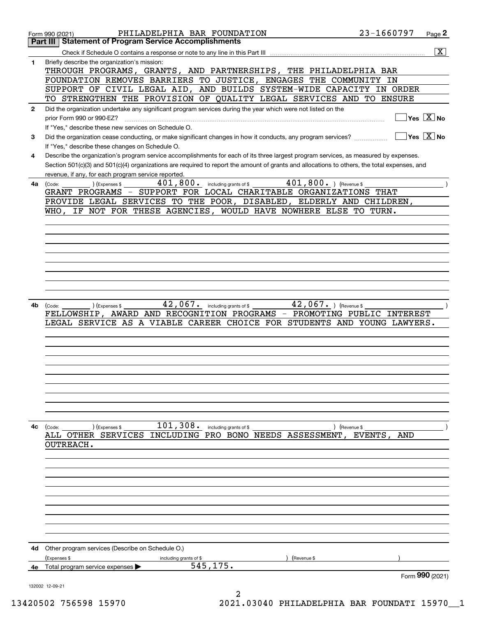|              | PHILADELPHIA BAR FOUNDATION<br>Form 990 (2021)                                                                                               | 23-1660797                  | Page 2                  |
|--------------|----------------------------------------------------------------------------------------------------------------------------------------------|-----------------------------|-------------------------|
|              | <b>Statement of Program Service Accomplishments</b><br>Part III                                                                              |                             |                         |
|              |                                                                                                                                              |                             | $\overline{\mathbf{x}}$ |
| 1            | Briefly describe the organization's mission:                                                                                                 |                             |                         |
|              | THROUGH PROGRAMS, GRANTS, AND PARTNERSHIPS, THE PHILADELPHIA BAR<br>FOUNDATION REMOVES BARRIERS TO JUSTICE, ENGAGES THE COMMUNITY IN         |                             |                         |
|              | SUPPORT OF CIVIL LEGAL AID, AND BUILDS SYSTEM-WIDE CAPACITY IN ORDER                                                                         |                             |                         |
|              | TO STRENGTHEN THE PROVISION OF QUALITY LEGAL SERVICES AND TO ENSURE                                                                          |                             |                         |
| $\mathbf{2}$ | Did the organization undertake any significant program services during the year which were not listed on the                                 |                             |                         |
|              | prior Form 990 or 990-EZ?                                                                                                                    |                             | $Yes \ \boxed{X}$ No    |
|              | If "Yes," describe these new services on Schedule O.                                                                                         |                             |                         |
| 3            | Did the organization cease conducting, or make significant changes in how it conducts, any program services?                                 |                             | $Yes \ \boxed{X}$ No    |
|              | If "Yes," describe these changes on Schedule O.                                                                                              |                             |                         |
| 4            | Describe the organization's program service accomplishments for each of its three largest program services, as measured by expenses.         |                             |                         |
|              | Section 501(c)(3) and 501(c)(4) organizations are required to report the amount of grants and allocations to others, the total expenses, and |                             |                         |
|              | revenue, if any, for each program service reported.                                                                                          |                             |                         |
| 4a l         | $\overline{401,800}$ . ) (Revenue \$<br>401,800.<br>including grants of \$<br>) (Expenses \$<br>(Code:                                       |                             |                         |
|              | GRANT PROGRAMS - SUPPORT FOR LOCAL CHARITABLE ORGANIZATIONS THAT                                                                             |                             |                         |
|              | PROVIDE LEGAL SERVICES TO THE POOR, DISABLED, ELDERLY AND CHILDREN,                                                                          |                             |                         |
|              | WHO, IF NOT FOR THESE AGENCIES, WOULD HAVE NOWHERE ELSE TO TURN.                                                                             |                             |                         |
|              |                                                                                                                                              |                             |                         |
|              |                                                                                                                                              |                             |                         |
|              |                                                                                                                                              |                             |                         |
|              |                                                                                                                                              |                             |                         |
|              |                                                                                                                                              |                             |                         |
|              |                                                                                                                                              |                             |                         |
|              |                                                                                                                                              |                             |                         |
|              |                                                                                                                                              |                             |                         |
| 4b           | 42,067.<br>$\overline{42}$ , 067. ) (Revenue \$<br>including grants of \$<br>) (Expenses \$<br>(Code:                                        |                             |                         |
|              | FELLOWSHIP, AWARD AND RECOGNITION PROGRAMS                                                                                                   | - PROMOTING PUBLIC INTEREST |                         |
|              | LEGAL SERVICE AS A VIABLE CAREER CHOICE FOR STUDENTS AND YOUNG LAWYERS.                                                                      |                             |                         |
|              |                                                                                                                                              |                             |                         |
|              |                                                                                                                                              |                             |                         |
|              |                                                                                                                                              |                             |                         |
|              |                                                                                                                                              |                             |                         |
|              |                                                                                                                                              |                             |                         |
|              |                                                                                                                                              |                             |                         |
|              |                                                                                                                                              |                             |                         |
|              |                                                                                                                                              |                             |                         |
|              |                                                                                                                                              |                             |                         |
|              |                                                                                                                                              |                             |                         |
| 4с           | $101, 308$ . including grants of \$<br>(Expenses \$<br>(Code:                                                                                | ) (Revenue \$               |                         |
|              | ALL OTHER SERVICES INCLUDING PRO BONO NEEDS ASSESSMENT, EVENTS, AND                                                                          |                             |                         |
|              | <b>OUTREACH.</b>                                                                                                                             |                             |                         |
|              |                                                                                                                                              |                             |                         |
|              |                                                                                                                                              |                             |                         |
|              |                                                                                                                                              |                             |                         |
|              |                                                                                                                                              |                             |                         |
|              |                                                                                                                                              |                             |                         |
|              |                                                                                                                                              |                             |                         |
|              |                                                                                                                                              |                             |                         |
|              |                                                                                                                                              |                             |                         |
|              |                                                                                                                                              |                             |                         |
|              |                                                                                                                                              |                             |                         |
| 4d           | Other program services (Describe on Schedule O.)<br>(Expenses \$                                                                             |                             |                         |
| 4e           | (Revenue \$<br>including grants of \$<br>545,175.<br>Total program service expenses                                                          |                             |                         |
|              |                                                                                                                                              |                             | Form 990 (2021)         |
|              | 132002 12-09-21                                                                                                                              |                             |                         |
|              |                                                                                                                                              |                             |                         |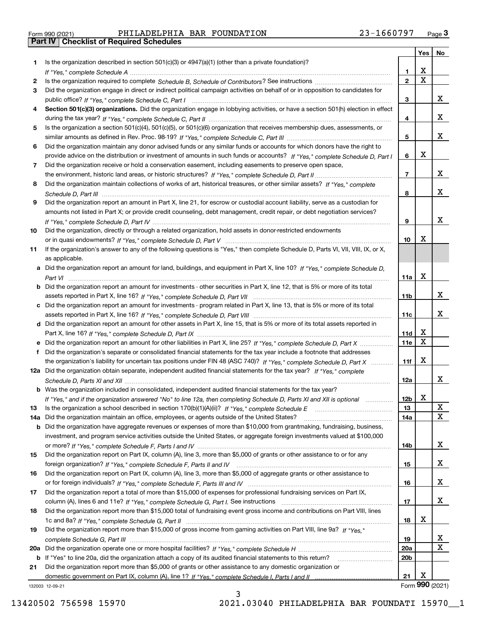|  | Form 990 (2021) |
|--|-----------------|

Form 990 (2021) PHILADELPHIA BAR FOUNDATION 23-1660797 <sub>Page</sub> 3<br>**Part IV | Checklist of Required Schedules** 

|     |                                                                                                                                                     |                 | Yes         | No              |
|-----|-----------------------------------------------------------------------------------------------------------------------------------------------------|-----------------|-------------|-----------------|
| 1.  | Is the organization described in section $501(c)(3)$ or $4947(a)(1)$ (other than a private foundation)?                                             |                 |             |                 |
|     |                                                                                                                                                     | 1.              | X           |                 |
| 2   |                                                                                                                                                     | $\overline{2}$  | $\mathbf X$ |                 |
| 3   | Did the organization engage in direct or indirect political campaign activities on behalf of or in opposition to candidates for                     |                 |             |                 |
|     |                                                                                                                                                     | 3               |             | x               |
| 4   | Section 501(c)(3) organizations. Did the organization engage in lobbying activities, or have a section 501(h) election in effect                    |                 |             |                 |
|     |                                                                                                                                                     | 4               |             | x               |
| 5   | Is the organization a section 501(c)(4), 501(c)(5), or 501(c)(6) organization that receives membership dues, assessments, or                        |                 |             |                 |
|     |                                                                                                                                                     | 5               |             | x               |
| 6   | Did the organization maintain any donor advised funds or any similar funds or accounts for which donors have the right to                           |                 |             |                 |
|     | provide advice on the distribution or investment of amounts in such funds or accounts? If "Yes," complete Schedule D, Part I                        | 6               | X           |                 |
| 7   | Did the organization receive or hold a conservation easement, including easements to preserve open space,                                           |                 |             |                 |
|     |                                                                                                                                                     | $\overline{7}$  |             | x               |
| 8   | Did the organization maintain collections of works of art, historical treasures, or other similar assets? If "Yes," complete                        |                 |             |                 |
|     |                                                                                                                                                     | 8               |             | x               |
| 9   | Did the organization report an amount in Part X, line 21, for escrow or custodial account liability, serve as a custodian for                       |                 |             |                 |
|     | amounts not listed in Part X; or provide credit counseling, debt management, credit repair, or debt negotiation services?                           |                 |             | x               |
|     |                                                                                                                                                     | 9               |             |                 |
| 10  | Did the organization, directly or through a related organization, hold assets in donor-restricted endowments                                        | 10              | X           |                 |
| 11  |                                                                                                                                                     |                 |             |                 |
|     | If the organization's answer to any of the following questions is "Yes," then complete Schedule D, Parts VI, VII, VIII, IX, or X,<br>as applicable. |                 |             |                 |
|     | a Did the organization report an amount for land, buildings, and equipment in Part X, line 10? If "Yes," complete Schedule D,                       |                 |             |                 |
|     |                                                                                                                                                     | 11a             | X           |                 |
|     | b Did the organization report an amount for investments - other securities in Part X, line 12, that is 5% or more of its total                      |                 |             |                 |
|     |                                                                                                                                                     | 11 <sub>b</sub> |             | x               |
|     | c Did the organization report an amount for investments - program related in Part X, line 13, that is 5% or more of its total                       |                 |             |                 |
|     |                                                                                                                                                     | 11c             |             | x               |
|     | d Did the organization report an amount for other assets in Part X, line 15, that is 5% or more of its total assets reported in                     |                 |             |                 |
|     |                                                                                                                                                     | 11d             | х           |                 |
|     | e Did the organization report an amount for other liabilities in Part X, line 25? If "Yes," complete Schedule D, Part X                             | 11e             | $\mathbf X$ |                 |
|     | Did the organization's separate or consolidated financial statements for the tax year include a footnote that addresses                             |                 |             |                 |
|     | the organization's liability for uncertain tax positions under FIN 48 (ASC 740)? If "Yes," complete Schedule D, Part X                              | 11f             | X           |                 |
|     | 12a Did the organization obtain separate, independent audited financial statements for the tax year? If "Yes," complete                             |                 |             |                 |
|     |                                                                                                                                                     | 12a             |             | x               |
|     | <b>b</b> Was the organization included in consolidated, independent audited financial statements for the tax year?                                  |                 |             |                 |
|     | If "Yes," and if the organization answered "No" to line 12a, then completing Schedule D, Parts XI and XII is optional metallion                     | 12b             | X           |                 |
| 13  |                                                                                                                                                     | 13              |             | X               |
| 14a | Did the organization maintain an office, employees, or agents outside of the United States?                                                         | 14a             |             | X               |
|     | <b>b</b> Did the organization have aggregate revenues or expenses of more than \$10,000 from grantmaking, fundraising, business,                    |                 |             |                 |
|     | investment, and program service activities outside the United States, or aggregate foreign investments valued at \$100,000                          |                 |             |                 |
|     |                                                                                                                                                     | 14b             |             | x               |
| 15  | Did the organization report on Part IX, column (A), line 3, more than \$5,000 of grants or other assistance to or for any                           |                 |             |                 |
|     |                                                                                                                                                     | 15              |             | x               |
| 16  | Did the organization report on Part IX, column (A), line 3, more than \$5,000 of aggregate grants or other assistance to                            |                 |             |                 |
|     |                                                                                                                                                     | 16              |             | x               |
| 17  | Did the organization report a total of more than \$15,000 of expenses for professional fundraising services on Part IX,                             |                 |             |                 |
|     |                                                                                                                                                     | 17              |             | x               |
| 18  | Did the organization report more than \$15,000 total of fundraising event gross income and contributions on Part VIII, lines                        |                 |             |                 |
|     |                                                                                                                                                     | 18              | х           |                 |
| 19  | Did the organization report more than \$15,000 of gross income from gaming activities on Part VIII, line 9a? If "Yes."                              |                 |             |                 |
|     |                                                                                                                                                     | 19              |             | X.              |
|     |                                                                                                                                                     | 20a             |             | х               |
|     | b If "Yes" to line 20a, did the organization attach a copy of its audited financial statements to this return?                                      | 20 <sub>b</sub> |             |                 |
| 21  | Did the organization report more than \$5,000 of grants or other assistance to any domestic organization or                                         |                 |             |                 |
|     |                                                                                                                                                     | 21              | х           |                 |
|     | 132003 12-09-21                                                                                                                                     |                 |             | Form 990 (2021) |

132003 12-09-21

3 13420502 756598 15970 2021.03040 PHILADELPHIA BAR FOUNDATI 15970\_\_1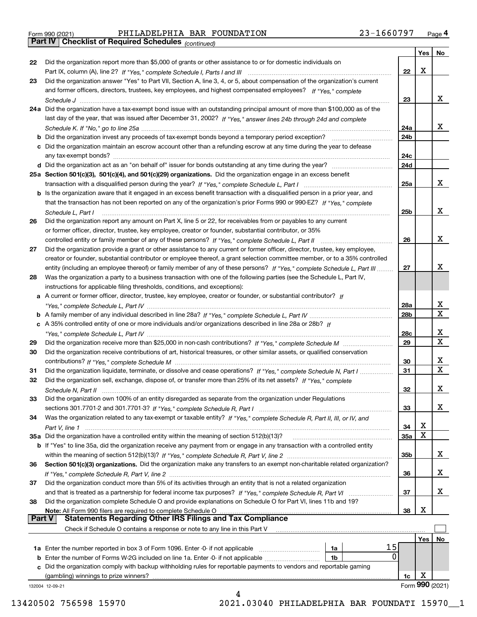|  | Form 990 (2021) |  |
|--|-----------------|--|
|  |                 |  |

# Form 990 (2021) PHILADELPHIA BAR FOUNDATION 23-1660797 <sub>Page</sub> 4<br>**Part IV | Checklist of Required Schedules** <sub>(continued)</sub>

*(continued)*

|               |                                                                                                                                       |                 | Yes | No                      |
|---------------|---------------------------------------------------------------------------------------------------------------------------------------|-----------------|-----|-------------------------|
| 22            | Did the organization report more than \$5,000 of grants or other assistance to or for domestic individuals on                         |                 |     |                         |
|               |                                                                                                                                       | 22              | x   |                         |
| 23            | Did the organization answer "Yes" to Part VII, Section A, line 3, 4, or 5, about compensation of the organization's current           |                 |     |                         |
|               | and former officers, directors, trustees, key employees, and highest compensated employees? If "Yes," complete                        |                 |     |                         |
|               |                                                                                                                                       | 23              |     | x                       |
|               | 24a Did the organization have a tax-exempt bond issue with an outstanding principal amount of more than \$100,000 as of the           |                 |     |                         |
|               | last day of the year, that was issued after December 31, 2002? If "Yes," answer lines 24b through 24d and complete                    |                 |     |                         |
|               |                                                                                                                                       | 24a             |     | x                       |
|               |                                                                                                                                       | 24b             |     |                         |
|               | c Did the organization maintain an escrow account other than a refunding escrow at any time during the year to defease                |                 |     |                         |
|               |                                                                                                                                       | 24c             |     |                         |
|               |                                                                                                                                       | 24d             |     |                         |
|               | 25a Section 501(c)(3), 501(c)(4), and 501(c)(29) organizations. Did the organization engage in an excess benefit                      |                 |     |                         |
|               |                                                                                                                                       | 25a             |     | x                       |
|               | b Is the organization aware that it engaged in an excess benefit transaction with a disqualified person in a prior year, and          |                 |     |                         |
|               | that the transaction has not been reported on any of the organization's prior Forms 990 or 990-EZ? If "Yes," complete                 |                 |     |                         |
|               |                                                                                                                                       | 25 <sub>b</sub> |     | x                       |
|               | Schedule L. Part I<br>Did the organization report any amount on Part X, line 5 or 22, for receivables from or payables to any current |                 |     |                         |
| 26            |                                                                                                                                       |                 |     |                         |
|               | or former officer, director, trustee, key employee, creator or founder, substantial contributor, or 35%                               |                 |     | x                       |
|               |                                                                                                                                       | 26              |     |                         |
| 27            | Did the organization provide a grant or other assistance to any current or former officer, director, trustee, key employee,           |                 |     |                         |
|               | creator or founder, substantial contributor or employee thereof, a grant selection committee member, or to a 35% controlled           |                 |     |                         |
|               | entity (including an employee thereof) or family member of any of these persons? If "Yes," complete Schedule L, Part III              | 27              |     | х                       |
| 28            | Was the organization a party to a business transaction with one of the following parties (see the Schedule L, Part IV,                |                 |     |                         |
|               | instructions for applicable filing thresholds, conditions, and exceptions):                                                           |                 |     |                         |
|               | a A current or former officer, director, trustee, key employee, creator or founder, or substantial contributor? If                    |                 |     |                         |
|               |                                                                                                                                       | 28a             |     | x                       |
|               |                                                                                                                                       | 28b             |     | $\overline{\mathbf{X}}$ |
|               | c A 35% controlled entity of one or more individuals and/or organizations described in line 28a or 28b? If                            |                 |     |                         |
|               |                                                                                                                                       | 28c             |     | х                       |
| 29            |                                                                                                                                       | 29              |     | $\overline{\mathbf{x}}$ |
| 30            | Did the organization receive contributions of art, historical treasures, or other similar assets, or qualified conservation           |                 |     |                         |
|               |                                                                                                                                       | 30              |     | х                       |
| 31            | Did the organization liquidate, terminate, or dissolve and cease operations? If "Yes," complete Schedule N, Part I                    | 31              |     | X                       |
| 32            | Did the organization sell, exchange, dispose of, or transfer more than 25% of its net assets? If "Yes," complete                      |                 |     |                         |
|               |                                                                                                                                       | 32              |     | x                       |
| 33            | Did the organization own 100% of an entity disregarded as separate from the organization under Regulations                            |                 |     |                         |
|               |                                                                                                                                       | 33              |     | X                       |
| 34            | Was the organization related to any tax-exempt or taxable entity? If "Yes," complete Schedule R, Part II, III, or IV, and             |                 |     |                         |
|               |                                                                                                                                       | 34              | х   |                         |
|               | 35a Did the organization have a controlled entity within the meaning of section 512(b)(13)?                                           | <b>35a</b>      | X   |                         |
|               | b If "Yes" to line 35a, did the organization receive any payment from or engage in any transaction with a controlled entity           |                 |     |                         |
|               |                                                                                                                                       | 35b             |     | X.                      |
| 36            | Section 501(c)(3) organizations. Did the organization make any transfers to an exempt non-charitable related organization?            |                 |     |                         |
|               |                                                                                                                                       | 36              |     | X.                      |
| 37            | Did the organization conduct more than 5% of its activities through an entity that is not a related organization                      |                 |     |                         |
|               | and that is treated as a partnership for federal income tax purposes? If "Yes," complete Schedule R, Part VI                          | 37              |     | x                       |
| 38            | Did the organization complete Schedule O and provide explanations on Schedule O for Part VI, lines 11b and 19?                        |                 |     |                         |
|               | Note: All Form 990 filers are required to complete Schedule O                                                                         | 38              | х   |                         |
| <b>Part V</b> | <b>Statements Regarding Other IRS Filings and Tax Compliance</b>                                                                      |                 |     |                         |
|               | Check if Schedule O contains a response or note to any line in this Part V                                                            |                 |     |                         |
|               |                                                                                                                                       |                 | Yes | No                      |
|               | 15<br>1a Enter the number reported in box 3 of Form 1096. Enter -0- if not applicable<br>1a                                           |                 |     |                         |
|               | 0<br><b>b</b> Enter the number of Forms W-2G included on line 1a. Enter -0- if not applicable <i>manumumum</i><br>1b                  |                 |     |                         |
|               | c Did the organization comply with backup withholding rules for reportable payments to vendors and reportable gaming                  |                 |     |                         |
|               | (gambling) winnings to prize winners?                                                                                                 | 1c              | х   |                         |
|               |                                                                                                                                       |                 |     | Form 990 (2021)         |
|               | 132004 12-09-21<br>4                                                                                                                  |                 |     |                         |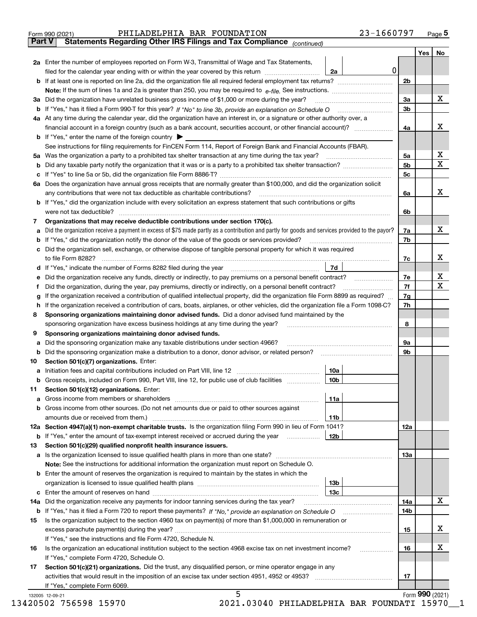|               | 23-1660797<br>PHILADELPHIA BAR FOUNDATION<br>Form 990 (2021)                                                                                    |     |     | $_{\text{Page}}$ 5 |
|---------------|-------------------------------------------------------------------------------------------------------------------------------------------------|-----|-----|--------------------|
| <b>Part V</b> | Statements Regarding Other IRS Filings and Tax Compliance (continued)                                                                           |     |     |                    |
|               |                                                                                                                                                 |     | Yes | No                 |
|               | 2a Enter the number of employees reported on Form W-3, Transmittal of Wage and Tax Statements,                                                  |     |     |                    |
|               | 0<br>filed for the calendar year ending with or within the year covered by this return www.communities<br>2a                                    |     |     |                    |
|               |                                                                                                                                                 | 2b  |     |                    |
|               |                                                                                                                                                 |     |     |                    |
|               |                                                                                                                                                 |     |     | х                  |
|               | 3a Did the organization have unrelated business gross income of \$1,000 or more during the year?                                                | 3a  |     |                    |
|               |                                                                                                                                                 | 3b  |     |                    |
|               | 4a At any time during the calendar year, did the organization have an interest in, or a signature or other authority over, a                    |     |     |                    |
|               |                                                                                                                                                 | 4a  |     | х                  |
|               | <b>b</b> If "Yes," enter the name of the foreign country $\blacktriangleright$                                                                  |     |     |                    |
|               | See instructions for filing requirements for FinCEN Form 114, Report of Foreign Bank and Financial Accounts (FBAR).                             |     |     |                    |
|               |                                                                                                                                                 | 5а  |     | x                  |
|               |                                                                                                                                                 | 5b  |     | х                  |
|               |                                                                                                                                                 | 5c  |     |                    |
|               | 6a Does the organization have annual gross receipts that are normally greater than \$100,000, and did the organization solicit                  |     |     |                    |
|               | any contributions that were not tax deductible as charitable contributions?                                                                     | 6a  |     | x                  |
|               |                                                                                                                                                 |     |     |                    |
|               | <b>b</b> If "Yes," did the organization include with every solicitation an express statement that such contributions or gifts                   |     |     |                    |
|               |                                                                                                                                                 | 6b  |     |                    |
| 7             | Organizations that may receive deductible contributions under section 170(c).                                                                   |     |     |                    |
| а             | Did the organization receive a payment in excess of \$75 made partly as a contribution and partly for goods and services provided to the payor? | 7a  |     | х                  |
|               | <b>b</b> If "Yes," did the organization notify the donor of the value of the goods or services provided?                                        | 7b  |     |                    |
|               | c Did the organization sell, exchange, or otherwise dispose of tangible personal property for which it was required                             |     |     |                    |
|               |                                                                                                                                                 | 7c  |     | х                  |
|               | 7d<br>d If "Yes," indicate the number of Forms 8282 filed during the year [11] [11] No. 2010 [12] Holden III [12] Ho                            |     |     |                    |
| е             | Did the organization receive any funds, directly or indirectly, to pay premiums on a personal benefit contract?                                 | 7е  |     | х                  |
| f             | Did the organization, during the year, pay premiums, directly or indirectly, on a personal benefit contract?                                    | 7f  |     | х                  |
| g             | If the organization received a contribution of qualified intellectual property, did the organization file Form 8899 as required?                | 7g  |     |                    |
| h.            | If the organization received a contribution of cars, boats, airplanes, or other vehicles, did the organization file a Form 1098-C?              | 7h  |     |                    |
|               |                                                                                                                                                 |     |     |                    |
| 8             | Sponsoring organizations maintaining donor advised funds. Did a donor advised fund maintained by the                                            |     |     |                    |
|               | sponsoring organization have excess business holdings at any time during the year?                                                              | 8   |     |                    |
| 9             | Sponsoring organizations maintaining donor advised funds.                                                                                       |     |     |                    |
| а             | Did the sponsoring organization make any taxable distributions under section 4966?                                                              | 9а  |     |                    |
|               |                                                                                                                                                 | 9b  |     |                    |
| 10            | Section 501(c)(7) organizations. Enter:                                                                                                         |     |     |                    |
|               | 10a                                                                                                                                             |     |     |                    |
|               | 10 <sub>b</sub><br>Gross receipts, included on Form 990, Part VIII, line 12, for public use of club facilities                                  |     |     |                    |
| 11            | Section 501(c)(12) organizations. Enter:                                                                                                        |     |     |                    |
|               | <b>a</b> Gross income from members or shareholders<br>11a                                                                                       |     |     |                    |
|               | b Gross income from other sources. (Do not net amounts due or paid to other sources against                                                     |     |     |                    |
|               | 11b                                                                                                                                             |     |     |                    |
|               |                                                                                                                                                 |     |     |                    |
|               | 12a Section 4947(a)(1) non-exempt charitable trusts. Is the organization filing Form 990 in lieu of Form 1041?                                  | 12a |     |                    |
|               | 12b<br><b>b</b> If "Yes," enter the amount of tax-exempt interest received or accrued during the year <i>manument</i>                           |     |     |                    |
| 13            | Section 501(c)(29) qualified nonprofit health insurance issuers.                                                                                |     |     |                    |
|               | a Is the organization licensed to issue qualified health plans in more than one state?                                                          | 13a |     |                    |
|               | Note: See the instructions for additional information the organization must report on Schedule O.                                               |     |     |                    |
|               | <b>b</b> Enter the amount of reserves the organization is required to maintain by the states in which the                                       |     |     |                    |
|               | 13 <sub>b</sub>                                                                                                                                 |     |     |                    |
|               | 13с                                                                                                                                             |     |     |                    |
|               | 14a Did the organization receive any payments for indoor tanning services during the tax year?                                                  | 14a |     | x                  |
|               |                                                                                                                                                 | 14b |     |                    |
| 15            | Is the organization subject to the section 4960 tax on payment(s) of more than \$1,000,000 in remuneration or                                   |     |     |                    |
|               |                                                                                                                                                 | 15  |     | х                  |
|               |                                                                                                                                                 |     |     |                    |
|               | If "Yes," see the instructions and file Form 4720, Schedule N.                                                                                  |     |     |                    |
| 16            | Is the organization an educational institution subject to the section 4968 excise tax on net investment income?                                 | 16  |     | x                  |
|               | If "Yes," complete Form 4720, Schedule O.                                                                                                       |     |     |                    |
| 17            | Section 501(c)(21) organizations. Did the trust, any disqualified person, or mine operator engage in any                                        |     |     |                    |
|               |                                                                                                                                                 | 17  |     |                    |
|               | If "Yes," complete Form 6069.                                                                                                                   |     |     |                    |
|               | 5<br>132005 12-09-21                                                                                                                            |     |     | Form 990 (2021)    |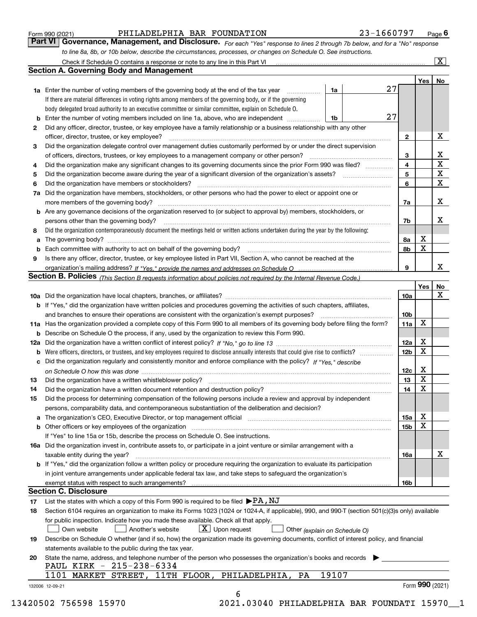|    | officer, director, trustee, or key employee?                                                                                                                                                                                   | $\mathbf{2}$    |                 | X                       |
|----|--------------------------------------------------------------------------------------------------------------------------------------------------------------------------------------------------------------------------------|-----------------|-----------------|-------------------------|
| з  | Did the organization delegate control over management duties customarily performed by or under the direct supervision                                                                                                          |                 |                 |                         |
|    | of officers, directors, trustees, or key employees to a management company or other person?                                                                                                                                    | 3               |                 | X                       |
| 4  | Did the organization make any significant changes to its governing documents since the prior Form 990 was filed?                                                                                                               | 4               |                 | $\overline{\texttt{x}}$ |
| 5  |                                                                                                                                                                                                                                | 5               |                 | $\overline{\mathbf{X}}$ |
| 6  | Did the organization have members or stockholders?                                                                                                                                                                             | 6               |                 | $\overline{\mathbf{X}}$ |
| 7a | Did the organization have members, stockholders, or other persons who had the power to elect or appoint one or                                                                                                                 |                 |                 |                         |
|    |                                                                                                                                                                                                                                | 7a              |                 | X                       |
| b  | Are any governance decisions of the organization reserved to (or subject to approval by) members, stockholders, or                                                                                                             |                 |                 |                         |
|    | persons other than the governing body?                                                                                                                                                                                         | 7b              |                 | х                       |
| 8  | Did the organization contemporaneously document the meetings held or written actions undertaken during the year by the following:                                                                                              |                 |                 |                         |
| a  |                                                                                                                                                                                                                                | 8а              | х               |                         |
| b  | Each committee with authority to act on behalf of the governing body? [10] manufacture manufacture with authority to act on behalf of the governing body? [10] manufacture with authority of the state with an interval and th | 8b              | X               |                         |
| 9  | Is there any officer, director, trustee, or key employee listed in Part VII, Section A, who cannot be reached at the                                                                                                           |                 |                 |                         |
|    |                                                                                                                                                                                                                                | 9               |                 | x                       |
|    | Section B. Policies (This Section B requests information about policies not required by the Internal Revenue Code.)                                                                                                            |                 |                 |                         |
|    |                                                                                                                                                                                                                                |                 | Yes             | No                      |
|    |                                                                                                                                                                                                                                | 10a             |                 | X                       |
|    |                                                                                                                                                                                                                                |                 |                 |                         |
|    | <b>b</b> If "Yes," did the organization have written policies and procedures governing the activities of such chapters, affiliates,                                                                                            |                 |                 |                         |
|    |                                                                                                                                                                                                                                | 10b             | x               |                         |
|    | 11a Has the organization provided a complete copy of this Form 990 to all members of its governing body before filing the form?                                                                                                | 11a             |                 |                         |
|    | <b>b</b> Describe on Schedule O the process, if any, used by the organization to review this Form 990.                                                                                                                         |                 | x               |                         |
|    |                                                                                                                                                                                                                                | 12a             | x               |                         |
| b  |                                                                                                                                                                                                                                | 12 <sub>b</sub> |                 |                         |
| c  | Did the organization regularly and consistently monitor and enforce compliance with the policy? If "Yes," describe                                                                                                             |                 |                 |                         |
|    |                                                                                                                                                                                                                                | 12c             | x<br>X          |                         |
| 13 |                                                                                                                                                                                                                                | 13              | X               |                         |
| 14 | Did the organization have a written document retention and destruction policy? manufactured and the organization have a written document retention and destruction policy?                                                     | 14              |                 |                         |
| 15 | Did the process for determining compensation of the following persons include a review and approval by independent                                                                                                             |                 |                 |                         |
|    | persons, comparability data, and contemporaneous substantiation of the deliberation and decision?                                                                                                                              |                 |                 |                         |
|    | a The organization's CEO, Executive Director, or top management official manufactured content content of the organization's CEO, Executive Director, or top management official manufactured content of the state of the state | 15a             | X               |                         |
|    |                                                                                                                                                                                                                                | 15 <sub>b</sub> | x               |                         |
|    | If "Yes" to line 15a or 15b, describe the process on Schedule O. See instructions.                                                                                                                                             |                 |                 |                         |
|    | 16a Did the organization invest in, contribute assets to, or participate in a joint venture or similar arrangement with a                                                                                                      |                 |                 |                         |
|    | taxable entity during the year?                                                                                                                                                                                                | 16a             |                 | х                       |
|    | <b>b</b> If "Yes," did the organization follow a written policy or procedure requiring the organization to evaluate its participation                                                                                          |                 |                 |                         |
|    | in joint venture arrangements under applicable federal tax law, and take steps to safeguard the organization's                                                                                                                 |                 |                 |                         |
|    | exempt status with respect to such arrangements?                                                                                                                                                                               | 16 <sub>b</sub> |                 |                         |
|    | <b>Section C. Disclosure</b>                                                                                                                                                                                                   |                 |                 |                         |
| 17 | List the states with which a copy of this Form 990 is required to be filed $\blacktriangleright$ PA, NJ                                                                                                                        |                 |                 |                         |
| 18 | Section 6104 requires an organization to make its Forms 1023 (1024 or 1024-A, if applicable), 990, and 990-T (section 501(c)(3)s only) available                                                                               |                 |                 |                         |
|    | for public inspection. Indicate how you made these available. Check all that apply.                                                                                                                                            |                 |                 |                         |
|    | $ X $ Upon request<br>Own website<br>Another's website<br>Other (explain on Schedule O)                                                                                                                                        |                 |                 |                         |
| 19 | Describe on Schedule O whether (and if so, how) the organization made its governing documents, conflict of interest policy, and financial                                                                                      |                 |                 |                         |
|    | statements available to the public during the tax year.                                                                                                                                                                        |                 |                 |                         |
| 20 | State the name, address, and telephone number of the person who possesses the organization's books and records                                                                                                                 |                 |                 |                         |
|    | PAUL KIRK - 215-238-6334                                                                                                                                                                                                       |                 |                 |                         |
|    | 19107<br>1101 MARKET STREET,<br>11TH FLOOR, PHILADELPHIA,<br>PA                                                                                                                                                                |                 |                 |                         |
|    | 132006 12-09-21                                                                                                                                                                                                                |                 | Form 990 (2021) |                         |
|    | 6                                                                                                                                                                                                                              |                 |                 |                         |
|    | 2021.03040 PHILADELPHIA BAR FOUNDATI 15970_1<br>13420502 756598 15970                                                                                                                                                          |                 |                 |                         |
|    |                                                                                                                                                                                                                                |                 |                 |                         |
|    |                                                                                                                                                                                                                                |                 |                 |                         |
|    |                                                                                                                                                                                                                                |                 |                 |                         |
|    |                                                                                                                                                                                                                                |                 |                 |                         |

| Form 990 (2021) | PHILADELPHIA BAR FOUNDATION                                                                                                  |  | 23-1660797 | $P_{\text{aqe}}$ 6 |
|-----------------|------------------------------------------------------------------------------------------------------------------------------|--|------------|--------------------|
|                 | Part VI Governance, Management, and Disclosure. For each "Yes" response to lines 2 through 7b below, and for a "No" response |  |            |                    |
|                 | to line 8a, 8b, or 10b below, describe the circumstances, processes, or changes on Schedule O. See instructions.             |  |            |                    |

**1a** Enter the number of voting members of the governing body at the end of the tax year

**Section A. Governing Body and Management**

Check if Schedule O contains a response or note to any line in this Part VI

**2** Did any officer, director, trustee, or key employee have a family relationship or a business relationship with any other

**b** Enter the number of voting members included on line 1a, above, who are independent  $\ldots$ 

If there are material differences in voting rights among members of the governing body, or if the governing body delegated broad authority to an executive committee or similar committee, explain on Schedule O.

**YesNo**

 $\boxed{\text{X}}$ 

X

27

27

**1a**

~~~~~~

**1b**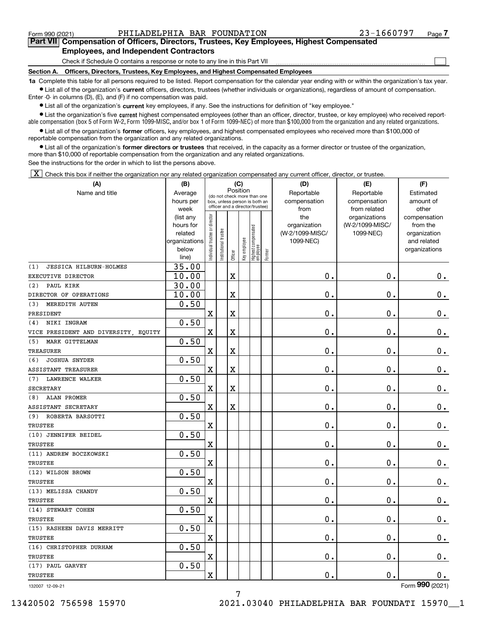$\mathcal{L}^{\text{max}}$ 

### **7Part VII Compensation of Officers, Directors, Trustees, Key Employees, Highest Compensated Employees, and Independent Contractors**

Check if Schedule O contains a response or note to any line in this Part VII

**Section A. Officers, Directors, Trustees, Key Employees, and Highest Compensated Employees**

**1a**  Complete this table for all persons required to be listed. Report compensation for the calendar year ending with or within the organization's tax year. **•** List all of the organization's current officers, directors, trustees (whether individuals or organizations), regardless of amount of compensation.

Enter -0- in columns (D), (E), and (F) if no compensation was paid.

 $\bullet$  List all of the organization's  $\sf current$  key employees, if any. See the instructions for definition of "key employee."

**•** List the organization's five current highest compensated employees (other than an officer, director, trustee, or key employee) who received reportable compensation (box 5 of Form W-2, Form 1099-MISC, and/or box 1 of Form 1099-NEC) of more than \$100,000 from the organization and any related organizations.

**•** List all of the organization's former officers, key employees, and highest compensated employees who received more than \$100,000 of reportable compensation from the organization and any related organizations.

**former directors or trustees**  ¥ List all of the organization's that received, in the capacity as a former director or trustee of the organization, more than \$10,000 of reportable compensation from the organization and any related organizations.

See the instructions for the order in which to list the persons above.

 $\boxed{\textbf{X}}$  Check this box if neither the organization nor any related organization compensated any current officer, director, or trustee.

| (A)                                  | (B)               | (C)                                     |                      |                         |              |                                                                  |        | (D)             | (E)                           | (F)                   |
|--------------------------------------|-------------------|-----------------------------------------|----------------------|-------------------------|--------------|------------------------------------------------------------------|--------|-----------------|-------------------------------|-----------------------|
| Name and title                       | Average           | Position<br>(do not check more than one |                      |                         |              |                                                                  |        | Reportable      | Reportable                    | Estimated             |
|                                      | hours per         |                                         |                      |                         |              | box, unless person is both an<br>officer and a director/trustee) |        | compensation    | compensation                  | amount of             |
|                                      | week<br>(list any |                                         |                      |                         |              |                                                                  |        | from<br>the     | from related<br>organizations | other<br>compensation |
|                                      | hours for         |                                         |                      |                         |              |                                                                  |        | organization    | (W-2/1099-MISC/               | from the              |
|                                      | related           |                                         |                      |                         |              |                                                                  |        | (W-2/1099-MISC/ | 1099-NEC)                     | organization          |
|                                      | organizations     |                                         |                      |                         |              |                                                                  |        | 1099-NEC)       |                               | and related           |
|                                      | below             | ndividual trustee or director           | nstitutional trustee |                         | Key employee |                                                                  |        |                 |                               | organizations         |
|                                      | line)             |                                         |                      | Officer                 |              | Highest compensated<br> employee                                 | Former |                 |                               |                       |
| JESSICA HILBURN-HOLMES<br>(1)        | 35.00             |                                         |                      |                         |              |                                                                  |        |                 |                               |                       |
| EXECUTIVE DIRECTOR                   | 10.00             |                                         |                      | $\overline{\textbf{X}}$ |              |                                                                  |        | $\mathbf 0$ .   | $\mathbf 0$ .                 | $\mathbf 0$ .         |
| PAUL KIRK<br>(2)                     | 30.00             |                                         |                      |                         |              |                                                                  |        |                 |                               |                       |
| DIRECTOR OF OPERATIONS               | 10.00             |                                         |                      | $\overline{\mathbf{X}}$ |              |                                                                  |        | $\mathbf 0$ .   | $\mathbf 0$ .                 | $0$ .                 |
| (3)<br>MEREDITH AUTEN                | 0.50              |                                         |                      |                         |              |                                                                  |        |                 |                               |                       |
| PRESIDENT                            |                   | $\mathbf X$                             |                      | $\overline{\textbf{X}}$ |              |                                                                  |        | $\mathbf 0$ .   | $\mathbf 0$ .                 | $0$ .                 |
| NIKI INGRAM<br>(4)                   | 0.50              |                                         |                      |                         |              |                                                                  |        |                 |                               |                       |
| VICE PRESIDENT AND DIVERSITY, EQUITY |                   | X                                       |                      | $\overline{\textbf{X}}$ |              |                                                                  |        | 0.              | 0.                            | $\mathbf 0$ .         |
| MARK GITTELMAN<br>(5)                | 0.50              |                                         |                      |                         |              |                                                                  |        |                 |                               |                       |
| <b>TREASURER</b>                     |                   | $\mathbf X$                             |                      | $\overline{\textbf{X}}$ |              |                                                                  |        | 0.              | $\mathbf 0$ .                 | $0_{.}$               |
| <b>JOSHUA SNYDER</b><br>(6)          | 0.50              |                                         |                      |                         |              |                                                                  |        |                 |                               |                       |
| ASSISTANT TREASURER                  |                   | X                                       |                      | $\overline{\textbf{X}}$ |              |                                                                  |        | $\mathbf 0$ .   | $\mathbf 0$ .                 | $\mathbf 0$ .         |
| LAWRENCE WALKER<br>(7)               | 0.50              |                                         |                      |                         |              |                                                                  |        |                 |                               |                       |
| <b>SECRETARY</b>                     |                   | $\rm X$                                 |                      | $\overline{\mathbf{X}}$ |              |                                                                  |        | $\mathbf{0}$ .  | $\mathbf 0$ .                 | $\mathbf 0$ .         |
| <b>ALAN PROMER</b><br>(8)            | 0.50              |                                         |                      |                         |              |                                                                  |        |                 |                               |                       |
| ASSISTANT SECRETARY                  |                   | X                                       |                      | $\overline{\mathbf{X}}$ |              |                                                                  |        | 0.              | $\mathbf 0$ .                 | $\mathbf 0$ .         |
| (9)<br>ROBERTA BARSOTTI              | 0.50              |                                         |                      |                         |              |                                                                  |        |                 |                               |                       |
| TRUSTEE                              |                   | $\overline{\textbf{X}}$                 |                      |                         |              |                                                                  |        | 0.              | $\mathbf 0$ .                 | $\mathbf 0$ .         |
| (10) JENNIFER BEIDEL                 | 0.50              |                                         |                      |                         |              |                                                                  |        |                 |                               |                       |
| TRUSTEE                              |                   | $\overline{\textbf{X}}$                 |                      |                         |              |                                                                  |        | 0.              | $\mathbf 0$ .                 | $0$ .                 |
| (11) ANDREW BOCZKOWSKI               | 0.50              |                                         |                      |                         |              |                                                                  |        |                 |                               |                       |
| TRUSTEE                              |                   | $\mathbf X$                             |                      |                         |              |                                                                  |        | $\mathbf 0$ .   | $\mathbf 0$ .                 | $\mathbf 0$ .         |
| (12) WILSON BROWN                    | 0.50              |                                         |                      |                         |              |                                                                  |        |                 |                               |                       |
| <b>TRUSTEE</b>                       |                   | X                                       |                      |                         |              |                                                                  |        | 0.              | $\mathbf 0$ .                 | $\mathbf 0$ .         |
| (13) MELISSA CHANDY                  | 0.50              |                                         |                      |                         |              |                                                                  |        |                 |                               |                       |
| <b>TRUSTEE</b>                       |                   | $\mathbf x$                             |                      |                         |              |                                                                  |        | $\mathbf 0$ .   | $\mathbf 0$ .                 | $\mathbf 0$ .         |
| (14) STEWART COHEN                   | 0.50              |                                         |                      |                         |              |                                                                  |        |                 |                               |                       |
| <b>TRUSTEE</b>                       |                   | X                                       |                      |                         |              |                                                                  |        | 0.              | $\mathbf 0$ .                 | $\mathbf 0$ .         |
| (15) RASHEEN DAVIS MERRITT           | 0.50              |                                         |                      |                         |              |                                                                  |        |                 |                               |                       |
| <b>TRUSTEE</b>                       |                   | $\mathbf X$                             |                      |                         |              |                                                                  |        | 0.              | 0.                            | 0.                    |
| (16) CHRISTOPHER DURHAM              | 0.50              |                                         |                      |                         |              |                                                                  |        |                 |                               |                       |
| <b>TRUSTEE</b>                       |                   | $\overline{\textbf{X}}$                 |                      |                         |              |                                                                  |        | 0.              | $\mathbf 0$ .                 | $\mathbf 0$ .         |
| (17) PAUL GARVEY                     | 0.50              |                                         |                      |                         |              |                                                                  |        |                 |                               |                       |
| <b>TRUSTEE</b>                       |                   | $\rm X$                                 |                      |                         |              |                                                                  |        | 0.              | 0.                            | $0_{.}$               |

132007 12-09-21

Form (2021) **990**

7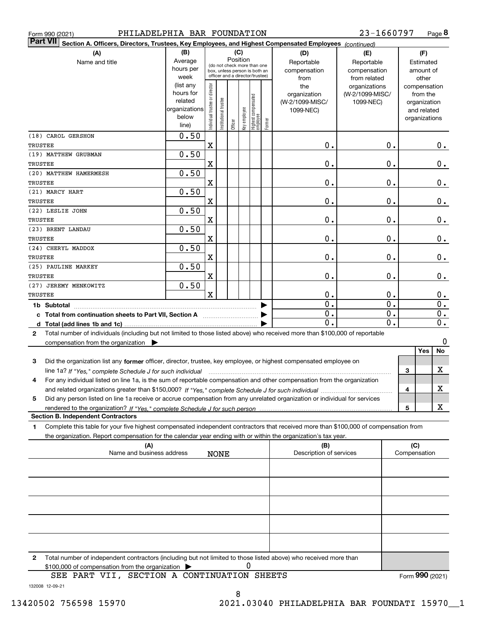|                 | PHILADELPHIA BAR FOUNDATION<br>Form 990 (2021)                                                                                                                                                                                                                              |                                                                      |                                |                      |         |              |                                                                                                 |        |                                                     | 23-1660797                                        |                     |                                                                          | Page 8           |
|-----------------|-----------------------------------------------------------------------------------------------------------------------------------------------------------------------------------------------------------------------------------------------------------------------------|----------------------------------------------------------------------|--------------------------------|----------------------|---------|--------------|-------------------------------------------------------------------------------------------------|--------|-----------------------------------------------------|---------------------------------------------------|---------------------|--------------------------------------------------------------------------|------------------|
| <b>Part VII</b> | Section A. Officers, Directors, Trustees, Key Employees, and Highest Compensated Employees (continued)                                                                                                                                                                      |                                                                      |                                |                      |         |              |                                                                                                 |        |                                                     |                                                   |                     |                                                                          |                  |
|                 | (A)<br>Name and title                                                                                                                                                                                                                                                       | (B)<br>Average<br>hours per<br>week                                  |                                |                      | (C)     | Position     | (do not check more than one<br>box, unless person is both an<br>officer and a director/trustee) |        | (D)<br>Reportable<br>compensation<br>from           | (E)<br>Reportable<br>compensation<br>from related |                     | (F)<br>Estimated<br>amount of<br>other                                   |                  |
|                 |                                                                                                                                                                                                                                                                             | (list any<br>hours for<br>related<br>organizations<br>below<br>line) | Individual trustee or director | nstitutional trustee | Officer | Key employee | Highest compensated<br>employee                                                                 | Former | the<br>organization<br>(W-2/1099-MISC/<br>1099-NEC) | organizations<br>(W-2/1099-MISC/<br>1099-NEC)     |                     | compensation<br>from the<br>organization<br>and related<br>organizations |                  |
| TRUSTEE         | (18) CAROL GERSHON                                                                                                                                                                                                                                                          | 0.50                                                                 | X                              |                      |         |              |                                                                                                 |        | 0.                                                  | 0.                                                |                     |                                                                          | 0.               |
| TRUSTEE         | (19) MATTHEW GRUBMAN                                                                                                                                                                                                                                                        | 0.50                                                                 | X                              |                      |         |              |                                                                                                 |        | 0.                                                  | 0.                                                |                     |                                                                          | 0.               |
| TRUSTEE         | (20) MATTHEW HAMERMESH                                                                                                                                                                                                                                                      | 0.50                                                                 | X                              |                      |         |              |                                                                                                 |        | 0.                                                  | 0.                                                |                     |                                                                          | 0.               |
| TRUSTEE         | (21) MARCY HART                                                                                                                                                                                                                                                             | 0.50                                                                 | X                              |                      |         |              |                                                                                                 |        | 0.                                                  | ο.                                                |                     |                                                                          | 0.               |
| TRUSTEE         | (22) LESLIE JOHN                                                                                                                                                                                                                                                            | 0.50                                                                 | X                              |                      |         |              |                                                                                                 |        | 0.                                                  | ο.                                                |                     |                                                                          | 0.               |
| TRUSTEE         | (23) BRENT LANDAU                                                                                                                                                                                                                                                           | 0.50                                                                 | X                              |                      |         |              |                                                                                                 |        | 0.                                                  | ο.                                                |                     |                                                                          | 0.               |
| TRUSTEE         | (24) CHERYL MADDOX<br>(25) PAULINE MARKEY                                                                                                                                                                                                                                   | 0.50<br>0.50                                                         | X                              |                      |         |              |                                                                                                 |        | 0.                                                  | ο.                                                |                     |                                                                          | 0.               |
| TRUSTEE         |                                                                                                                                                                                                                                                                             |                                                                      | $\mathbf X$                    |                      |         |              |                                                                                                 |        | 0.                                                  | ο.                                                |                     |                                                                          | 0.               |
| TRUSTEE         | (27) JEREMY MENKOWITZ                                                                                                                                                                                                                                                       | 0.50                                                                 | $\mathbf x$                    |                      |         |              |                                                                                                 |        | 0.                                                  | ο.                                                |                     |                                                                          | 0.               |
|                 | 1b Subtotal<br>c Total from continuation sheets to Part VII, Section A                                                                                                                                                                                                      |                                                                      |                                |                      |         |              |                                                                                                 |        | 0.<br>0.                                            | 0.<br>0.                                          |                     |                                                                          | 0.<br>0.         |
|                 |                                                                                                                                                                                                                                                                             |                                                                      |                                |                      |         |              |                                                                                                 |        | 0.                                                  | 0.                                                |                     |                                                                          | $\overline{0}$ . |
| 2               | Total number of individuals (including but not limited to those listed above) who received more than \$100,000 of reportable<br>compensation from the organization $\blacktriangleright$                                                                                    |                                                                      |                                |                      |         |              |                                                                                                 |        |                                                     |                                                   |                     |                                                                          | 0                |
| 3               | Did the organization list any former officer, director, trustee, key employee, or highest compensated employee on                                                                                                                                                           |                                                                      |                                |                      |         |              |                                                                                                 |        |                                                     |                                                   |                     | Yes                                                                      | No               |
| 4               | line 1a? If "Yes," complete Schedule J for such individual manufactured contained and the 1a? If "Yes," complete Schedule J for such individual<br>For any individual listed on line 1a, is the sum of reportable compensation and other compensation from the organization |                                                                      |                                |                      |         |              |                                                                                                 |        |                                                     |                                                   | З                   |                                                                          | х                |
| 5               | Did any person listed on line 1a receive or accrue compensation from any unrelated organization or individual for services                                                                                                                                                  |                                                                      |                                |                      |         |              |                                                                                                 |        |                                                     |                                                   | 4                   |                                                                          | x                |
|                 | <b>Section B. Independent Contractors</b>                                                                                                                                                                                                                                   |                                                                      |                                |                      |         |              |                                                                                                 |        |                                                     |                                                   | 5                   |                                                                          | X                |
| 1               | Complete this table for your five highest compensated independent contractors that received more than \$100,000 of compensation from<br>the organization. Report compensation for the calendar year ending with or within the organization's tax year.                      |                                                                      |                                |                      |         |              |                                                                                                 |        |                                                     |                                                   |                     |                                                                          |                  |
|                 | (A)<br>Name and business address                                                                                                                                                                                                                                            |                                                                      |                                | <b>NONE</b>          |         |              |                                                                                                 |        | (B)<br>Description of services                      |                                                   | (C)<br>Compensation |                                                                          |                  |
|                 |                                                                                                                                                                                                                                                                             |                                                                      |                                |                      |         |              |                                                                                                 |        |                                                     |                                                   |                     |                                                                          |                  |
|                 |                                                                                                                                                                                                                                                                             |                                                                      |                                |                      |         |              |                                                                                                 |        |                                                     |                                                   |                     |                                                                          |                  |
|                 |                                                                                                                                                                                                                                                                             |                                                                      |                                |                      |         |              |                                                                                                 |        |                                                     |                                                   |                     |                                                                          |                  |
|                 |                                                                                                                                                                                                                                                                             |                                                                      |                                |                      |         |              |                                                                                                 |        |                                                     |                                                   |                     |                                                                          |                  |
| 2               | Total number of independent contractors (including but not limited to those listed above) who received more than                                                                                                                                                            |                                                                      |                                |                      |         |              |                                                                                                 |        |                                                     |                                                   |                     |                                                                          |                  |
|                 | \$100,000 of compensation from the organization<br>SEE PART VII, SECTION A CONTINUATION SHEETS                                                                                                                                                                              |                                                                      |                                |                      |         | 0            |                                                                                                 |        |                                                     |                                                   |                     | Form 990 (2021)                                                          |                  |

132008 12-09-21

8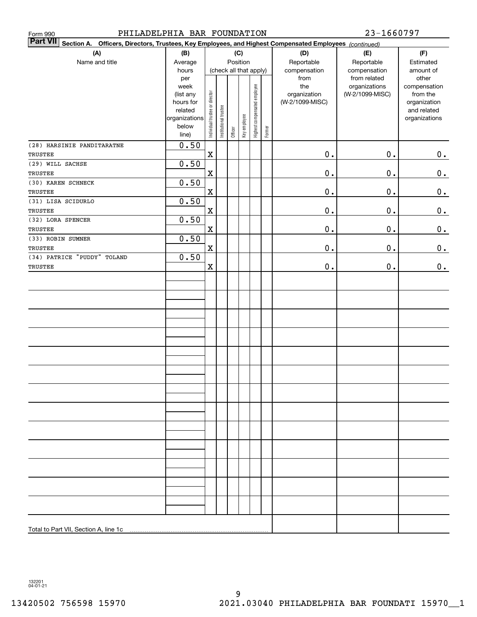| PHILADELPHIA BAR FOUNDATION<br>Form 990 |                   |                                |                                                                                             |         |                        |                              |        |                     | 23-1660797                       |                          |
|-----------------------------------------|-------------------|--------------------------------|---------------------------------------------------------------------------------------------|---------|------------------------|------------------------------|--------|---------------------|----------------------------------|--------------------------|
| <b>Part VII</b><br>Section A.           |                   |                                | Officers, Directors, Trustees, Key Employees, and Highest Compensated Employees (continued) |         |                        |                              |        |                     |                                  |                          |
| (A)                                     | (B)               |                                |                                                                                             |         | (C)                    |                              |        | (D)                 | (E)                              | (F)                      |
| Name and title                          | Average           |                                |                                                                                             |         | Position               |                              |        | Reportable          | Reportable                       | Estimated                |
|                                         | hours             |                                |                                                                                             |         | (check all that apply) |                              |        | compensation        | compensation                     | amount of                |
|                                         | per               |                                |                                                                                             |         |                        |                              |        | from                | from related                     | other                    |
|                                         | week<br>(list any |                                |                                                                                             |         |                        |                              |        | the<br>organization | organizations<br>(W-2/1099-MISC) | compensation<br>from the |
|                                         | hours for         |                                |                                                                                             |         |                        |                              |        | (W-2/1099-MISC)     |                                  | organization             |
|                                         | related           |                                |                                                                                             |         |                        |                              |        |                     |                                  | and related              |
|                                         | organizations     |                                |                                                                                             |         |                        |                              |        |                     |                                  | organizations            |
|                                         | below<br>line)    | Individual trustee or director | Institutional trustee                                                                       | Officer | Key employee           | Highest compensated employee | Former |                     |                                  |                          |
| (28) HARSINIE PANDITARATNE              | 0.50              |                                |                                                                                             |         |                        |                              |        |                     |                                  |                          |
| <b>TRUSTEE</b>                          |                   | $\mathbf x$                    |                                                                                             |         |                        |                              |        | 0.                  | $\mathbf 0$ .                    | 0.                       |
| (29) WILL SACHSE                        | 0.50              |                                |                                                                                             |         |                        |                              |        |                     |                                  |                          |
| <b>TRUSTEE</b>                          |                   | $\mathbf x$                    |                                                                                             |         |                        |                              |        | 0.                  | 0.                               | $\mathbf 0$ .            |
| (30) KAREN SCHNECK                      | 0.50              |                                |                                                                                             |         |                        |                              |        |                     |                                  |                          |
| <b>TRUSTEE</b>                          |                   | $\mathbf x$                    |                                                                                             |         |                        |                              |        | 0.                  | 0.                               | $\mathbf 0$ .            |
| (31) LISA SCIDURLO                      | 0.50              |                                |                                                                                             |         |                        |                              |        |                     |                                  |                          |
| <b>TRUSTEE</b>                          |                   | $\mathbf x$                    |                                                                                             |         |                        |                              |        | 0.                  | 0.                               | $\mathbf 0$ .            |
| (32) LORA SPENCER                       | 0.50              |                                |                                                                                             |         |                        |                              |        |                     |                                  |                          |
| <b>TRUSTEE</b>                          |                   | $\mathbf x$                    |                                                                                             |         |                        |                              |        | 0.                  | 0.                               | $\mathbf 0$ .            |
| (33) ROBIN SUMNER                       | 0.50              |                                |                                                                                             |         |                        |                              |        |                     |                                  |                          |
| <b>TRUSTEE</b>                          |                   | $\mathbf X$                    |                                                                                             |         |                        |                              |        | 0.                  | 0.                               | $\mathbf 0$ .            |
| (34) PATRICE "PUDDY" TOLAND             | 0.50              |                                |                                                                                             |         |                        |                              |        |                     |                                  |                          |
| TRUSTEE                                 |                   | $\mathbf X$                    |                                                                                             |         |                        |                              |        | 0.                  | 0.                               | 0.                       |
|                                         |                   |                                |                                                                                             |         |                        |                              |        |                     |                                  |                          |
|                                         |                   |                                |                                                                                             |         |                        |                              |        |                     |                                  |                          |
|                                         |                   |                                |                                                                                             |         |                        |                              |        |                     |                                  |                          |
|                                         |                   |                                |                                                                                             |         |                        |                              |        |                     |                                  |                          |
|                                         |                   |                                |                                                                                             |         |                        |                              |        |                     |                                  |                          |
|                                         |                   |                                |                                                                                             |         |                        |                              |        |                     |                                  |                          |
|                                         |                   |                                |                                                                                             |         |                        |                              |        |                     |                                  |                          |
|                                         |                   |                                |                                                                                             |         |                        |                              |        |                     |                                  |                          |
|                                         |                   |                                |                                                                                             |         |                        |                              |        |                     |                                  |                          |
|                                         |                   |                                |                                                                                             |         |                        |                              |        |                     |                                  |                          |
|                                         |                   |                                |                                                                                             |         |                        |                              |        |                     |                                  |                          |
|                                         |                   |                                |                                                                                             |         |                        |                              |        |                     |                                  |                          |
|                                         |                   |                                |                                                                                             |         |                        |                              |        |                     |                                  |                          |
|                                         |                   |                                |                                                                                             |         |                        |                              |        |                     |                                  |                          |
|                                         |                   |                                |                                                                                             |         |                        |                              |        |                     |                                  |                          |
|                                         |                   |                                |                                                                                             |         |                        |                              |        |                     |                                  |                          |
|                                         |                   |                                |                                                                                             |         |                        |                              |        |                     |                                  |                          |
|                                         |                   |                                |                                                                                             |         |                        |                              |        |                     |                                  |                          |
|                                         |                   |                                |                                                                                             |         |                        |                              |        |                     |                                  |                          |
|                                         |                   |                                |                                                                                             |         |                        |                              |        |                     |                                  |                          |
|                                         |                   |                                |                                                                                             |         |                        |                              |        |                     |                                  |                          |
|                                         |                   |                                |                                                                                             |         |                        |                              |        |                     |                                  |                          |
|                                         |                   |                                |                                                                                             |         |                        |                              |        |                     |                                  |                          |
|                                         |                   |                                |                                                                                             |         |                        |                              |        |                     |                                  |                          |
|                                         |                   |                                |                                                                                             |         |                        |                              |        |                     |                                  |                          |
| Total to Part VII, Section A, line 1c   |                   |                                |                                                                                             |         |                        |                              |        |                     |                                  |                          |

132201 04-01-21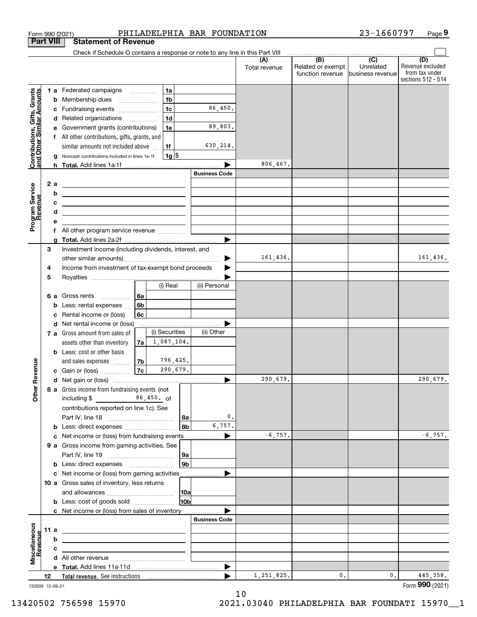| <b>Part VIII</b><br><b>Statement of Revenue</b><br>Check if Schedule O contains a response or note to any line in this Part VIII<br>$\begin{array}{c c c c c} \hline \textbf{(B)} & \textbf{(C)} & \textbf{(D)} & \textbf{(E)} & \textbf{(E)} & \textbf{(E)} & \textbf{(E)} & \textbf{(E)} & \textbf{(E)} & \textbf{(E)} & \textbf{(E)} & \textbf{(E)} & \textbf{(E)} & \textbf{(E)} & \textbf{(E)} & \textbf{(E)} & \textbf{(E)} & \textbf{(E)} & \textbf{(E)} & \textbf{(E)} & \textbf{(E)} & \textbf{(E)} & \textbf{(E)} & \textbf{(E)} & \textbf{(E)} & \textbf{(E)} & \textbf{(E)} & \textbf{(E)} & \textbf{(E)}$<br>(D)<br>(A)<br>Related or exempt<br>Unrelated<br>Total revenue<br>function revenue<br>business revenue<br>1a<br>Contributions, Gifts, Grants<br>and Other Similar Amounts<br>1 a Federated campaigns<br>1 <sub>b</sub><br>Membership dues<br>b<br>$\ldots \ldots \ldots \ldots \ldots$<br>1 <sub>c</sub><br>86,450.<br>c Fundraising events<br>1 <sub>d</sub><br>d Related organizations<br>89,803.<br>1e<br>Government grants (contributions)<br>е<br>All other contributions, gifts, grants, and<br>630,214.<br>similar amounts not included above<br>1f<br> 1g <br>Noncash contributions included in lines 1a-1f<br>806,467.<br><b>Business Code</b><br>Program Service<br>Revenue<br>2 a<br><u> 2000 - John Stein, Amerikaans en Stein van de Fryske kommer</u><br>b<br><u> Alexandria de la contrada de la contrada de la contrada de la contrada de la contrada de la contrada de la c</u><br>с<br><u> 1989 - John Harry Harry Harry Harry Harry Harry Harry Harry Harry Harry Harry Harry Harry Harry Harry Harry H</u><br>d<br><u> 1989 - Johann Stein, mars an de Frankrik (f. 1989)</u><br>e<br>f All other program service revenue<br>▶<br>g<br>3<br>Investment income (including dividends, interest, and<br>161,436.<br>Income from investment of tax-exempt bond proceeds<br>4<br>5<br>(i) Real<br>(ii) Personal<br>6a<br>Gross rents<br>6а<br>6b<br>Less: rental expenses<br>b<br>6c<br>Rental income or (loss)<br>c<br>d Net rental income or (loss)<br>(i) Securities<br>(ii) Other<br>7 a Gross amount from sales of<br>1,087,104.<br>assets other than inventory<br>7a<br><b>b</b> Less: cost or other basis<br>796,425.<br>evenue<br>7 <sub>b</sub><br>and sales expenses<br>290,679.<br>7c<br>c Gain or (loss)<br>290,679.<br>290,679.<br>Œ<br>Other<br>8 a Gross income from fundraising events (not<br>including \$ 6,450. of<br>contributions reported on line 1c). See<br>$\mathbf{0}$ .<br>  8a<br>6,757.<br>8 <sub>b</sub><br><b>b</b> Less: direct expenses <i></i><br>$-6, 757.$<br>c Net income or (loss) from fundraising events<br>▶<br>9 a Gross income from gaming activities. See<br> 9a<br>9 <sub>b</sub><br><b>b</b> Less: direct expenses <b>manually</b><br>c Net income or (loss) from gaming activities _______________<br>10 a Gross sales of inventory, less returns<br> 10a<br>10 <sub>b</sub><br>c Net income or (loss) from sales of inventory<br><b>Business Code</b><br>Miscellaneous<br>11a<br>the contract of the contract of the contract of the contract of the contract of<br>Revenue<br>b<br>the control of the control of the control of the control of the control of the control of<br>с<br>the control of the control of the control of the control of the control of<br>1,251,825.<br>0.<br>0.<br>12<br>▶<br>132009 12-09-21 |  | Form 990 (2021) | PHILADELPHIA BAR FOUNDATION |  | 23-1660797 | Page 9                                                   |
|------------------------------------------------------------------------------------------------------------------------------------------------------------------------------------------------------------------------------------------------------------------------------------------------------------------------------------------------------------------------------------------------------------------------------------------------------------------------------------------------------------------------------------------------------------------------------------------------------------------------------------------------------------------------------------------------------------------------------------------------------------------------------------------------------------------------------------------------------------------------------------------------------------------------------------------------------------------------------------------------------------------------------------------------------------------------------------------------------------------------------------------------------------------------------------------------------------------------------------------------------------------------------------------------------------------------------------------------------------------------------------------------------------------------------------------------------------------------------------------------------------------------------------------------------------------------------------------------------------------------------------------------------------------------------------------------------------------------------------------------------------------------------------------------------------------------------------------------------------------------------------------------------------------------------------------------------------------------------------------------------------------------------------------------------------------------------------------------------------------------------------------------------------------------------------------------------------------------------------------------------------------------------------------------------------------------------------------------------------------------------------------------------------------------------------------------------------------------------------------------------------------------------------------------------------------------------------------------------------------------------------------------------------------------------------------------------------------------------------------------------------------------------------------------------------------------------------------------------------------------------------------------------------------------------------------------------------------------------------------------------------------------------------------------------------------------------------------------------------------------------------------------------------------------------------------------------------------------------------------------------------------------------------------------------------------------------------------------------------------------------------------------------------------|--|-----------------|-----------------------------|--|------------|----------------------------------------------------------|
|                                                                                                                                                                                                                                                                                                                                                                                                                                                                                                                                                                                                                                                                                                                                                                                                                                                                                                                                                                                                                                                                                                                                                                                                                                                                                                                                                                                                                                                                                                                                                                                                                                                                                                                                                                                                                                                                                                                                                                                                                                                                                                                                                                                                                                                                                                                                                                                                                                                                                                                                                                                                                                                                                                                                                                                                                                                                                                                                                                                                                                                                                                                                                                                                                                                                                                                                                                                                                  |  |                 |                             |  |            |                                                          |
|                                                                                                                                                                                                                                                                                                                                                                                                                                                                                                                                                                                                                                                                                                                                                                                                                                                                                                                                                                                                                                                                                                                                                                                                                                                                                                                                                                                                                                                                                                                                                                                                                                                                                                                                                                                                                                                                                                                                                                                                                                                                                                                                                                                                                                                                                                                                                                                                                                                                                                                                                                                                                                                                                                                                                                                                                                                                                                                                                                                                                                                                                                                                                                                                                                                                                                                                                                                                                  |  |                 |                             |  |            |                                                          |
|                                                                                                                                                                                                                                                                                                                                                                                                                                                                                                                                                                                                                                                                                                                                                                                                                                                                                                                                                                                                                                                                                                                                                                                                                                                                                                                                                                                                                                                                                                                                                                                                                                                                                                                                                                                                                                                                                                                                                                                                                                                                                                                                                                                                                                                                                                                                                                                                                                                                                                                                                                                                                                                                                                                                                                                                                                                                                                                                                                                                                                                                                                                                                                                                                                                                                                                                                                                                                  |  |                 |                             |  |            | Revenue excluded<br>from tax under<br>sections 512 - 514 |
|                                                                                                                                                                                                                                                                                                                                                                                                                                                                                                                                                                                                                                                                                                                                                                                                                                                                                                                                                                                                                                                                                                                                                                                                                                                                                                                                                                                                                                                                                                                                                                                                                                                                                                                                                                                                                                                                                                                                                                                                                                                                                                                                                                                                                                                                                                                                                                                                                                                                                                                                                                                                                                                                                                                                                                                                                                                                                                                                                                                                                                                                                                                                                                                                                                                                                                                                                                                                                  |  |                 |                             |  |            |                                                          |
|                                                                                                                                                                                                                                                                                                                                                                                                                                                                                                                                                                                                                                                                                                                                                                                                                                                                                                                                                                                                                                                                                                                                                                                                                                                                                                                                                                                                                                                                                                                                                                                                                                                                                                                                                                                                                                                                                                                                                                                                                                                                                                                                                                                                                                                                                                                                                                                                                                                                                                                                                                                                                                                                                                                                                                                                                                                                                                                                                                                                                                                                                                                                                                                                                                                                                                                                                                                                                  |  |                 |                             |  |            |                                                          |
|                                                                                                                                                                                                                                                                                                                                                                                                                                                                                                                                                                                                                                                                                                                                                                                                                                                                                                                                                                                                                                                                                                                                                                                                                                                                                                                                                                                                                                                                                                                                                                                                                                                                                                                                                                                                                                                                                                                                                                                                                                                                                                                                                                                                                                                                                                                                                                                                                                                                                                                                                                                                                                                                                                                                                                                                                                                                                                                                                                                                                                                                                                                                                                                                                                                                                                                                                                                                                  |  |                 |                             |  |            |                                                          |
|                                                                                                                                                                                                                                                                                                                                                                                                                                                                                                                                                                                                                                                                                                                                                                                                                                                                                                                                                                                                                                                                                                                                                                                                                                                                                                                                                                                                                                                                                                                                                                                                                                                                                                                                                                                                                                                                                                                                                                                                                                                                                                                                                                                                                                                                                                                                                                                                                                                                                                                                                                                                                                                                                                                                                                                                                                                                                                                                                                                                                                                                                                                                                                                                                                                                                                                                                                                                                  |  |                 |                             |  |            |                                                          |
|                                                                                                                                                                                                                                                                                                                                                                                                                                                                                                                                                                                                                                                                                                                                                                                                                                                                                                                                                                                                                                                                                                                                                                                                                                                                                                                                                                                                                                                                                                                                                                                                                                                                                                                                                                                                                                                                                                                                                                                                                                                                                                                                                                                                                                                                                                                                                                                                                                                                                                                                                                                                                                                                                                                                                                                                                                                                                                                                                                                                                                                                                                                                                                                                                                                                                                                                                                                                                  |  |                 |                             |  |            |                                                          |
|                                                                                                                                                                                                                                                                                                                                                                                                                                                                                                                                                                                                                                                                                                                                                                                                                                                                                                                                                                                                                                                                                                                                                                                                                                                                                                                                                                                                                                                                                                                                                                                                                                                                                                                                                                                                                                                                                                                                                                                                                                                                                                                                                                                                                                                                                                                                                                                                                                                                                                                                                                                                                                                                                                                                                                                                                                                                                                                                                                                                                                                                                                                                                                                                                                                                                                                                                                                                                  |  |                 |                             |  |            |                                                          |
|                                                                                                                                                                                                                                                                                                                                                                                                                                                                                                                                                                                                                                                                                                                                                                                                                                                                                                                                                                                                                                                                                                                                                                                                                                                                                                                                                                                                                                                                                                                                                                                                                                                                                                                                                                                                                                                                                                                                                                                                                                                                                                                                                                                                                                                                                                                                                                                                                                                                                                                                                                                                                                                                                                                                                                                                                                                                                                                                                                                                                                                                                                                                                                                                                                                                                                                                                                                                                  |  |                 |                             |  |            |                                                          |
|                                                                                                                                                                                                                                                                                                                                                                                                                                                                                                                                                                                                                                                                                                                                                                                                                                                                                                                                                                                                                                                                                                                                                                                                                                                                                                                                                                                                                                                                                                                                                                                                                                                                                                                                                                                                                                                                                                                                                                                                                                                                                                                                                                                                                                                                                                                                                                                                                                                                                                                                                                                                                                                                                                                                                                                                                                                                                                                                                                                                                                                                                                                                                                                                                                                                                                                                                                                                                  |  |                 |                             |  |            |                                                          |
|                                                                                                                                                                                                                                                                                                                                                                                                                                                                                                                                                                                                                                                                                                                                                                                                                                                                                                                                                                                                                                                                                                                                                                                                                                                                                                                                                                                                                                                                                                                                                                                                                                                                                                                                                                                                                                                                                                                                                                                                                                                                                                                                                                                                                                                                                                                                                                                                                                                                                                                                                                                                                                                                                                                                                                                                                                                                                                                                                                                                                                                                                                                                                                                                                                                                                                                                                                                                                  |  |                 |                             |  |            |                                                          |
|                                                                                                                                                                                                                                                                                                                                                                                                                                                                                                                                                                                                                                                                                                                                                                                                                                                                                                                                                                                                                                                                                                                                                                                                                                                                                                                                                                                                                                                                                                                                                                                                                                                                                                                                                                                                                                                                                                                                                                                                                                                                                                                                                                                                                                                                                                                                                                                                                                                                                                                                                                                                                                                                                                                                                                                                                                                                                                                                                                                                                                                                                                                                                                                                                                                                                                                                                                                                                  |  |                 |                             |  |            |                                                          |
|                                                                                                                                                                                                                                                                                                                                                                                                                                                                                                                                                                                                                                                                                                                                                                                                                                                                                                                                                                                                                                                                                                                                                                                                                                                                                                                                                                                                                                                                                                                                                                                                                                                                                                                                                                                                                                                                                                                                                                                                                                                                                                                                                                                                                                                                                                                                                                                                                                                                                                                                                                                                                                                                                                                                                                                                                                                                                                                                                                                                                                                                                                                                                                                                                                                                                                                                                                                                                  |  |                 |                             |  |            |                                                          |
|                                                                                                                                                                                                                                                                                                                                                                                                                                                                                                                                                                                                                                                                                                                                                                                                                                                                                                                                                                                                                                                                                                                                                                                                                                                                                                                                                                                                                                                                                                                                                                                                                                                                                                                                                                                                                                                                                                                                                                                                                                                                                                                                                                                                                                                                                                                                                                                                                                                                                                                                                                                                                                                                                                                                                                                                                                                                                                                                                                                                                                                                                                                                                                                                                                                                                                                                                                                                                  |  |                 |                             |  |            |                                                          |
|                                                                                                                                                                                                                                                                                                                                                                                                                                                                                                                                                                                                                                                                                                                                                                                                                                                                                                                                                                                                                                                                                                                                                                                                                                                                                                                                                                                                                                                                                                                                                                                                                                                                                                                                                                                                                                                                                                                                                                                                                                                                                                                                                                                                                                                                                                                                                                                                                                                                                                                                                                                                                                                                                                                                                                                                                                                                                                                                                                                                                                                                                                                                                                                                                                                                                                                                                                                                                  |  |                 |                             |  |            |                                                          |
|                                                                                                                                                                                                                                                                                                                                                                                                                                                                                                                                                                                                                                                                                                                                                                                                                                                                                                                                                                                                                                                                                                                                                                                                                                                                                                                                                                                                                                                                                                                                                                                                                                                                                                                                                                                                                                                                                                                                                                                                                                                                                                                                                                                                                                                                                                                                                                                                                                                                                                                                                                                                                                                                                                                                                                                                                                                                                                                                                                                                                                                                                                                                                                                                                                                                                                                                                                                                                  |  |                 |                             |  |            |                                                          |
|                                                                                                                                                                                                                                                                                                                                                                                                                                                                                                                                                                                                                                                                                                                                                                                                                                                                                                                                                                                                                                                                                                                                                                                                                                                                                                                                                                                                                                                                                                                                                                                                                                                                                                                                                                                                                                                                                                                                                                                                                                                                                                                                                                                                                                                                                                                                                                                                                                                                                                                                                                                                                                                                                                                                                                                                                                                                                                                                                                                                                                                                                                                                                                                                                                                                                                                                                                                                                  |  |                 |                             |  |            |                                                          |
|                                                                                                                                                                                                                                                                                                                                                                                                                                                                                                                                                                                                                                                                                                                                                                                                                                                                                                                                                                                                                                                                                                                                                                                                                                                                                                                                                                                                                                                                                                                                                                                                                                                                                                                                                                                                                                                                                                                                                                                                                                                                                                                                                                                                                                                                                                                                                                                                                                                                                                                                                                                                                                                                                                                                                                                                                                                                                                                                                                                                                                                                                                                                                                                                                                                                                                                                                                                                                  |  |                 |                             |  |            |                                                          |
|                                                                                                                                                                                                                                                                                                                                                                                                                                                                                                                                                                                                                                                                                                                                                                                                                                                                                                                                                                                                                                                                                                                                                                                                                                                                                                                                                                                                                                                                                                                                                                                                                                                                                                                                                                                                                                                                                                                                                                                                                                                                                                                                                                                                                                                                                                                                                                                                                                                                                                                                                                                                                                                                                                                                                                                                                                                                                                                                                                                                                                                                                                                                                                                                                                                                                                                                                                                                                  |  |                 |                             |  |            |                                                          |
|                                                                                                                                                                                                                                                                                                                                                                                                                                                                                                                                                                                                                                                                                                                                                                                                                                                                                                                                                                                                                                                                                                                                                                                                                                                                                                                                                                                                                                                                                                                                                                                                                                                                                                                                                                                                                                                                                                                                                                                                                                                                                                                                                                                                                                                                                                                                                                                                                                                                                                                                                                                                                                                                                                                                                                                                                                                                                                                                                                                                                                                                                                                                                                                                                                                                                                                                                                                                                  |  |                 |                             |  |            |                                                          |
|                                                                                                                                                                                                                                                                                                                                                                                                                                                                                                                                                                                                                                                                                                                                                                                                                                                                                                                                                                                                                                                                                                                                                                                                                                                                                                                                                                                                                                                                                                                                                                                                                                                                                                                                                                                                                                                                                                                                                                                                                                                                                                                                                                                                                                                                                                                                                                                                                                                                                                                                                                                                                                                                                                                                                                                                                                                                                                                                                                                                                                                                                                                                                                                                                                                                                                                                                                                                                  |  |                 |                             |  |            | 161,436.                                                 |
|                                                                                                                                                                                                                                                                                                                                                                                                                                                                                                                                                                                                                                                                                                                                                                                                                                                                                                                                                                                                                                                                                                                                                                                                                                                                                                                                                                                                                                                                                                                                                                                                                                                                                                                                                                                                                                                                                                                                                                                                                                                                                                                                                                                                                                                                                                                                                                                                                                                                                                                                                                                                                                                                                                                                                                                                                                                                                                                                                                                                                                                                                                                                                                                                                                                                                                                                                                                                                  |  |                 |                             |  |            |                                                          |
|                                                                                                                                                                                                                                                                                                                                                                                                                                                                                                                                                                                                                                                                                                                                                                                                                                                                                                                                                                                                                                                                                                                                                                                                                                                                                                                                                                                                                                                                                                                                                                                                                                                                                                                                                                                                                                                                                                                                                                                                                                                                                                                                                                                                                                                                                                                                                                                                                                                                                                                                                                                                                                                                                                                                                                                                                                                                                                                                                                                                                                                                                                                                                                                                                                                                                                                                                                                                                  |  |                 |                             |  |            |                                                          |
|                                                                                                                                                                                                                                                                                                                                                                                                                                                                                                                                                                                                                                                                                                                                                                                                                                                                                                                                                                                                                                                                                                                                                                                                                                                                                                                                                                                                                                                                                                                                                                                                                                                                                                                                                                                                                                                                                                                                                                                                                                                                                                                                                                                                                                                                                                                                                                                                                                                                                                                                                                                                                                                                                                                                                                                                                                                                                                                                                                                                                                                                                                                                                                                                                                                                                                                                                                                                                  |  |                 |                             |  |            |                                                          |
|                                                                                                                                                                                                                                                                                                                                                                                                                                                                                                                                                                                                                                                                                                                                                                                                                                                                                                                                                                                                                                                                                                                                                                                                                                                                                                                                                                                                                                                                                                                                                                                                                                                                                                                                                                                                                                                                                                                                                                                                                                                                                                                                                                                                                                                                                                                                                                                                                                                                                                                                                                                                                                                                                                                                                                                                                                                                                                                                                                                                                                                                                                                                                                                                                                                                                                                                                                                                                  |  |                 |                             |  |            |                                                          |
|                                                                                                                                                                                                                                                                                                                                                                                                                                                                                                                                                                                                                                                                                                                                                                                                                                                                                                                                                                                                                                                                                                                                                                                                                                                                                                                                                                                                                                                                                                                                                                                                                                                                                                                                                                                                                                                                                                                                                                                                                                                                                                                                                                                                                                                                                                                                                                                                                                                                                                                                                                                                                                                                                                                                                                                                                                                                                                                                                                                                                                                                                                                                                                                                                                                                                                                                                                                                                  |  |                 |                             |  |            |                                                          |
|                                                                                                                                                                                                                                                                                                                                                                                                                                                                                                                                                                                                                                                                                                                                                                                                                                                                                                                                                                                                                                                                                                                                                                                                                                                                                                                                                                                                                                                                                                                                                                                                                                                                                                                                                                                                                                                                                                                                                                                                                                                                                                                                                                                                                                                                                                                                                                                                                                                                                                                                                                                                                                                                                                                                                                                                                                                                                                                                                                                                                                                                                                                                                                                                                                                                                                                                                                                                                  |  |                 |                             |  |            |                                                          |
|                                                                                                                                                                                                                                                                                                                                                                                                                                                                                                                                                                                                                                                                                                                                                                                                                                                                                                                                                                                                                                                                                                                                                                                                                                                                                                                                                                                                                                                                                                                                                                                                                                                                                                                                                                                                                                                                                                                                                                                                                                                                                                                                                                                                                                                                                                                                                                                                                                                                                                                                                                                                                                                                                                                                                                                                                                                                                                                                                                                                                                                                                                                                                                                                                                                                                                                                                                                                                  |  |                 |                             |  |            |                                                          |
|                                                                                                                                                                                                                                                                                                                                                                                                                                                                                                                                                                                                                                                                                                                                                                                                                                                                                                                                                                                                                                                                                                                                                                                                                                                                                                                                                                                                                                                                                                                                                                                                                                                                                                                                                                                                                                                                                                                                                                                                                                                                                                                                                                                                                                                                                                                                                                                                                                                                                                                                                                                                                                                                                                                                                                                                                                                                                                                                                                                                                                                                                                                                                                                                                                                                                                                                                                                                                  |  |                 |                             |  |            |                                                          |
|                                                                                                                                                                                                                                                                                                                                                                                                                                                                                                                                                                                                                                                                                                                                                                                                                                                                                                                                                                                                                                                                                                                                                                                                                                                                                                                                                                                                                                                                                                                                                                                                                                                                                                                                                                                                                                                                                                                                                                                                                                                                                                                                                                                                                                                                                                                                                                                                                                                                                                                                                                                                                                                                                                                                                                                                                                                                                                                                                                                                                                                                                                                                                                                                                                                                                                                                                                                                                  |  |                 |                             |  |            |                                                          |
|                                                                                                                                                                                                                                                                                                                                                                                                                                                                                                                                                                                                                                                                                                                                                                                                                                                                                                                                                                                                                                                                                                                                                                                                                                                                                                                                                                                                                                                                                                                                                                                                                                                                                                                                                                                                                                                                                                                                                                                                                                                                                                                                                                                                                                                                                                                                                                                                                                                                                                                                                                                                                                                                                                                                                                                                                                                                                                                                                                                                                                                                                                                                                                                                                                                                                                                                                                                                                  |  |                 |                             |  |            |                                                          |
|                                                                                                                                                                                                                                                                                                                                                                                                                                                                                                                                                                                                                                                                                                                                                                                                                                                                                                                                                                                                                                                                                                                                                                                                                                                                                                                                                                                                                                                                                                                                                                                                                                                                                                                                                                                                                                                                                                                                                                                                                                                                                                                                                                                                                                                                                                                                                                                                                                                                                                                                                                                                                                                                                                                                                                                                                                                                                                                                                                                                                                                                                                                                                                                                                                                                                                                                                                                                                  |  |                 |                             |  |            |                                                          |
|                                                                                                                                                                                                                                                                                                                                                                                                                                                                                                                                                                                                                                                                                                                                                                                                                                                                                                                                                                                                                                                                                                                                                                                                                                                                                                                                                                                                                                                                                                                                                                                                                                                                                                                                                                                                                                                                                                                                                                                                                                                                                                                                                                                                                                                                                                                                                                                                                                                                                                                                                                                                                                                                                                                                                                                                                                                                                                                                                                                                                                                                                                                                                                                                                                                                                                                                                                                                                  |  |                 |                             |  |            |                                                          |
|                                                                                                                                                                                                                                                                                                                                                                                                                                                                                                                                                                                                                                                                                                                                                                                                                                                                                                                                                                                                                                                                                                                                                                                                                                                                                                                                                                                                                                                                                                                                                                                                                                                                                                                                                                                                                                                                                                                                                                                                                                                                                                                                                                                                                                                                                                                                                                                                                                                                                                                                                                                                                                                                                                                                                                                                                                                                                                                                                                                                                                                                                                                                                                                                                                                                                                                                                                                                                  |  |                 |                             |  |            |                                                          |
|                                                                                                                                                                                                                                                                                                                                                                                                                                                                                                                                                                                                                                                                                                                                                                                                                                                                                                                                                                                                                                                                                                                                                                                                                                                                                                                                                                                                                                                                                                                                                                                                                                                                                                                                                                                                                                                                                                                                                                                                                                                                                                                                                                                                                                                                                                                                                                                                                                                                                                                                                                                                                                                                                                                                                                                                                                                                                                                                                                                                                                                                                                                                                                                                                                                                                                                                                                                                                  |  |                 |                             |  |            |                                                          |
|                                                                                                                                                                                                                                                                                                                                                                                                                                                                                                                                                                                                                                                                                                                                                                                                                                                                                                                                                                                                                                                                                                                                                                                                                                                                                                                                                                                                                                                                                                                                                                                                                                                                                                                                                                                                                                                                                                                                                                                                                                                                                                                                                                                                                                                                                                                                                                                                                                                                                                                                                                                                                                                                                                                                                                                                                                                                                                                                                                                                                                                                                                                                                                                                                                                                                                                                                                                                                  |  |                 |                             |  |            |                                                          |
|                                                                                                                                                                                                                                                                                                                                                                                                                                                                                                                                                                                                                                                                                                                                                                                                                                                                                                                                                                                                                                                                                                                                                                                                                                                                                                                                                                                                                                                                                                                                                                                                                                                                                                                                                                                                                                                                                                                                                                                                                                                                                                                                                                                                                                                                                                                                                                                                                                                                                                                                                                                                                                                                                                                                                                                                                                                                                                                                                                                                                                                                                                                                                                                                                                                                                                                                                                                                                  |  |                 |                             |  |            |                                                          |
|                                                                                                                                                                                                                                                                                                                                                                                                                                                                                                                                                                                                                                                                                                                                                                                                                                                                                                                                                                                                                                                                                                                                                                                                                                                                                                                                                                                                                                                                                                                                                                                                                                                                                                                                                                                                                                                                                                                                                                                                                                                                                                                                                                                                                                                                                                                                                                                                                                                                                                                                                                                                                                                                                                                                                                                                                                                                                                                                                                                                                                                                                                                                                                                                                                                                                                                                                                                                                  |  |                 |                             |  |            |                                                          |
|                                                                                                                                                                                                                                                                                                                                                                                                                                                                                                                                                                                                                                                                                                                                                                                                                                                                                                                                                                                                                                                                                                                                                                                                                                                                                                                                                                                                                                                                                                                                                                                                                                                                                                                                                                                                                                                                                                                                                                                                                                                                                                                                                                                                                                                                                                                                                                                                                                                                                                                                                                                                                                                                                                                                                                                                                                                                                                                                                                                                                                                                                                                                                                                                                                                                                                                                                                                                                  |  |                 |                             |  |            | $-6,757.$                                                |
|                                                                                                                                                                                                                                                                                                                                                                                                                                                                                                                                                                                                                                                                                                                                                                                                                                                                                                                                                                                                                                                                                                                                                                                                                                                                                                                                                                                                                                                                                                                                                                                                                                                                                                                                                                                                                                                                                                                                                                                                                                                                                                                                                                                                                                                                                                                                                                                                                                                                                                                                                                                                                                                                                                                                                                                                                                                                                                                                                                                                                                                                                                                                                                                                                                                                                                                                                                                                                  |  |                 |                             |  |            |                                                          |
|                                                                                                                                                                                                                                                                                                                                                                                                                                                                                                                                                                                                                                                                                                                                                                                                                                                                                                                                                                                                                                                                                                                                                                                                                                                                                                                                                                                                                                                                                                                                                                                                                                                                                                                                                                                                                                                                                                                                                                                                                                                                                                                                                                                                                                                                                                                                                                                                                                                                                                                                                                                                                                                                                                                                                                                                                                                                                                                                                                                                                                                                                                                                                                                                                                                                                                                                                                                                                  |  |                 |                             |  |            |                                                          |
|                                                                                                                                                                                                                                                                                                                                                                                                                                                                                                                                                                                                                                                                                                                                                                                                                                                                                                                                                                                                                                                                                                                                                                                                                                                                                                                                                                                                                                                                                                                                                                                                                                                                                                                                                                                                                                                                                                                                                                                                                                                                                                                                                                                                                                                                                                                                                                                                                                                                                                                                                                                                                                                                                                                                                                                                                                                                                                                                                                                                                                                                                                                                                                                                                                                                                                                                                                                                                  |  |                 |                             |  |            |                                                          |
|                                                                                                                                                                                                                                                                                                                                                                                                                                                                                                                                                                                                                                                                                                                                                                                                                                                                                                                                                                                                                                                                                                                                                                                                                                                                                                                                                                                                                                                                                                                                                                                                                                                                                                                                                                                                                                                                                                                                                                                                                                                                                                                                                                                                                                                                                                                                                                                                                                                                                                                                                                                                                                                                                                                                                                                                                                                                                                                                                                                                                                                                                                                                                                                                                                                                                                                                                                                                                  |  |                 |                             |  |            |                                                          |
|                                                                                                                                                                                                                                                                                                                                                                                                                                                                                                                                                                                                                                                                                                                                                                                                                                                                                                                                                                                                                                                                                                                                                                                                                                                                                                                                                                                                                                                                                                                                                                                                                                                                                                                                                                                                                                                                                                                                                                                                                                                                                                                                                                                                                                                                                                                                                                                                                                                                                                                                                                                                                                                                                                                                                                                                                                                                                                                                                                                                                                                                                                                                                                                                                                                                                                                                                                                                                  |  |                 |                             |  |            |                                                          |
|                                                                                                                                                                                                                                                                                                                                                                                                                                                                                                                                                                                                                                                                                                                                                                                                                                                                                                                                                                                                                                                                                                                                                                                                                                                                                                                                                                                                                                                                                                                                                                                                                                                                                                                                                                                                                                                                                                                                                                                                                                                                                                                                                                                                                                                                                                                                                                                                                                                                                                                                                                                                                                                                                                                                                                                                                                                                                                                                                                                                                                                                                                                                                                                                                                                                                                                                                                                                                  |  |                 |                             |  |            |                                                          |
|                                                                                                                                                                                                                                                                                                                                                                                                                                                                                                                                                                                                                                                                                                                                                                                                                                                                                                                                                                                                                                                                                                                                                                                                                                                                                                                                                                                                                                                                                                                                                                                                                                                                                                                                                                                                                                                                                                                                                                                                                                                                                                                                                                                                                                                                                                                                                                                                                                                                                                                                                                                                                                                                                                                                                                                                                                                                                                                                                                                                                                                                                                                                                                                                                                                                                                                                                                                                                  |  |                 |                             |  |            |                                                          |
|                                                                                                                                                                                                                                                                                                                                                                                                                                                                                                                                                                                                                                                                                                                                                                                                                                                                                                                                                                                                                                                                                                                                                                                                                                                                                                                                                                                                                                                                                                                                                                                                                                                                                                                                                                                                                                                                                                                                                                                                                                                                                                                                                                                                                                                                                                                                                                                                                                                                                                                                                                                                                                                                                                                                                                                                                                                                                                                                                                                                                                                                                                                                                                                                                                                                                                                                                                                                                  |  |                 |                             |  |            |                                                          |
|                                                                                                                                                                                                                                                                                                                                                                                                                                                                                                                                                                                                                                                                                                                                                                                                                                                                                                                                                                                                                                                                                                                                                                                                                                                                                                                                                                                                                                                                                                                                                                                                                                                                                                                                                                                                                                                                                                                                                                                                                                                                                                                                                                                                                                                                                                                                                                                                                                                                                                                                                                                                                                                                                                                                                                                                                                                                                                                                                                                                                                                                                                                                                                                                                                                                                                                                                                                                                  |  |                 |                             |  |            |                                                          |
|                                                                                                                                                                                                                                                                                                                                                                                                                                                                                                                                                                                                                                                                                                                                                                                                                                                                                                                                                                                                                                                                                                                                                                                                                                                                                                                                                                                                                                                                                                                                                                                                                                                                                                                                                                                                                                                                                                                                                                                                                                                                                                                                                                                                                                                                                                                                                                                                                                                                                                                                                                                                                                                                                                                                                                                                                                                                                                                                                                                                                                                                                                                                                                                                                                                                                                                                                                                                                  |  |                 |                             |  |            |                                                          |
|                                                                                                                                                                                                                                                                                                                                                                                                                                                                                                                                                                                                                                                                                                                                                                                                                                                                                                                                                                                                                                                                                                                                                                                                                                                                                                                                                                                                                                                                                                                                                                                                                                                                                                                                                                                                                                                                                                                                                                                                                                                                                                                                                                                                                                                                                                                                                                                                                                                                                                                                                                                                                                                                                                                                                                                                                                                                                                                                                                                                                                                                                                                                                                                                                                                                                                                                                                                                                  |  |                 |                             |  |            |                                                          |
|                                                                                                                                                                                                                                                                                                                                                                                                                                                                                                                                                                                                                                                                                                                                                                                                                                                                                                                                                                                                                                                                                                                                                                                                                                                                                                                                                                                                                                                                                                                                                                                                                                                                                                                                                                                                                                                                                                                                                                                                                                                                                                                                                                                                                                                                                                                                                                                                                                                                                                                                                                                                                                                                                                                                                                                                                                                                                                                                                                                                                                                                                                                                                                                                                                                                                                                                                                                                                  |  |                 |                             |  |            |                                                          |
|                                                                                                                                                                                                                                                                                                                                                                                                                                                                                                                                                                                                                                                                                                                                                                                                                                                                                                                                                                                                                                                                                                                                                                                                                                                                                                                                                                                                                                                                                                                                                                                                                                                                                                                                                                                                                                                                                                                                                                                                                                                                                                                                                                                                                                                                                                                                                                                                                                                                                                                                                                                                                                                                                                                                                                                                                                                                                                                                                                                                                                                                                                                                                                                                                                                                                                                                                                                                                  |  |                 |                             |  |            |                                                          |
|                                                                                                                                                                                                                                                                                                                                                                                                                                                                                                                                                                                                                                                                                                                                                                                                                                                                                                                                                                                                                                                                                                                                                                                                                                                                                                                                                                                                                                                                                                                                                                                                                                                                                                                                                                                                                                                                                                                                                                                                                                                                                                                                                                                                                                                                                                                                                                                                                                                                                                                                                                                                                                                                                                                                                                                                                                                                                                                                                                                                                                                                                                                                                                                                                                                                                                                                                                                                                  |  |                 |                             |  |            |                                                          |
|                                                                                                                                                                                                                                                                                                                                                                                                                                                                                                                                                                                                                                                                                                                                                                                                                                                                                                                                                                                                                                                                                                                                                                                                                                                                                                                                                                                                                                                                                                                                                                                                                                                                                                                                                                                                                                                                                                                                                                                                                                                                                                                                                                                                                                                                                                                                                                                                                                                                                                                                                                                                                                                                                                                                                                                                                                                                                                                                                                                                                                                                                                                                                                                                                                                                                                                                                                                                                  |  |                 |                             |  |            | 445,358.                                                 |
|                                                                                                                                                                                                                                                                                                                                                                                                                                                                                                                                                                                                                                                                                                                                                                                                                                                                                                                                                                                                                                                                                                                                                                                                                                                                                                                                                                                                                                                                                                                                                                                                                                                                                                                                                                                                                                                                                                                                                                                                                                                                                                                                                                                                                                                                                                                                                                                                                                                                                                                                                                                                                                                                                                                                                                                                                                                                                                                                                                                                                                                                                                                                                                                                                                                                                                                                                                                                                  |  |                 |                             |  |            | Form 990 (2021)                                          |

10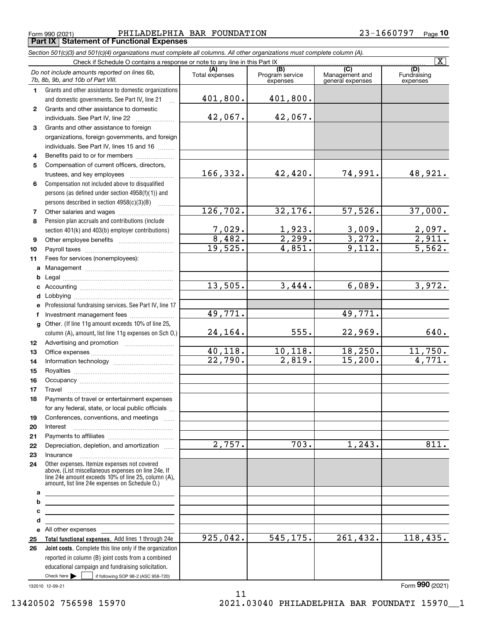Form 990 (2021) PHILADELPHIA BAR FOUNDATION 23-1660797 Page **Part IX Statement of Functional Expenses**

|    | Section 501(c)(3) and 501(c)(4) organizations must complete all columns. All other organizations must complete column (A).                                                                                   |                         |                                    |                                           |                                |
|----|--------------------------------------------------------------------------------------------------------------------------------------------------------------------------------------------------------------|-------------------------|------------------------------------|-------------------------------------------|--------------------------------|
|    |                                                                                                                                                                                                              |                         |                                    |                                           | $\overline{\mathbf{X}}$        |
|    | Do not include amounts reported on lines 6b,<br>7b, 8b, 9b, and 10b of Part VIII.                                                                                                                            | (A)<br>Total expenses   | (B)<br>Program service<br>expenses | (C)<br>Management and<br>general expenses | (D)<br>Fundraising<br>expenses |
| 1  | Grants and other assistance to domestic organizations                                                                                                                                                        |                         |                                    |                                           |                                |
|    | and domestic governments. See Part IV, line 21                                                                                                                                                               | 401,800.                | 401,800.                           |                                           |                                |
| 2  | Grants and other assistance to domestic                                                                                                                                                                      |                         |                                    |                                           |                                |
|    | individuals. See Part IV, line 22                                                                                                                                                                            | 42,067.                 | 42,067.                            |                                           |                                |
| 3  | Grants and other assistance to foreign                                                                                                                                                                       |                         |                                    |                                           |                                |
|    | organizations, foreign governments, and foreign                                                                                                                                                              |                         |                                    |                                           |                                |
|    | individuals. See Part IV, lines 15 and 16                                                                                                                                                                    |                         |                                    |                                           |                                |
| 4  | Benefits paid to or for members                                                                                                                                                                              |                         |                                    |                                           |                                |
| 5  | Compensation of current officers, directors,                                                                                                                                                                 |                         |                                    |                                           |                                |
|    | trustees, and key employees                                                                                                                                                                                  | 166,332.                | 42, 420.                           | 74,991.                                   | 48,921.                        |
| 6  | Compensation not included above to disqualified                                                                                                                                                              |                         |                                    |                                           |                                |
|    | persons (as defined under section 4958(f)(1)) and                                                                                                                                                            |                         |                                    |                                           |                                |
|    | persons described in section 4958(c)(3)(B)                                                                                                                                                                   |                         |                                    |                                           |                                |
| 7  |                                                                                                                                                                                                              | 126, 702.               | 32,176.                            | 57,526.                                   | 37,000.                        |
| 8  | Pension plan accruals and contributions (include                                                                                                                                                             |                         |                                    |                                           |                                |
|    | section 401(k) and 403(b) employer contributions)                                                                                                                                                            | $\frac{7,029.}{8,482.}$ | 1,923.                             | $\frac{3,009}{3,272}$                     | $\frac{2,097.}{2,911.}$        |
| 9  |                                                                                                                                                                                                              |                         | 2,299.                             |                                           |                                |
| 10 |                                                                                                                                                                                                              | 19,525.                 | 4,851.                             | 9,112.                                    | $\overline{5,562.}$            |
| 11 | Fees for services (nonemployees):                                                                                                                                                                            |                         |                                    |                                           |                                |
| a  |                                                                                                                                                                                                              |                         |                                    |                                           |                                |
| b  |                                                                                                                                                                                                              |                         |                                    |                                           |                                |
| c  |                                                                                                                                                                                                              | 13,505.                 | 3,444.                             | 6,089.                                    | 3,972.                         |
| d  |                                                                                                                                                                                                              |                         |                                    |                                           |                                |
| е  | Professional fundraising services. See Part IV, line 17                                                                                                                                                      |                         |                                    |                                           |                                |
| f  | Investment management fees                                                                                                                                                                                   | 49,771.                 |                                    | 49,771.                                   |                                |
| g  | Other. (If line 11g amount exceeds 10% of line 25,                                                                                                                                                           |                         |                                    |                                           |                                |
|    | column (A), amount, list line 11g expenses on Sch 0.)                                                                                                                                                        | 24, 164.                | 555.                               | 22,969.                                   | 640.                           |
| 12 |                                                                                                                                                                                                              |                         |                                    |                                           |                                |
| 13 |                                                                                                                                                                                                              | 40,118.                 | 10, 118.                           | 18, 250.                                  | 11,750.                        |
| 14 |                                                                                                                                                                                                              | $\overline{22,790}$ .   | 2,819.                             | 15,200.                                   | $\overline{4,771.}$            |
| 15 |                                                                                                                                                                                                              |                         |                                    |                                           |                                |
| 16 |                                                                                                                                                                                                              |                         |                                    |                                           |                                |
| 17 |                                                                                                                                                                                                              |                         |                                    |                                           |                                |
| 18 | Payments of travel or entertainment expenses                                                                                                                                                                 |                         |                                    |                                           |                                |
|    | for any federal, state, or local public officials                                                                                                                                                            |                         |                                    |                                           |                                |
| 19 | Conferences, conventions, and meetings                                                                                                                                                                       |                         |                                    |                                           |                                |
| 20 | Interest                                                                                                                                                                                                     |                         |                                    |                                           |                                |
| 21 |                                                                                                                                                                                                              |                         |                                    |                                           |                                |
| 22 | Depreciation, depletion, and amortization                                                                                                                                                                    | $\overline{2,757}$ .    | 703.                               | 1, 243.                                   | 811.                           |
| 23 | Insurance                                                                                                                                                                                                    |                         |                                    |                                           |                                |
| 24 | Other expenses. Itemize expenses not covered<br>above. (List miscellaneous expenses on line 24e. If<br>line 24e amount exceeds 10% of line 25, column (A),<br>amount. list line 24e expenses on Schedule 0.) |                         |                                    |                                           |                                |
| а  | <u> 1989 - Johann Barn, amerikansk politiker (</u>                                                                                                                                                           |                         |                                    |                                           |                                |
| b  | <u> 1989 - Johann Stoff, Amerikaansk politiker (</u>                                                                                                                                                         |                         |                                    |                                           |                                |
| с  | <u> 1989 - Johann Stein, marwolaethau a bhann an t-Amhair an t-Amhair an t-Amhair an t-Amhair an t-Amhair an t-A</u>                                                                                         |                         |                                    |                                           |                                |
| d  | <u> 1989 - Johann Stein, marwolaethau a bhann an t-Amhair an t-Amhair an t-Amhair an t-Amhair an t-Amhair an t-A</u>                                                                                         |                         |                                    |                                           |                                |
|    | e All other expenses                                                                                                                                                                                         |                         |                                    |                                           |                                |
| 25 | Total functional expenses. Add lines 1 through 24e                                                                                                                                                           | 925,042.                | 545, 175.                          | $\overline{261,432}$ .                    | 118,435.                       |
| 26 | <b>Joint costs.</b> Complete this line only if the organization                                                                                                                                              |                         |                                    |                                           |                                |
|    | reported in column (B) joint costs from a combined                                                                                                                                                           |                         |                                    |                                           |                                |
|    | educational campaign and fundraising solicitation.                                                                                                                                                           |                         |                                    |                                           |                                |
|    | Check here         if following SOP 98-2 (ASC 958-720)                                                                                                                                                       |                         |                                    |                                           |                                |

132010 12-09-21

11 13420502 756598 15970 2021.03040 PHILADELPHIA BAR FOUNDATI 15970\_\_1

Form (2021) **990**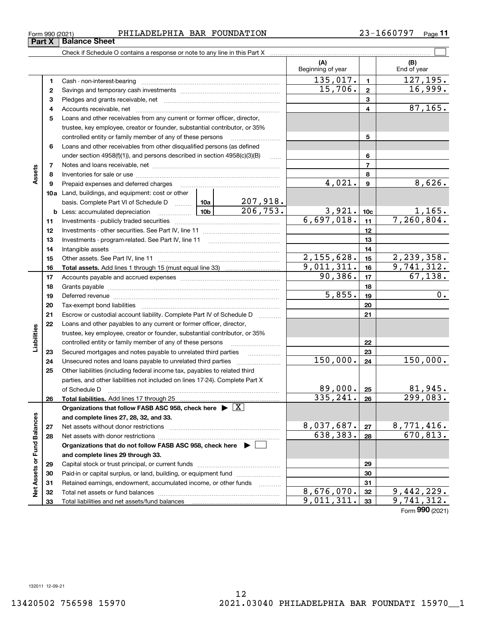**33**

**Net Assets or Fund Balances**

Net Assets or Fund Balances

**Assets**

**Liabilities**

Liabilities

Total liabilities and net assets/fund balances

#### Form 990 (2021) PHILADELPHIA BAR FOUNDATION 23-1660797 Page **Part X Balance Sheet**

Check if Schedule O contains a response or note to any line in this Part X

|    |                                                                                    |                                 | (A)<br>Beginning of year  |                       | (B)<br>End of year          |
|----|------------------------------------------------------------------------------------|---------------------------------|---------------------------|-----------------------|-----------------------------|
| 1  |                                                                                    |                                 | 135,017.                  | $\blacksquare$        | 127,195.                    |
| 2  |                                                                                    | 15,706.                         | $\mathbf 2$               | 16,999.               |                             |
| з  |                                                                                    |                                 |                           | 3                     |                             |
| 4  |                                                                                    |                                 |                           | 4                     | 87, 165.                    |
| 5  | Loans and other receivables from any current or former officer, director,          |                                 |                           |                       |                             |
|    | trustee, key employee, creator or founder, substantial contributor, or 35%         |                                 |                           |                       |                             |
|    | controlled entity or family member of any of these persons                         |                                 |                           | 5                     |                             |
| 6  | Loans and other receivables from other disqualified persons (as defined            |                                 |                           |                       |                             |
|    | under section $4958(f)(1)$ , and persons described in section $4958(c)(3)(B)$      |                                 |                           | 6                     |                             |
| 7  |                                                                                    |                                 |                           | $\overline{7}$        |                             |
| 8  |                                                                                    |                                 |                           | 8                     |                             |
| 9  | Prepaid expenses and deferred charges                                              |                                 | 4,021.                    | $\mathbf{9}$          | 8,626.                      |
|    | 10a Land, buildings, and equipment: cost or other                                  |                                 |                           |                       |                             |
|    | basis. Complete Part VI of Schedule D  10a                                         | $\frac{207,918}{206,753}$       |                           |                       |                             |
| b  |                                                                                    |                                 | $\frac{3,921}{6,697,018}$ | 10 <sub>c</sub>       | $\frac{1,165}{7,260,804}$   |
| 11 |                                                                                    |                                 |                           | 11                    |                             |
| 12 |                                                                                    |                                 |                           | 12                    |                             |
| 13 |                                                                                    |                                 |                           | 13                    |                             |
| 14 | Intangible assets                                                                  |                                 |                           | 14                    |                             |
| 15 |                                                                                    |                                 | 15                        | 2,239,358.            |                             |
| 16 |                                                                                    | $\frac{2,155,628.}{9,011,311.}$ | 16                        | 9,741,312.            |                             |
| 17 |                                                                                    | 90,386.                         | 17                        | $\overline{67,138}$ . |                             |
| 18 |                                                                                    |                                 |                           | 18                    |                             |
| 19 |                                                                                    |                                 | 5,855.                    | 19                    | 0.                          |
| 20 |                                                                                    |                                 |                           | 20                    |                             |
| 21 | Escrow or custodial account liability. Complete Part IV of Schedule D              | 1.1.1.1.1.1.1.1.1               |                           | 21                    |                             |
| 22 | Loans and other payables to any current or former officer, director,               |                                 |                           |                       |                             |
|    | trustee, key employee, creator or founder, substantial contributor, or 35%         |                                 |                           |                       |                             |
|    | controlled entity or family member of any of these persons                         |                                 |                           | 22                    |                             |
| 23 |                                                                                    |                                 |                           | 23                    |                             |
| 24 | Unsecured notes and loans payable to unrelated third parties                       |                                 | 150,000.                  | 24                    | 150,000.                    |
| 25 | Other liabilities (including federal income tax, payables to related third         |                                 |                           |                       |                             |
|    | parties, and other liabilities not included on lines 17-24). Complete Part X       |                                 |                           |                       |                             |
|    | of Schedule D                                                                      |                                 | 89,000.                   | 25                    | 81,945.                     |
| 26 |                                                                                    |                                 | 335, 241.                 | 26                    | 299,083.                    |
|    | Organizations that follow FASB ASC 958, check here $\blacktriangleright \boxed{X}$ |                                 |                           |                       |                             |
|    | and complete lines 27, 28, 32, and 33.                                             |                                 |                           |                       |                             |
| 27 | Net assets without donor restrictions                                              |                                 | <u>8,037,687.</u>         | 27                    | $\frac{8,771,416}{670,813}$ |
| 28 | Net assets with donor restrictions                                                 |                                 | 638,383.                  | 28                    |                             |
|    | Organizations that do not follow FASB ASC 958, check here ▶ □                      |                                 |                           |                       |                             |
|    | and complete lines 29 through 33.                                                  |                                 |                           |                       |                             |
| 29 |                                                                                    |                                 |                           | 29                    |                             |
| 30 | Paid-in or capital surplus, or land, building, or equipment fund                   |                                 |                           | 30                    |                             |
| 31 | Retained earnings, endowment, accumulated income, or other funds                   |                                 |                           | 31                    |                             |
| 32 |                                                                                    |                                 | 8,676,070.                | 32                    | 9,442,229.                  |

 $\mathcal{L}^{\text{max}}$ 

**33**

 $9,011,311. |33 | 9,741,312.$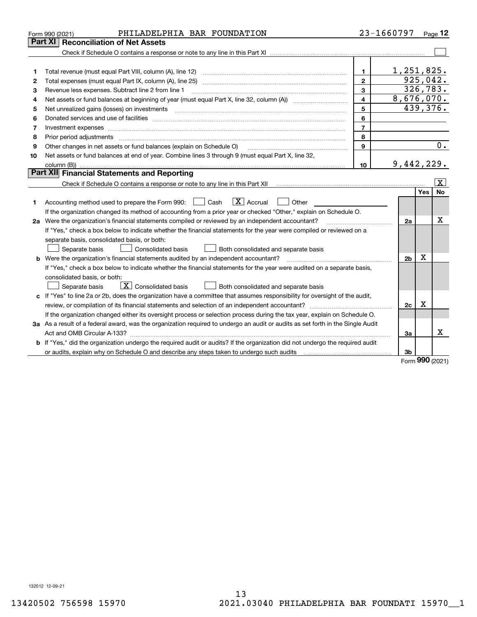|    | PHILADELPHIA BAR FOUNDATION<br>Form 990 (2021)                                                                                  |                         | 23-1660797     |            | Page $12$              |
|----|---------------------------------------------------------------------------------------------------------------------------------|-------------------------|----------------|------------|------------------------|
|    | Part XI<br><b>Reconciliation of Net Assets</b>                                                                                  |                         |                |            |                        |
|    |                                                                                                                                 |                         |                |            |                        |
|    |                                                                                                                                 |                         |                |            |                        |
| 1  |                                                                                                                                 | $\mathbf{1}$            | 1,251,825.     |            |                        |
| 2  | Total expenses (must equal Part IX, column (A), line 25)                                                                        | $\mathbf{2}$            |                | 925,042.   |                        |
| 3  | Revenue less expenses. Subtract line 2 from line 1                                                                              | 3                       |                |            | 326,783.               |
| 4  |                                                                                                                                 | $\overline{\mathbf{4}}$ | 8,676,070.     |            |                        |
| 5  | Net unrealized gains (losses) on investments                                                                                    | 5                       |                |            | 439,376.               |
| 6  |                                                                                                                                 | 6                       |                |            |                        |
| 7  | Investment expenses                                                                                                             | $\overline{7}$          |                |            |                        |
| 8  | Prior period adjustments                                                                                                        | 8                       |                |            |                        |
| 9  | Other changes in net assets or fund balances (explain on Schedule O)                                                            | $\mathbf{9}$            |                |            | 0.                     |
| 10 | Net assets or fund balances at end of year. Combine lines 3 through 9 (must equal Part X, line 32,                              |                         |                |            |                        |
|    |                                                                                                                                 | 10                      | 9,442,229.     |            |                        |
|    | <b>Part XII Financial Statements and Reporting</b>                                                                              |                         |                |            |                        |
|    |                                                                                                                                 |                         |                |            | $\vert \text{X} \vert$ |
|    |                                                                                                                                 |                         |                | Yes        | <b>No</b>              |
| 1  | $\boxed{\mathbf{X}}$ Accrual<br>Accounting method used to prepare the Form 990: <u>June</u> Cash<br>Other                       |                         |                |            |                        |
|    | If the organization changed its method of accounting from a prior year or checked "Other," explain on Schedule O.               |                         |                |            |                        |
|    | 2a Were the organization's financial statements compiled or reviewed by an independent accountant?                              |                         | 2a             |            | X                      |
|    | If "Yes," check a box below to indicate whether the financial statements for the year were compiled or reviewed on a            |                         |                |            |                        |
|    | separate basis, consolidated basis, or both:                                                                                    |                         |                |            |                        |
|    | Separate basis<br>Both consolidated and separate basis<br>Consolidated basis                                                    |                         |                |            |                        |
|    | <b>b</b> Were the organization's financial statements audited by an independent accountant?                                     |                         | 2 <sub>b</sub> | X          |                        |
|    | If "Yes," check a box below to indicate whether the financial statements for the year were audited on a separate basis,         |                         |                |            |                        |
|    | consolidated basis, or both:                                                                                                    |                         |                |            |                        |
|    | $\boxed{\mathbf{X}}$ Consolidated basis<br>Separate basis<br>Both consolidated and separate basis                               |                         |                |            |                        |
|    | c If "Yes" to line 2a or 2b, does the organization have a committee that assumes responsibility for oversight of the audit,     |                         |                |            |                        |
|    |                                                                                                                                 |                         | 2c             | х          |                        |
|    | If the organization changed either its oversight process or selection process during the tax year, explain on Schedule O.       |                         |                |            |                        |
|    | 3a As a result of a federal award, was the organization required to undergo an audit or audits as set forth in the Single Audit |                         |                |            |                        |
|    | Act and OMB Circular A-133?                                                                                                     |                         | За             |            | x                      |
|    | b If "Yes," did the organization undergo the required audit or audits? If the organization did not undergo the required audit   |                         |                |            |                        |
|    |                                                                                                                                 |                         | 3b             | <b>nnn</b> |                        |

Form (2021) **990**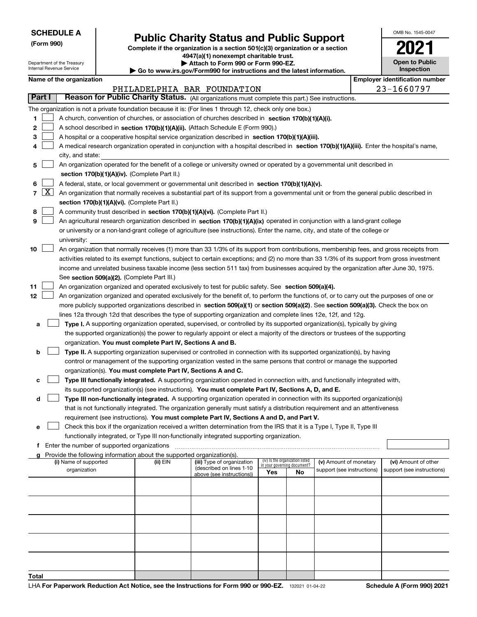Department of the Treasury Internal Revenue Service

**(Form 990)**

### **Public Charity Status and Public Support**

**Complete if the organization is a section 501(c)(3) organization or a section 4947(a)(1) nonexempt charitable trust.**

**| Attach to Form 990 or Form 990-EZ.** 

**| Go to www.irs.gov/Form990 for instructions and the latest information.**

|  | OMB No. 1545-0047                   |  |  |  |  |  |  |
|--|-------------------------------------|--|--|--|--|--|--|
|  | 12<br>L                             |  |  |  |  |  |  |
|  | <b>Open to Public</b><br>Inspection |  |  |  |  |  |  |
|  |                                     |  |  |  |  |  |  |

|  | Name of the organization |
|--|--------------------------|
|--|--------------------------|

|                                                                                                                                 |                     | Name of the organization                                                                                                                                                                                                                           |          |                            |                             |                                 |                            |            | <b>Employer identification number</b> |  |  |  |  |
|---------------------------------------------------------------------------------------------------------------------------------|---------------------|----------------------------------------------------------------------------------------------------------------------------------------------------------------------------------------------------------------------------------------------------|----------|----------------------------|-----------------------------|---------------------------------|----------------------------|------------|---------------------------------------|--|--|--|--|
| PHILADELPHIA BAR FOUNDATION<br>Reason for Public Charity Status. (All organizations must complete this part.) See instructions. |                     |                                                                                                                                                                                                                                                    |          |                            |                             |                                 |                            | 23-1660797 |                                       |  |  |  |  |
|                                                                                                                                 | Part I              |                                                                                                                                                                                                                                                    |          |                            |                             |                                 |                            |            |                                       |  |  |  |  |
|                                                                                                                                 |                     | The organization is not a private foundation because it is: (For lines 1 through 12, check only one box.)                                                                                                                                          |          |                            |                             |                                 |                            |            |                                       |  |  |  |  |
| 1.                                                                                                                              |                     | A church, convention of churches, or association of churches described in section 170(b)(1)(A)(i).                                                                                                                                                 |          |                            |                             |                                 |                            |            |                                       |  |  |  |  |
| 2                                                                                                                               |                     | A school described in section 170(b)(1)(A)(ii). (Attach Schedule E (Form 990).)                                                                                                                                                                    |          |                            |                             |                                 |                            |            |                                       |  |  |  |  |
| 3                                                                                                                               |                     | A hospital or a cooperative hospital service organization described in section $170(b)(1)(A)(iii)$ .                                                                                                                                               |          |                            |                             |                                 |                            |            |                                       |  |  |  |  |
| 4                                                                                                                               |                     | A medical research organization operated in conjunction with a hospital described in section 170(b)(1)(A)(iii). Enter the hospital's name,                                                                                                         |          |                            |                             |                                 |                            |            |                                       |  |  |  |  |
|                                                                                                                                 |                     | city, and state:                                                                                                                                                                                                                                   |          |                            |                             |                                 |                            |            |                                       |  |  |  |  |
| 5                                                                                                                               |                     | An organization operated for the benefit of a college or university owned or operated by a governmental unit described in                                                                                                                          |          |                            |                             |                                 |                            |            |                                       |  |  |  |  |
|                                                                                                                                 |                     | section 170(b)(1)(A)(iv). (Complete Part II.)                                                                                                                                                                                                      |          |                            |                             |                                 |                            |            |                                       |  |  |  |  |
| 6                                                                                                                               |                     | A federal, state, or local government or governmental unit described in section 170(b)(1)(A)(v).                                                                                                                                                   |          |                            |                             |                                 |                            |            |                                       |  |  |  |  |
| $\overline{7}$                                                                                                                  | $\lfloor x \rfloor$ | An organization that normally receives a substantial part of its support from a governmental unit or from the general public described in                                                                                                          |          |                            |                             |                                 |                            |            |                                       |  |  |  |  |
|                                                                                                                                 |                     | section 170(b)(1)(A)(vi). (Complete Part II.)                                                                                                                                                                                                      |          |                            |                             |                                 |                            |            |                                       |  |  |  |  |
| 8                                                                                                                               |                     | A community trust described in section 170(b)(1)(A)(vi). (Complete Part II.)                                                                                                                                                                       |          |                            |                             |                                 |                            |            |                                       |  |  |  |  |
| 9                                                                                                                               |                     | An agricultural research organization described in section 170(b)(1)(A)(ix) operated in conjunction with a land-grant college                                                                                                                      |          |                            |                             |                                 |                            |            |                                       |  |  |  |  |
|                                                                                                                                 |                     | or university or a non-land-grant college of agriculture (see instructions). Enter the name, city, and state of the college or                                                                                                                     |          |                            |                             |                                 |                            |            |                                       |  |  |  |  |
|                                                                                                                                 |                     | university:                                                                                                                                                                                                                                        |          |                            |                             |                                 |                            |            |                                       |  |  |  |  |
| 10                                                                                                                              |                     | An organization that normally receives (1) more than 33 1/3% of its support from contributions, membership fees, and gross receipts from                                                                                                           |          |                            |                             |                                 |                            |            |                                       |  |  |  |  |
|                                                                                                                                 |                     | activities related to its exempt functions, subject to certain exceptions; and (2) no more than 33 1/3% of its support from gross investment                                                                                                       |          |                            |                             |                                 |                            |            |                                       |  |  |  |  |
|                                                                                                                                 |                     | income and unrelated business taxable income (less section 511 tax) from businesses acquired by the organization after June 30, 1975.                                                                                                              |          |                            |                             |                                 |                            |            |                                       |  |  |  |  |
|                                                                                                                                 |                     | See section 509(a)(2). (Complete Part III.)                                                                                                                                                                                                        |          |                            |                             |                                 |                            |            |                                       |  |  |  |  |
| 11<br>12                                                                                                                        |                     | An organization organized and operated exclusively to test for public safety. See section 509(a)(4).<br>An organization organized and operated exclusively for the benefit of, to perform the functions of, or to carry out the purposes of one or |          |                            |                             |                                 |                            |            |                                       |  |  |  |  |
|                                                                                                                                 |                     | more publicly supported organizations described in section 509(a)(1) or section 509(a)(2). See section 509(a)(3). Check the box on                                                                                                                 |          |                            |                             |                                 |                            |            |                                       |  |  |  |  |
|                                                                                                                                 |                     | lines 12a through 12d that describes the type of supporting organization and complete lines 12e, 12f, and 12g.                                                                                                                                     |          |                            |                             |                                 |                            |            |                                       |  |  |  |  |
| а                                                                                                                               |                     | Type I. A supporting organization operated, supervised, or controlled by its supported organization(s), typically by giving                                                                                                                        |          |                            |                             |                                 |                            |            |                                       |  |  |  |  |
|                                                                                                                                 |                     | the supported organization(s) the power to regularly appoint or elect a majority of the directors or trustees of the supporting                                                                                                                    |          |                            |                             |                                 |                            |            |                                       |  |  |  |  |
|                                                                                                                                 |                     | organization. You must complete Part IV, Sections A and B.                                                                                                                                                                                         |          |                            |                             |                                 |                            |            |                                       |  |  |  |  |
| b                                                                                                                               |                     | Type II. A supporting organization supervised or controlled in connection with its supported organization(s), by having                                                                                                                            |          |                            |                             |                                 |                            |            |                                       |  |  |  |  |
|                                                                                                                                 |                     | control or management of the supporting organization vested in the same persons that control or manage the supported                                                                                                                               |          |                            |                             |                                 |                            |            |                                       |  |  |  |  |
|                                                                                                                                 |                     | organization(s). You must complete Part IV, Sections A and C.                                                                                                                                                                                      |          |                            |                             |                                 |                            |            |                                       |  |  |  |  |
| с                                                                                                                               |                     | Type III functionally integrated. A supporting organization operated in connection with, and functionally integrated with,                                                                                                                         |          |                            |                             |                                 |                            |            |                                       |  |  |  |  |
|                                                                                                                                 |                     | its supported organization(s) (see instructions). You must complete Part IV, Sections A, D, and E.                                                                                                                                                 |          |                            |                             |                                 |                            |            |                                       |  |  |  |  |
| d                                                                                                                               |                     | Type III non-functionally integrated. A supporting organization operated in connection with its supported organization(s)                                                                                                                          |          |                            |                             |                                 |                            |            |                                       |  |  |  |  |
|                                                                                                                                 |                     | that is not functionally integrated. The organization generally must satisfy a distribution requirement and an attentiveness                                                                                                                       |          |                            |                             |                                 |                            |            |                                       |  |  |  |  |
|                                                                                                                                 |                     | requirement (see instructions). You must complete Part IV, Sections A and D, and Part V.                                                                                                                                                           |          |                            |                             |                                 |                            |            |                                       |  |  |  |  |
|                                                                                                                                 |                     | Check this box if the organization received a written determination from the IRS that it is a Type I, Type II, Type III                                                                                                                            |          |                            |                             |                                 |                            |            |                                       |  |  |  |  |
|                                                                                                                                 |                     | functionally integrated, or Type III non-functionally integrated supporting organization.                                                                                                                                                          |          |                            |                             |                                 |                            |            |                                       |  |  |  |  |
|                                                                                                                                 |                     | f Enter the number of supported organizations                                                                                                                                                                                                      |          |                            |                             |                                 |                            |            |                                       |  |  |  |  |
|                                                                                                                                 |                     | g Provide the following information about the supported organization(s).<br>(i) Name of supported                                                                                                                                                  | (ii) EIN | (iii) Type of organization |                             | (iv) Is the organization listed | (v) Amount of monetary     |            | (vi) Amount of other                  |  |  |  |  |
|                                                                                                                                 |                     | organization                                                                                                                                                                                                                                       |          | (described on lines 1-10   | in your governing document? |                                 | support (see instructions) |            | support (see instructions)            |  |  |  |  |
|                                                                                                                                 |                     |                                                                                                                                                                                                                                                    |          | above (see instructions))  | Yes                         | No                              |                            |            |                                       |  |  |  |  |
|                                                                                                                                 |                     |                                                                                                                                                                                                                                                    |          |                            |                             |                                 |                            |            |                                       |  |  |  |  |
|                                                                                                                                 |                     |                                                                                                                                                                                                                                                    |          |                            |                             |                                 |                            |            |                                       |  |  |  |  |
|                                                                                                                                 |                     |                                                                                                                                                                                                                                                    |          |                            |                             |                                 |                            |            |                                       |  |  |  |  |
|                                                                                                                                 |                     |                                                                                                                                                                                                                                                    |          |                            |                             |                                 |                            |            |                                       |  |  |  |  |
|                                                                                                                                 |                     |                                                                                                                                                                                                                                                    |          |                            |                             |                                 |                            |            |                                       |  |  |  |  |
|                                                                                                                                 |                     |                                                                                                                                                                                                                                                    |          |                            |                             |                                 |                            |            |                                       |  |  |  |  |
|                                                                                                                                 |                     |                                                                                                                                                                                                                                                    |          |                            |                             |                                 |                            |            |                                       |  |  |  |  |
|                                                                                                                                 |                     |                                                                                                                                                                                                                                                    |          |                            |                             |                                 |                            |            |                                       |  |  |  |  |
|                                                                                                                                 |                     |                                                                                                                                                                                                                                                    |          |                            |                             |                                 |                            |            |                                       |  |  |  |  |
| <b>Total</b>                                                                                                                    |                     |                                                                                                                                                                                                                                                    |          |                            |                             |                                 |                            |            |                                       |  |  |  |  |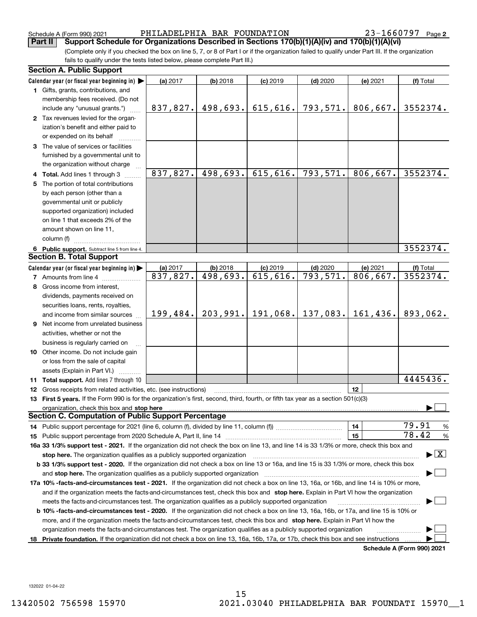Schedule A (Form 990) 2021 PHILADELPHIA BAR FOUNDATION 23-1660797 Page

23-1660797 Page 2

(Complete only if you checked the box on line 5, 7, or 8 of Part I or if the organization failed to qualify under Part III. If the organization fails to qualify under the tests listed below, please complete Part III.) **Part II Support Schedule for Organizations Described in Sections 170(b)(1)(A)(iv) and 170(b)(1)(A)(vi)**

|    | <b>Section A. Public Support</b>                                                                                                               |          |            |            |            |           |                                          |
|----|------------------------------------------------------------------------------------------------------------------------------------------------|----------|------------|------------|------------|-----------|------------------------------------------|
|    | Calendar year (or fiscal year beginning in) $\blacktriangleright$                                                                              | (a) 2017 | $(b)$ 2018 | $(c)$ 2019 | $(d)$ 2020 | (e) 2021  | (f) Total                                |
|    | 1 Gifts, grants, contributions, and                                                                                                            |          |            |            |            |           |                                          |
|    | membership fees received. (Do not                                                                                                              |          |            |            |            |           |                                          |
|    | include any "unusual grants.")                                                                                                                 | 837,827. | 498,693.   | 615,616.   | 793,571.   | 806, 667. | 3552374.                                 |
|    | 2 Tax revenues levied for the organ-                                                                                                           |          |            |            |            |           |                                          |
|    | ization's benefit and either paid to                                                                                                           |          |            |            |            |           |                                          |
|    | or expended on its behalf                                                                                                                      |          |            |            |            |           |                                          |
|    | 3 The value of services or facilities                                                                                                          |          |            |            |            |           |                                          |
|    | furnished by a governmental unit to                                                                                                            |          |            |            |            |           |                                          |
|    | the organization without charge                                                                                                                |          |            |            |            |           |                                          |
|    | 4 Total. Add lines 1 through 3                                                                                                                 | 837,827. | 498,693.   | 615,616.   | 793,571.   | 806, 667. | 3552374.                                 |
| 5. | The portion of total contributions                                                                                                             |          |            |            |            |           |                                          |
|    | by each person (other than a                                                                                                                   |          |            |            |            |           |                                          |
|    | governmental unit or publicly                                                                                                                  |          |            |            |            |           |                                          |
|    | supported organization) included                                                                                                               |          |            |            |            |           |                                          |
|    | on line 1 that exceeds 2% of the                                                                                                               |          |            |            |            |           |                                          |
|    | amount shown on line 11,                                                                                                                       |          |            |            |            |           |                                          |
|    | column (f)                                                                                                                                     |          |            |            |            |           |                                          |
|    | 6 Public support. Subtract line 5 from line 4.                                                                                                 |          |            |            |            |           | 3552374.                                 |
|    | <b>Section B. Total Support</b>                                                                                                                |          |            |            |            |           |                                          |
|    | Calendar year (or fiscal year beginning in)                                                                                                    | (a) 2017 | $(b)$ 2018 | $(c)$ 2019 | $(d)$ 2020 | (e) 2021  | (f) Total                                |
|    | <b>7</b> Amounts from line 4                                                                                                                   | 837,827. | 498,693.   | 615,616.   | 793,571.   | 806,667.  | 3552374.                                 |
|    | 8 Gross income from interest,                                                                                                                  |          |            |            |            |           |                                          |
|    | dividends, payments received on                                                                                                                |          |            |            |            |           |                                          |
|    | securities loans, rents, royalties,                                                                                                            |          |            |            |            |           |                                          |
|    | and income from similar sources                                                                                                                | 199,484. | 203,991.   | 191,068.   | 137,083.   | 161,436.  | 893,062.                                 |
|    | 9 Net income from unrelated business                                                                                                           |          |            |            |            |           |                                          |
|    | activities, whether or not the                                                                                                                 |          |            |            |            |           |                                          |
|    | business is regularly carried on                                                                                                               |          |            |            |            |           |                                          |
|    | 10 Other income. Do not include gain                                                                                                           |          |            |            |            |           |                                          |
|    | or loss from the sale of capital                                                                                                               |          |            |            |            |           |                                          |
|    | assets (Explain in Part VI.)                                                                                                                   |          |            |            |            |           |                                          |
|    | 11 Total support. Add lines 7 through 10                                                                                                       |          |            |            |            |           | 4445436.                                 |
|    | 12 Gross receipts from related activities, etc. (see instructions)                                                                             |          |            |            |            | 12        |                                          |
|    | 13 First 5 years. If the Form 990 is for the organization's first, second, third, fourth, or fifth tax year as a section 501(c)(3)             |          |            |            |            |           |                                          |
|    |                                                                                                                                                |          |            |            |            |           |                                          |
|    | <b>Section C. Computation of Public Support Percentage</b>                                                                                     |          |            |            |            |           |                                          |
|    |                                                                                                                                                |          |            |            |            | 14        | 79.91<br>%                               |
|    |                                                                                                                                                |          |            |            |            | 15        | 78.42<br>$\%$                            |
|    | 16a 33 1/3% support test - 2021. If the organization did not check the box on line 13, and line 14 is 33 1/3% or more, check this box and      |          |            |            |            |           |                                          |
|    | stop here. The organization qualifies as a publicly supported organization                                                                     |          |            |            |            |           | $\blacktriangleright$ $\boxed{\text{X}}$ |
|    | b 33 1/3% support test - 2020. If the organization did not check a box on line 13 or 16a, and line 15 is 33 1/3% or more, check this box       |          |            |            |            |           |                                          |
|    | and stop here. The organization qualifies as a publicly supported organization                                                                 |          |            |            |            |           |                                          |
|    | 17a 10% -facts-and-circumstances test - 2021. If the organization did not check a box on line 13, 16a, or 16b, and line 14 is 10% or more,     |          |            |            |            |           |                                          |
|    | and if the organization meets the facts-and-circumstances test, check this box and stop here. Explain in Part VI how the organization          |          |            |            |            |           |                                          |
|    | meets the facts-and-circumstances test. The organization qualifies as a publicly supported organization                                        |          |            |            |            |           |                                          |
|    | <b>b 10% -facts-and-circumstances test - 2020.</b> If the organization did not check a box on line 13, 16a, 16b, or 17a, and line 15 is 10% or |          |            |            |            |           |                                          |
|    | more, and if the organization meets the facts-and-circumstances test, check this box and stop here. Explain in Part VI how the                 |          |            |            |            |           |                                          |
|    | organization meets the facts-and-circumstances test. The organization qualifies as a publicly supported organization                           |          |            |            |            |           |                                          |
| 18 | Private foundation. If the organization did not check a box on line 13, 16a, 16b, 17a, or 17b, check this box and see instructions             |          |            |            |            |           |                                          |
|    |                                                                                                                                                |          |            |            |            |           | Schedule A (Form 990) 2021               |

132022 01-04-22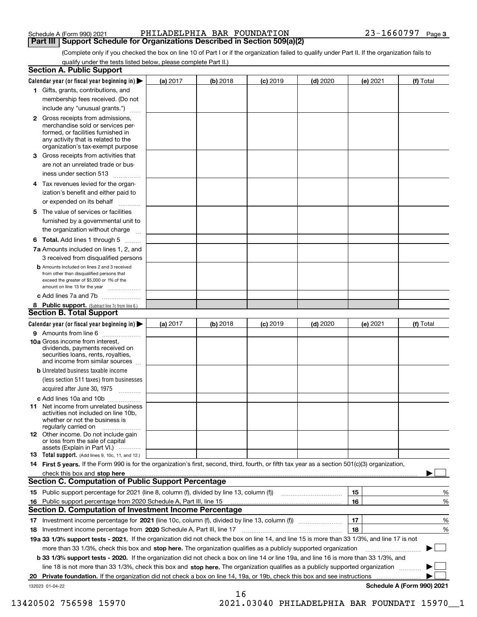#### Schedule A (Form 990) 2021 PHILADELPHIA BAR FOUNDATION 23-1660797 Page **Part III | Support Schedule for Organizations Described in Section 509(a)(2)**

(Complete only if you checked the box on line 10 of Part I or if the organization failed to qualify under Part II. If the organization fails to qualify under the tests listed below, please complete Part II.)

|    | <b>Section A. Public Support</b>                                                                                                                                                                |          |          |            |            |          |                            |
|----|-------------------------------------------------------------------------------------------------------------------------------------------------------------------------------------------------|----------|----------|------------|------------|----------|----------------------------|
|    | Calendar year (or fiscal year beginning in) $\blacktriangleright$                                                                                                                               | (a) 2017 | (b) 2018 | $(c)$ 2019 | $(d)$ 2020 | (e) 2021 | (f) Total                  |
|    | 1 Gifts, grants, contributions, and                                                                                                                                                             |          |          |            |            |          |                            |
|    | membership fees received. (Do not                                                                                                                                                               |          |          |            |            |          |                            |
|    | include any "unusual grants.")                                                                                                                                                                  |          |          |            |            |          |                            |
|    | <b>2</b> Gross receipts from admissions,<br>merchandise sold or services per-<br>formed, or facilities furnished in<br>any activity that is related to the<br>organization's tax-exempt purpose |          |          |            |            |          |                            |
|    | 3 Gross receipts from activities that<br>are not an unrelated trade or bus-                                                                                                                     |          |          |            |            |          |                            |
|    | iness under section 513                                                                                                                                                                         |          |          |            |            |          |                            |
|    | 4 Tax revenues levied for the organ-<br>ization's benefit and either paid to<br>or expended on its behalf                                                                                       |          |          |            |            |          |                            |
|    | 5 The value of services or facilities<br>furnished by a governmental unit to                                                                                                                    |          |          |            |            |          |                            |
|    | the organization without charge                                                                                                                                                                 |          |          |            |            |          |                            |
|    | <b>6 Total.</b> Add lines 1 through 5                                                                                                                                                           |          |          |            |            |          |                            |
|    | 7a Amounts included on lines 1, 2, and<br>3 received from disqualified persons                                                                                                                  |          |          |            |            |          |                            |
|    | <b>b</b> Amounts included on lines 2 and 3 received<br>from other than disqualified persons that<br>exceed the greater of \$5,000 or 1% of the<br>amount on line 13 for the year                |          |          |            |            |          |                            |
|    | c Add lines 7a and 7b                                                                                                                                                                           |          |          |            |            |          |                            |
|    | 8 Public support. (Subtract line 7c from line 6.)<br><b>Section B. Total Support</b>                                                                                                            |          |          |            |            |          |                            |
|    | Calendar year (or fiscal year beginning in)                                                                                                                                                     | (a) 2017 | (b) 2018 | $(c)$ 2019 | $(d)$ 2020 | (e) 2021 | (f) Total                  |
|    | 9 Amounts from line 6                                                                                                                                                                           |          |          |            |            |          |                            |
|    | 10a Gross income from interest,<br>dividends, payments received on<br>securities loans, rents, royalties,<br>and income from similar sources                                                    |          |          |            |            |          |                            |
|    | <b>b</b> Unrelated business taxable income<br>(less section 511 taxes) from businesses<br>acquired after June 30, 1975                                                                          |          |          |            |            |          |                            |
|    | c Add lines 10a and 10b                                                                                                                                                                         |          |          |            |            |          |                            |
|    | <b>11</b> Net income from unrelated business<br>activities not included on line 10b.<br>whether or not the business is<br>regularly carried on                                                  |          |          |            |            |          |                            |
|    | <b>12</b> Other income. Do not include gain<br>or loss from the sale of capital<br>assets (Explain in Part VI.)                                                                                 |          |          |            |            |          |                            |
|    | <b>13 Total support.</b> (Add lines 9, 10c, 11, and 12.)                                                                                                                                        |          |          |            |            |          |                            |
|    | 14 First 5 years. If the Form 990 is for the organization's first, second, third, fourth, or fifth tax year as a section 501(c)(3) organization,                                                |          |          |            |            |          |                            |
|    | check this box and stop here with the continuum control to the state of the state of the state of the state of                                                                                  |          |          |            |            |          |                            |
|    | <b>Section C. Computation of Public Support Percentage</b>                                                                                                                                      |          |          |            |            |          |                            |
|    |                                                                                                                                                                                                 |          |          |            |            | 15       | %                          |
|    | 16 Public support percentage from 2020 Schedule A, Part III, line 15                                                                                                                            |          |          |            |            | 16       | %                          |
|    | <b>Section D. Computation of Investment Income Percentage</b>                                                                                                                                   |          |          |            |            |          |                            |
|    | 17 Investment income percentage for 2021 (line 10c, column (f), divided by line 13, column (f))<br>18 Investment income percentage from 2020 Schedule A, Part III, line 17                      |          |          |            |            | 17<br>18 | %<br>%                     |
|    | 19a 33 1/3% support tests - 2021. If the organization did not check the box on line 14, and line 15 is more than 33 1/3%, and line 17 is not                                                    |          |          |            |            |          |                            |
|    | more than 33 1/3%, check this box and stop here. The organization qualifies as a publicly supported organization                                                                                |          |          |            |            |          |                            |
|    | b 33 1/3% support tests - 2020. If the organization did not check a box on line 14 or line 19a, and line 16 is more than 33 1/3%, and                                                           |          |          |            |            |          |                            |
|    | line 18 is not more than 33 1/3%, check this box and stop here. The organization qualifies as a publicly supported organization                                                                 |          |          |            |            |          |                            |
| 20 | Private foundation. If the organization did not check a box on line 14, 19a, or 19b, check this box and see instructions                                                                        |          |          |            |            |          |                            |
|    | 132023 01-04-22                                                                                                                                                                                 |          |          |            |            |          | Schedule A (Form 990) 2021 |
|    |                                                                                                                                                                                                 |          | 16       |            |            |          |                            |

13420502 756598 15970 2021.03040 PHILADELPHIA BAR FOUNDATI 15970\_\_1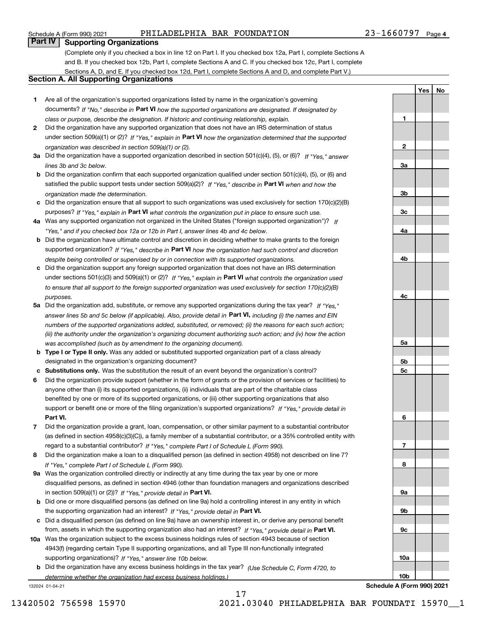#### Schedule A (Form 990) 2021 PHILADELPHIA BAR FOUNDATION 23-1660797 Page

**1**

**2**

**YesNo**

### **Part IV Supporting Organizations**

(Complete only if you checked a box in line 12 on Part I. If you checked box 12a, Part I, complete Sections A and B. If you checked box 12b, Part I, complete Sections A and C. If you checked box 12c, Part I, complete Sections A, D, and E. If you checked box 12d, Part I, complete Sections A and D, and complete Part V.)

#### **Section A. All Supporting Organizations**

- **1** Are all of the organization's supported organizations listed by name in the organization's governing documents? If "No," describe in **Part VI** how the supported organizations are designated. If designated by *class or purpose, describe the designation. If historic and continuing relationship, explain.*
- **2** Did the organization have any supported organization that does not have an IRS determination of status under section 509(a)(1) or (2)? If "Yes," explain in Part VI how the organization determined that the supported *organization was described in section 509(a)(1) or (2).*
- **3a** Did the organization have a supported organization described in section 501(c)(4), (5), or (6)? If "Yes," answer *lines 3b and 3c below.*
- **b** Did the organization confirm that each supported organization qualified under section 501(c)(4), (5), or (6) and satisfied the public support tests under section 509(a)(2)? If "Yes," describe in **Part VI** when and how the *organization made the determination.*
- **c**Did the organization ensure that all support to such organizations was used exclusively for section 170(c)(2)(B) purposes? If "Yes," explain in **Part VI** what controls the organization put in place to ensure such use.
- **4a***If* Was any supported organization not organized in the United States ("foreign supported organization")? *"Yes," and if you checked box 12a or 12b in Part I, answer lines 4b and 4c below.*
- **b** Did the organization have ultimate control and discretion in deciding whether to make grants to the foreign supported organization? If "Yes," describe in **Part VI** how the organization had such control and discretion *despite being controlled or supervised by or in connection with its supported organizations.*
- **c** Did the organization support any foreign supported organization that does not have an IRS determination under sections 501(c)(3) and 509(a)(1) or (2)? If "Yes," explain in **Part VI** what controls the organization used *to ensure that all support to the foreign supported organization was used exclusively for section 170(c)(2)(B) purposes.*
- **5a** Did the organization add, substitute, or remove any supported organizations during the tax year? If "Yes," answer lines 5b and 5c below (if applicable). Also, provide detail in **Part VI,** including (i) the names and EIN *numbers of the supported organizations added, substituted, or removed; (ii) the reasons for each such action; (iii) the authority under the organization's organizing document authorizing such action; and (iv) how the action was accomplished (such as by amendment to the organizing document).*
- **b** Type I or Type II only. Was any added or substituted supported organization part of a class already designated in the organization's organizing document?
- **cSubstitutions only.**  Was the substitution the result of an event beyond the organization's control?
- **6** Did the organization provide support (whether in the form of grants or the provision of services or facilities) to **Part VI.** *If "Yes," provide detail in* support or benefit one or more of the filing organization's supported organizations? anyone other than (i) its supported organizations, (ii) individuals that are part of the charitable class benefited by one or more of its supported organizations, or (iii) other supporting organizations that also
- **7**Did the organization provide a grant, loan, compensation, or other similar payment to a substantial contributor regard to a substantial contributor? If "Yes," complete Part I of Schedule L (Form 990). (as defined in section 4958(c)(3)(C)), a family member of a substantial contributor, or a 35% controlled entity with
- **8** Did the organization make a loan to a disqualified person (as defined in section 4958) not described on line 7? *If "Yes," complete Part I of Schedule L (Form 990).*
- **9a** Was the organization controlled directly or indirectly at any time during the tax year by one or more in section 509(a)(1) or (2))? If "Yes," *provide detail in* <code>Part VI.</code> disqualified persons, as defined in section 4946 (other than foundation managers and organizations described
- **b** Did one or more disqualified persons (as defined on line 9a) hold a controlling interest in any entity in which the supporting organization had an interest? If "Yes," provide detail in P**art VI**.
- **c**Did a disqualified person (as defined on line 9a) have an ownership interest in, or derive any personal benefit from, assets in which the supporting organization also had an interest? If "Yes," provide detail in P**art VI.**
- **10a** Was the organization subject to the excess business holdings rules of section 4943 because of section supporting organizations)? If "Yes," answer line 10b below. 4943(f) (regarding certain Type II supporting organizations, and all Type III non-functionally integrated
- **b** Did the organization have any excess business holdings in the tax year? (Use Schedule C, Form 4720, to *determine whether the organization had excess business holdings.)*

17

132024 01-04-21

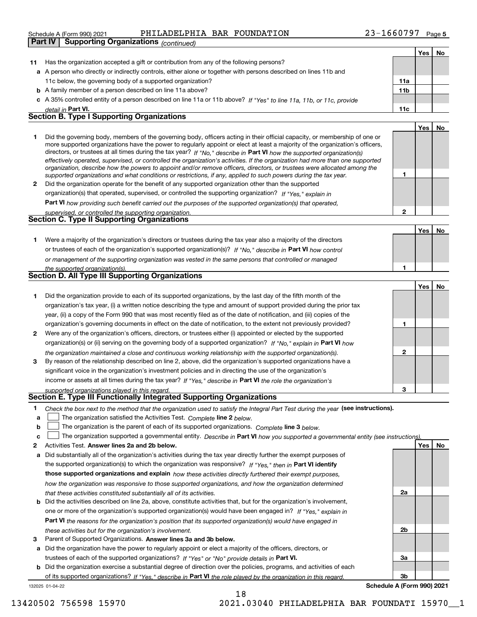|  | A (Form 990) 2021 |  | PHILADELPHIA BAR FOUNDATION |  |  |  |
|--|-------------------|--|-----------------------------|--|--|--|
|--|-------------------|--|-----------------------------|--|--|--|

|              | PHILADELPHIA BAR FOUNDATION<br>Schedule A (Form 990) 2021                                                                                                                                                                                                                                                                                                                                                                                                                                                                                                                                                                                            | $23 - 1660797$ Page 5 |            |     |
|--------------|------------------------------------------------------------------------------------------------------------------------------------------------------------------------------------------------------------------------------------------------------------------------------------------------------------------------------------------------------------------------------------------------------------------------------------------------------------------------------------------------------------------------------------------------------------------------------------------------------------------------------------------------------|-----------------------|------------|-----|
|              | <b>Supporting Organizations (continued)</b><br><b>Part IV</b>                                                                                                                                                                                                                                                                                                                                                                                                                                                                                                                                                                                        |                       |            |     |
|              |                                                                                                                                                                                                                                                                                                                                                                                                                                                                                                                                                                                                                                                      |                       | Yes        | No. |
| 11           | Has the organization accepted a gift or contribution from any of the following persons?                                                                                                                                                                                                                                                                                                                                                                                                                                                                                                                                                              |                       |            |     |
|              | a A person who directly or indirectly controls, either alone or together with persons described on lines 11b and                                                                                                                                                                                                                                                                                                                                                                                                                                                                                                                                     |                       |            |     |
|              | 11c below, the governing body of a supported organization?                                                                                                                                                                                                                                                                                                                                                                                                                                                                                                                                                                                           | 11a                   |            |     |
|              | <b>b</b> A family member of a person described on line 11a above?                                                                                                                                                                                                                                                                                                                                                                                                                                                                                                                                                                                    | 11 <sub>b</sub>       |            |     |
|              | c A 35% controlled entity of a person described on line 11a or 11b above? If "Yes" to line 11a, 11b, or 11c, provide                                                                                                                                                                                                                                                                                                                                                                                                                                                                                                                                 |                       |            |     |
|              | detail in Part VI.                                                                                                                                                                                                                                                                                                                                                                                                                                                                                                                                                                                                                                   | 11c                   |            |     |
|              | <b>Section B. Type I Supporting Organizations</b>                                                                                                                                                                                                                                                                                                                                                                                                                                                                                                                                                                                                    |                       |            |     |
|              |                                                                                                                                                                                                                                                                                                                                                                                                                                                                                                                                                                                                                                                      |                       | Yes        | No. |
| 1            | Did the governing body, members of the governing body, officers acting in their official capacity, or membership of one or<br>more supported organizations have the power to regularly appoint or elect at least a majority of the organization's officers,<br>directors, or trustees at all times during the tax year? If "No," describe in Part VI how the supported organization(s)<br>effectively operated, supervised, or controlled the organization's activities. If the organization had more than one supported<br>organization, describe how the powers to appoint and/or remove officers, directors, or trustees were allocated among the |                       |            |     |
|              | supported organizations and what conditions or restrictions, if any, applied to such powers during the tax year.                                                                                                                                                                                                                                                                                                                                                                                                                                                                                                                                     | 1                     |            |     |
| $\mathbf{2}$ | Did the organization operate for the benefit of any supported organization other than the supported                                                                                                                                                                                                                                                                                                                                                                                                                                                                                                                                                  |                       |            |     |
|              | organization(s) that operated, supervised, or controlled the supporting organization? If "Yes," explain in                                                                                                                                                                                                                                                                                                                                                                                                                                                                                                                                           |                       |            |     |
|              | Part VI how providing such benefit carried out the purposes of the supported organization(s) that operated,                                                                                                                                                                                                                                                                                                                                                                                                                                                                                                                                          |                       |            |     |
|              | supervised, or controlled the supporting organization.                                                                                                                                                                                                                                                                                                                                                                                                                                                                                                                                                                                               | $\mathbf{2}$          |            |     |
|              | Section C. Type II Supporting Organizations                                                                                                                                                                                                                                                                                                                                                                                                                                                                                                                                                                                                          |                       |            |     |
|              |                                                                                                                                                                                                                                                                                                                                                                                                                                                                                                                                                                                                                                                      |                       | <b>Yes</b> | No  |
| 1.           | Were a majority of the organization's directors or trustees during the tax year also a majority of the directors                                                                                                                                                                                                                                                                                                                                                                                                                                                                                                                                     |                       |            |     |
|              | or trustees of each of the organization's supported organization(s)? If "No," describe in Part VI how control                                                                                                                                                                                                                                                                                                                                                                                                                                                                                                                                        |                       |            |     |
|              | or management of the supporting organization was vested in the same persons that controlled or managed                                                                                                                                                                                                                                                                                                                                                                                                                                                                                                                                               |                       |            |     |
|              | the supported organization(s).                                                                                                                                                                                                                                                                                                                                                                                                                                                                                                                                                                                                                       | 1                     |            |     |
|              | Section D. All Type III Supporting Organizations                                                                                                                                                                                                                                                                                                                                                                                                                                                                                                                                                                                                     |                       |            |     |
|              |                                                                                                                                                                                                                                                                                                                                                                                                                                                                                                                                                                                                                                                      |                       | Yes        | No  |
| 1            | Did the organization provide to each of its supported organizations, by the last day of the fifth month of the                                                                                                                                                                                                                                                                                                                                                                                                                                                                                                                                       |                       |            |     |
|              | organization's tax year, (i) a written notice describing the type and amount of support provided during the prior tax                                                                                                                                                                                                                                                                                                                                                                                                                                                                                                                                |                       |            |     |
|              | year, (ii) a copy of the Form 990 that was most recently filed as of the date of notification, and (iii) copies of the                                                                                                                                                                                                                                                                                                                                                                                                                                                                                                                               |                       |            |     |
|              | organization's governing documents in effect on the date of notification, to the extent not previously provided?                                                                                                                                                                                                                                                                                                                                                                                                                                                                                                                                     | 1                     |            |     |
| 2            | Were any of the organization's officers, directors, or trustees either (i) appointed or elected by the supported                                                                                                                                                                                                                                                                                                                                                                                                                                                                                                                                     |                       |            |     |
|              | organization(s) or (ii) serving on the governing body of a supported organization? If "No," explain in Part VI how                                                                                                                                                                                                                                                                                                                                                                                                                                                                                                                                   |                       |            |     |
|              | the organization maintained a close and continuous working relationship with the supported organization(s).                                                                                                                                                                                                                                                                                                                                                                                                                                                                                                                                          | $\mathbf{2}$          |            |     |
| 3            | By reason of the relationship described on line 2, above, did the organization's supported organizations have a                                                                                                                                                                                                                                                                                                                                                                                                                                                                                                                                      |                       |            |     |
|              | significant voice in the organization's investment policies and in directing the use of the organization's                                                                                                                                                                                                                                                                                                                                                                                                                                                                                                                                           |                       |            |     |
|              | income or assets at all times during the tax year? If "Yes," describe in Part VI the role the organization's                                                                                                                                                                                                                                                                                                                                                                                                                                                                                                                                         |                       |            |     |
|              | supported organizations played in this regard.                                                                                                                                                                                                                                                                                                                                                                                                                                                                                                                                                                                                       | 3                     |            |     |
|              | Section E. Type III Functionally Integrated Supporting Organizations                                                                                                                                                                                                                                                                                                                                                                                                                                                                                                                                                                                 |                       |            |     |
| 1            | Check the box next to the method that the organization used to satisfy the Integral Part Test during the year (see instructions).                                                                                                                                                                                                                                                                                                                                                                                                                                                                                                                    |                       |            |     |
| a            | The organization satisfied the Activities Test. Complete line 2 below.                                                                                                                                                                                                                                                                                                                                                                                                                                                                                                                                                                               |                       |            |     |
| b            | The organization is the parent of each of its supported organizations. Complete line 3 below.                                                                                                                                                                                                                                                                                                                                                                                                                                                                                                                                                        |                       |            |     |

|  | $\therefore$ The organization supported a governmental entity. Describe in Part VI how you supported a governmental entity (see instructions). |  |  |
|--|------------------------------------------------------------------------------------------------------------------------------------------------|--|--|
|  |                                                                                                                                                |  |  |

| 2 Activities Test. Answer lines 2a and 2b below. | Yes. | ` No |
|--------------------------------------------------|------|------|
|                                                  |      |      |

- **a** Did substantially all of the organization's activities during the tax year directly further the exempt purposes of **b** Did the activities described on line 2a, above, constitute activities that, but for the organization's involvement, the supported organization(s) to which the organization was responsive? If "Yes," then in **Part VI identify those supported organizations and explain**  *how these activities directly furthered their exempt purposes, how the organization was responsive to those supported organizations, and how the organization determined that these activities constituted substantially all of its activities.*
- **Part VI**  *the reasons for the organization's position that its supported organization(s) would have engaged in* one or more of the organization's supported organization(s) would have been engaged in? If "Yes," e*xplain in these activities but for the organization's involvement.*
- **3** Parent of Supported Organizations. Answer lines 3a and 3b below.
- **a** Did the organization have the power to regularly appoint or elect a majority of the officers, directors, or trustees of each of the supported organizations? If "Yes" or "No" provide details in **Part VI.**

132025 01-04-22 **b** Did the organization exercise a substantial degree of direction over the policies, programs, and activities of each of its supported organizations? If "Yes," describe in Part VI the role played by the organization in this regard.

**3bSchedule A (Form 990) 2021**

**2a**

**2b**

**3a**

18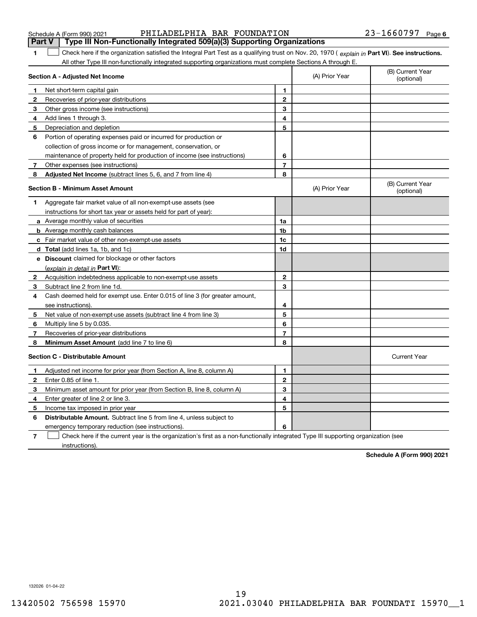| Schedule A (Form 990) 202 |  |  |  |
|---------------------------|--|--|--|
|---------------------------|--|--|--|

| Schedule A (Form 990) 2021 | PHILADELPHIA BAR FOUNDATION |  | $-1660797$<br>23– | Page 6 |
|----------------------------|-----------------------------|--|-------------------|--------|
|                            |                             |  |                   |        |

|              | <b>Part V</b><br>Type III Non-Functionally Integrated 509(a)(3) Supporting Organizations                                                       |                |                |                                |  |  |  |  |
|--------------|------------------------------------------------------------------------------------------------------------------------------------------------|----------------|----------------|--------------------------------|--|--|--|--|
| 1            | Check here if the organization satisfied the Integral Part Test as a qualifying trust on Nov. 20, 1970 (explain in Part VI). See instructions. |                |                |                                |  |  |  |  |
|              | All other Type III non-functionally integrated supporting organizations must complete Sections A through E.                                    |                |                |                                |  |  |  |  |
|              | Section A - Adjusted Net Income                                                                                                                |                | (A) Prior Year | (B) Current Year<br>(optional) |  |  |  |  |
| 1            | Net short-term capital gain                                                                                                                    | 1              |                |                                |  |  |  |  |
| 2            | Recoveries of prior-year distributions                                                                                                         | $\overline{2}$ |                |                                |  |  |  |  |
| 3            | Other gross income (see instructions)                                                                                                          | 3              |                |                                |  |  |  |  |
| 4            | Add lines 1 through 3.                                                                                                                         | 4              |                |                                |  |  |  |  |
| 5            | Depreciation and depletion                                                                                                                     | 5              |                |                                |  |  |  |  |
| 6            | Portion of operating expenses paid or incurred for production or                                                                               |                |                |                                |  |  |  |  |
|              | collection of gross income or for management, conservation, or                                                                                 |                |                |                                |  |  |  |  |
|              | maintenance of property held for production of income (see instructions)                                                                       | 6              |                |                                |  |  |  |  |
| 7            | Other expenses (see instructions)                                                                                                              | $\overline{7}$ |                |                                |  |  |  |  |
| 8            | <b>Adjusted Net Income</b> (subtract lines 5, 6, and 7 from line 4)                                                                            | 8              |                |                                |  |  |  |  |
|              | <b>Section B - Minimum Asset Amount</b>                                                                                                        |                | (A) Prior Year | (B) Current Year<br>(optional) |  |  |  |  |
| 1            | Aggregate fair market value of all non-exempt-use assets (see                                                                                  |                |                |                                |  |  |  |  |
|              | instructions for short tax year or assets held for part of year):                                                                              |                |                |                                |  |  |  |  |
|              | a Average monthly value of securities                                                                                                          | 1a             |                |                                |  |  |  |  |
|              | <b>b</b> Average monthly cash balances                                                                                                         | 1b             |                |                                |  |  |  |  |
|              | c Fair market value of other non-exempt-use assets                                                                                             | 1c             |                |                                |  |  |  |  |
|              | <b>d</b> Total (add lines 1a, 1b, and 1c)                                                                                                      | 1d             |                |                                |  |  |  |  |
|              | e Discount claimed for blockage or other factors                                                                                               |                |                |                                |  |  |  |  |
|              | (explain in detail in Part VI):                                                                                                                |                |                |                                |  |  |  |  |
| $\mathbf{2}$ | Acquisition indebtedness applicable to non-exempt-use assets                                                                                   | $\mathbf 2$    |                |                                |  |  |  |  |
| 3            | Subtract line 2 from line 1d.                                                                                                                  | 3              |                |                                |  |  |  |  |
| 4            | Cash deemed held for exempt use. Enter 0.015 of line 3 (for greater amount,                                                                    |                |                |                                |  |  |  |  |
|              | see instructions).                                                                                                                             | 4              |                |                                |  |  |  |  |
| 5            | Net value of non-exempt-use assets (subtract line 4 from line 3)                                                                               | 5              |                |                                |  |  |  |  |
| 6            | Multiply line 5 by 0.035.                                                                                                                      | 6              |                |                                |  |  |  |  |
| 7            | Recoveries of prior-year distributions                                                                                                         | $\overline{7}$ |                |                                |  |  |  |  |
| 8            | Minimum Asset Amount (add line 7 to line 6)                                                                                                    | 8              |                |                                |  |  |  |  |
|              | <b>Section C - Distributable Amount</b>                                                                                                        |                |                | <b>Current Year</b>            |  |  |  |  |
| 1            | Adjusted net income for prior year (from Section A, line 8, column A)                                                                          | 1              |                |                                |  |  |  |  |
| 2            | Enter 0.85 of line 1.                                                                                                                          | $\overline{2}$ |                |                                |  |  |  |  |
| 3            | Minimum asset amount for prior year (from Section B, line 8, column A)                                                                         | 3              |                |                                |  |  |  |  |
| 4            | Enter greater of line 2 or line 3.                                                                                                             | 4              |                |                                |  |  |  |  |
| 5            | Income tax imposed in prior year                                                                                                               | 5              |                |                                |  |  |  |  |
| 6            | <b>Distributable Amount.</b> Subtract line 5 from line 4, unless subject to                                                                    |                |                |                                |  |  |  |  |
|              | emergency temporary reduction (see instructions).                                                                                              | 6              |                |                                |  |  |  |  |
| 7            | Check here if the current year is the organization's first as a non-functionally integrated Type III supporting organization (see              |                |                |                                |  |  |  |  |

**7** instructions).

**Schedule A (Form 990) 2021**

132026 01-04-22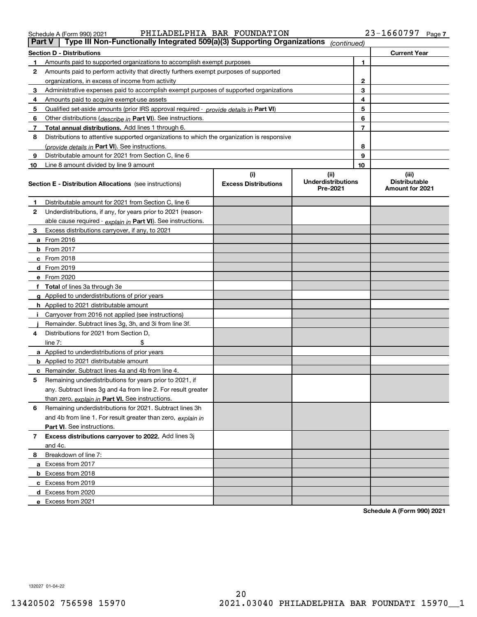**2**

**910**

**1**

**3**

**6**

#### Schedule A (Form 990) 2021 PHILADELPHIA BAR FOUNDATION 23-1660797 Page

**Section D - Distributions Current Year 1**Amounts paid to supported organizations to accomplish exempt purposes **12345678910**Qualified set-aside amounts (prior IRS approval required - *provide details in* Part VI) Other distributions ( *describe in* Part VI). See instructions. **Total annual distributions.** Add lines 1 through 6. (*provide details in* Part VI). See instructions. **(i)Excess Distributions (ii) UnderdistributionsPre-2021(iii) Distributable Amount for 2021 Section E - Distribution Allocations**  (see instructions) **2**Underdistributions, if any, for years prior to 2021 (reason-<u>able cause required - *explain in* Part VI). See instructions.</u> Amounts paid to perform activity that directly furthers exempt purposes of supported organizations, in excess of income from activity Administrative expenses paid to accomplish exempt purposes of supported organizations Amounts paid to acquire exempt-use assets Distributions to attentive supported organizations to which the organization is responsive Distributable amount for 2021 from Section C, line 6 Line 8 amount divided by line 9 amount Distributable amount for 2021 from Section C, line 6 Excess distributions carryover, if any, to 2021 of lines 3a through 3e **Part V Type III Non-Functionally Integrated 509(a)(3) Supporting Organizations** *(continued)* 

|   | Excess distributions carricle it, if any, to zoz i            |  |  |
|---|---------------------------------------------------------------|--|--|
|   | a From 2016                                                   |  |  |
|   | <b>b</b> From 2017                                            |  |  |
|   | c From 2018                                                   |  |  |
|   | d From 2019                                                   |  |  |
|   | e From 2020                                                   |  |  |
|   | f Total of lines 3a through 3e                                |  |  |
|   | g Applied to underdistributions of prior years                |  |  |
|   | h Applied to 2021 distributable amount                        |  |  |
|   | Carryover from 2016 not applied (see instructions)            |  |  |
|   | Remainder. Subtract lines 3g, 3h, and 3i from line 3f.        |  |  |
| 4 | Distributions for 2021 from Section D.                        |  |  |
|   | line $7:$<br>\$                                               |  |  |
|   | a Applied to underdistributions of prior years                |  |  |
|   | <b>b</b> Applied to 2021 distributable amount                 |  |  |
|   | c Remainder. Subtract lines 4a and 4b from line 4.            |  |  |
| 5 | Remaining underdistributions for years prior to 2021, if      |  |  |
|   | any. Subtract lines 3g and 4a from line 2. For result greater |  |  |
|   | than zero, explain in Part VI. See instructions.              |  |  |
| 6 | Remaining underdistributions for 2021. Subtract lines 3h      |  |  |
|   | and 4b from line 1. For result greater than zero, explain in  |  |  |
|   | <b>Part VI.</b> See instructions.                             |  |  |
| 7 | Excess distributions carryover to 2022. Add lines 3j          |  |  |
|   | and 4c.                                                       |  |  |
| 8 | Breakdown of line 7:                                          |  |  |
|   | a Excess from 2017                                            |  |  |
|   | <b>b</b> Excess from 2018                                     |  |  |
|   | c Excess from 2019                                            |  |  |
|   | d Excess from 2020                                            |  |  |
|   | e Excess from 2021                                            |  |  |

**Schedule A (Form 990) 2021**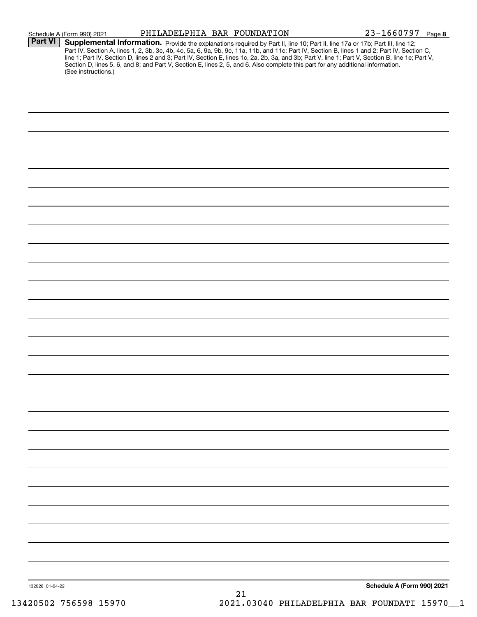| <b>Part VI</b>  | Supplemental Information. Provide the explanations required by Part II, line 10; Part II, line 17a or 17b; Part III, line 12;<br>Part IV, Section A, lines 1, 2, 3b, 3c, 4b, 4c, 5a, 6, 9a, 9b, 9c, 11a, 11b, and 11c; Part IV, Section B, lines 1 and 2; Part IV, Section C,<br>line 1; Part IV, Section D, lines 2 and 3; Part IV, Section E, lines 1c, 2a, 2b, 3a, and 3b; Part V, line 1; Part V, Section B, line 1e; Part V,<br>Section D, lines 5, 6, and 8; and Part V, Section E, lines 2, 5, and 6. Also complete this part for any additional information.<br>(See instructions.) |  |
|-----------------|---------------------------------------------------------------------------------------------------------------------------------------------------------------------------------------------------------------------------------------------------------------------------------------------------------------------------------------------------------------------------------------------------------------------------------------------------------------------------------------------------------------------------------------------------------------------------------------------|--|
|                 |                                                                                                                                                                                                                                                                                                                                                                                                                                                                                                                                                                                             |  |
|                 |                                                                                                                                                                                                                                                                                                                                                                                                                                                                                                                                                                                             |  |
|                 |                                                                                                                                                                                                                                                                                                                                                                                                                                                                                                                                                                                             |  |
|                 |                                                                                                                                                                                                                                                                                                                                                                                                                                                                                                                                                                                             |  |
|                 |                                                                                                                                                                                                                                                                                                                                                                                                                                                                                                                                                                                             |  |
|                 |                                                                                                                                                                                                                                                                                                                                                                                                                                                                                                                                                                                             |  |
|                 |                                                                                                                                                                                                                                                                                                                                                                                                                                                                                                                                                                                             |  |
|                 |                                                                                                                                                                                                                                                                                                                                                                                                                                                                                                                                                                                             |  |
|                 |                                                                                                                                                                                                                                                                                                                                                                                                                                                                                                                                                                                             |  |
|                 |                                                                                                                                                                                                                                                                                                                                                                                                                                                                                                                                                                                             |  |
|                 |                                                                                                                                                                                                                                                                                                                                                                                                                                                                                                                                                                                             |  |
|                 |                                                                                                                                                                                                                                                                                                                                                                                                                                                                                                                                                                                             |  |
|                 |                                                                                                                                                                                                                                                                                                                                                                                                                                                                                                                                                                                             |  |
|                 |                                                                                                                                                                                                                                                                                                                                                                                                                                                                                                                                                                                             |  |
|                 |                                                                                                                                                                                                                                                                                                                                                                                                                                                                                                                                                                                             |  |
|                 |                                                                                                                                                                                                                                                                                                                                                                                                                                                                                                                                                                                             |  |
|                 |                                                                                                                                                                                                                                                                                                                                                                                                                                                                                                                                                                                             |  |
|                 |                                                                                                                                                                                                                                                                                                                                                                                                                                                                                                                                                                                             |  |
|                 |                                                                                                                                                                                                                                                                                                                                                                                                                                                                                                                                                                                             |  |
|                 |                                                                                                                                                                                                                                                                                                                                                                                                                                                                                                                                                                                             |  |
|                 |                                                                                                                                                                                                                                                                                                                                                                                                                                                                                                                                                                                             |  |
|                 |                                                                                                                                                                                                                                                                                                                                                                                                                                                                                                                                                                                             |  |
|                 |                                                                                                                                                                                                                                                                                                                                                                                                                                                                                                                                                                                             |  |
|                 |                                                                                                                                                                                                                                                                                                                                                                                                                                                                                                                                                                                             |  |
|                 |                                                                                                                                                                                                                                                                                                                                                                                                                                                                                                                                                                                             |  |
|                 |                                                                                                                                                                                                                                                                                                                                                                                                                                                                                                                                                                                             |  |
|                 |                                                                                                                                                                                                                                                                                                                                                                                                                                                                                                                                                                                             |  |
|                 |                                                                                                                                                                                                                                                                                                                                                                                                                                                                                                                                                                                             |  |
|                 |                                                                                                                                                                                                                                                                                                                                                                                                                                                                                                                                                                                             |  |
|                 |                                                                                                                                                                                                                                                                                                                                                                                                                                                                                                                                                                                             |  |
|                 |                                                                                                                                                                                                                                                                                                                                                                                                                                                                                                                                                                                             |  |
|                 |                                                                                                                                                                                                                                                                                                                                                                                                                                                                                                                                                                                             |  |
|                 |                                                                                                                                                                                                                                                                                                                                                                                                                                                                                                                                                                                             |  |
|                 |                                                                                                                                                                                                                                                                                                                                                                                                                                                                                                                                                                                             |  |
| 132028 01-04-22 | Schedule A (Form 990) 2021                                                                                                                                                                                                                                                                                                                                                                                                                                                                                                                                                                  |  |
|                 | 21                                                                                                                                                                                                                                                                                                                                                                                                                                                                                                                                                                                          |  |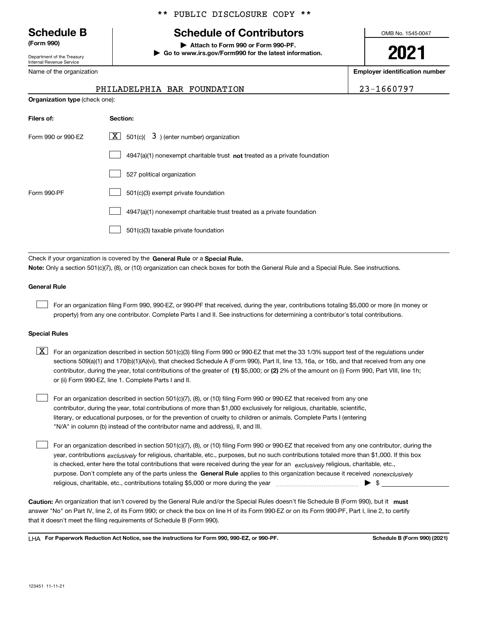Department of the Treasury Internal Revenue Service

Name of the organization

#### \*\* PUBLIC DISCLOSURE COPY \*\*

## **Schedule B Schedule of Contributors**

**(Form 990) | Attach to Form 990 or Form 990-PF. | Go to www.irs.gov/Form990 for the latest information.** OMB No. 1545-0047

**2021**

**Employer identification number**

|--|

| PHILADELPHIA BAR FOUNDATION           | 23-1660797 |
|---------------------------------------|------------|
| <b>Organization type (check one):</b> |            |
|                                       |            |

| Filers of:         | Section:                                                                    |  |  |  |  |
|--------------------|-----------------------------------------------------------------------------|--|--|--|--|
| Form 990 or 990-EZ | $\lfloor x \rfloor$ 501(c)( 3) (enter number) organization                  |  |  |  |  |
|                    | $4947(a)(1)$ nonexempt charitable trust not treated as a private foundation |  |  |  |  |
|                    | 527 political organization                                                  |  |  |  |  |
| Form 990-PF        | 501(c)(3) exempt private foundation                                         |  |  |  |  |
|                    | 4947(a)(1) nonexempt charitable trust treated as a private foundation       |  |  |  |  |
|                    | 501(c)(3) taxable private foundation                                        |  |  |  |  |

Check if your organization is covered by the **General Rule** or a **Special Rule. Note:**  Only a section 501(c)(7), (8), or (10) organization can check boxes for both the General Rule and a Special Rule. See instructions.

#### **General Rule**

 $\mathcal{L}^{\text{max}}$ 

For an organization filing Form 990, 990-EZ, or 990-PF that received, during the year, contributions totaling \$5,000 or more (in money or property) from any one contributor. Complete Parts I and II. See instructions for determining a contributor's total contributions.

#### **Special Rules**

contributor, during the year, total contributions of the greater of (1**)** \$5,000; or (2) 2% of the amount on (i) Form 990, Part VIII, line 1h;  $\boxed{\textbf{X}}$  For an organization described in section 501(c)(3) filing Form 990 or 990-EZ that met the 33 1/3% support test of the regulations under sections 509(a)(1) and 170(b)(1)(A)(vi), that checked Schedule A (Form 990), Part II, line 13, 16a, or 16b, and that received from any one or (ii) Form 990-EZ, line 1. Complete Parts I and II.

For an organization described in section 501(c)(7), (8), or (10) filing Form 990 or 990-EZ that received from any one contributor, during the year, total contributions of more than \$1,000 exclusively for religious, charitable, scientific, literary, or educational purposes, or for the prevention of cruelty to children or animals. Complete Parts I (entering "N/A" in column (b) instead of the contributor name and address), II, and III.  $\mathcal{L}^{\text{max}}$ 

purpose. Don't complete any of the parts unless the **General Rule** applies to this organization because it received *nonexclusively* year, contributions <sub>exclusively</sub> for religious, charitable, etc., purposes, but no such contributions totaled more than \$1,000. If this box is checked, enter here the total contributions that were received during the year for an  $\;$ exclusively religious, charitable, etc., For an organization described in section 501(c)(7), (8), or (10) filing Form 990 or 990-EZ that received from any one contributor, during the religious, charitable, etc., contributions totaling \$5,000 or more during the year  $\Box$ — $\Box$   $\Box$  $\mathcal{L}^{\text{max}}$ 

Caution: An organization that isn't covered by the General Rule and/or the Special Rules doesn't file Schedule B (Form 990), but it **must** answer "No" on Part IV, line 2, of its Form 990; or check the box on line H of its Form 990-EZ or on its Form 990-PF, Part I, line 2, to certify that it doesn't meet the filing requirements of Schedule B (Form 990).

LHA For Paperwork Reduction Act Notice, see the instructions for Form 990, 990-EZ, or 990-PF. **In the act and Schedule B** (Form 990) (2021)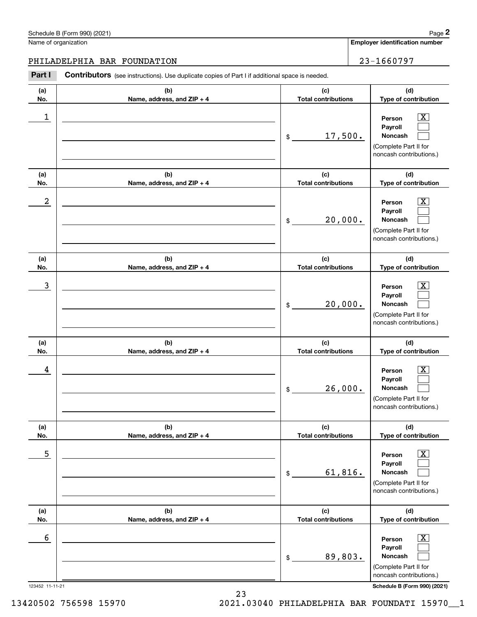PHILADELPHIA BAR FOUNDATION 23-1660797

123452 11-11-21 **Schedule B (Form 990) (2021) (a)No.(b)Name, address, and ZIP + 4 (c)Total contributions (d)Type of contribution PersonPayrollNoncash (a)No.(b)Name, address, and ZIP + 4 (c)Total contributions (d)Type of contribution PersonPayrollNoncash (a)No.(b)Name, address, and ZIP + 4 (c)Total contributions (d)Type of contribution PersonPayrollNoncash (a) No.(b) Name, address, and ZIP + 4 (c) Total contributions (d) Type of contribution PersonPayrollNoncash (a) No.(b) Name, address, and ZIP + 4 (c) Total contributions (d) Type of contribution PersonPayrollNoncash (a) No.(b)Name, address, and ZIP + 4 (c) Total contributions (d)Type of contribution PersonPayrollNoncash Contributors** (see instructions). Use duplicate copies of Part I if additional space is needed. \$(Complete Part II for noncash contributions.) \$(Complete Part II for noncash contributions.) \$(Complete Part II for noncash contributions.) \$(Complete Part II for noncash contributions.) \$(Complete Part II for noncash contributions.) \$(Complete Part II for noncash contributions.) Chedule B (Form 990) (2021)<br> **2Page 2**<br>
PAILADELPHIA BAR FOUNDATION<br>
Part I Contributors (see instructions). Use duplicate copies of Part I if additional space is needed.  $|X|$  $\mathcal{L}^{\text{max}}$  $\mathcal{L}^{\text{max}}$  $\boxed{\text{X}}$  $\mathcal{L}^{\text{max}}$  $\mathcal{L}^{\text{max}}$  $|X|$  $\mathcal{L}^{\text{max}}$  $\mathcal{L}^{\text{max}}$  $\boxed{\text{X}}$  $\mathcal{L}^{\text{max}}$  $\mathcal{L}^{\text{max}}$  $\boxed{\text{X}}$  $\mathcal{L}^{\text{max}}$  $\mathcal{L}^{\text{max}}$  $\boxed{\text{X}}$  $\mathcal{L}^{\text{max}}$  $\mathcal{L}^{\text{max}}$ 1 X 17,500.  $2$  | Person  $\overline{\text{X}}$ 20,000.  $\overline{3}$  | Person  $\overline{X}$ 20,000.  $\begin{array}{c|c|c|c|c|c} 4 & \hspace{2.2cm} & \hspace{2.2cm} & \hspace{2.2cm} & \hspace{2.2cm} & \hspace{2.2cm} & \hspace{2.2cm} & \hspace{2.2cm} & \hspace{2.2cm} & \hspace{2.2cm} & \hspace{2.2cm} & \hspace{2.2cm} & \hspace{2.2cm} & \hspace{2.2cm} & \hspace{2.2cm} & \hspace{2.2cm} & \hspace{2.2cm} & \hspace{2.2cm} & \hspace{2.2cm} & \hspace{2.2cm} & \hspace{2.2cm} &$ 26,000.  $\sim$  5 | Person X 61,816.  $\sim$  6 | Person X 89,803.

23

**Employer identification number**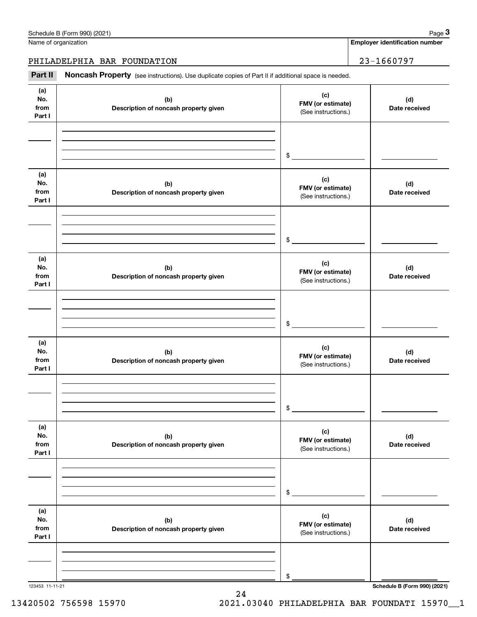|                              | Schedule B (Form 990) (2021)                                                                        |                                                 | Page 3                                |
|------------------------------|-----------------------------------------------------------------------------------------------------|-------------------------------------------------|---------------------------------------|
|                              | Name of organization                                                                                |                                                 | <b>Employer identification number</b> |
|                              | PHILADELPHIA BAR FOUNDATION                                                                         |                                                 | 23-1660797                            |
| Part II                      | Noncash Property (see instructions). Use duplicate copies of Part II if additional space is needed. |                                                 |                                       |
| (a)<br>No.<br>from<br>Part I | (b)<br>Description of noncash property given                                                        | (c)<br>FMV (or estimate)<br>(See instructions.) | (d)<br>Date received                  |
|                              |                                                                                                     | \$                                              |                                       |
| (a)<br>No.<br>from<br>Part I | (b)<br>Description of noncash property given                                                        | (c)<br>FMV (or estimate)<br>(See instructions.) | (d)<br>Date received                  |
|                              |                                                                                                     | \$                                              |                                       |
| (a)<br>No.<br>from<br>Part I | (b)<br>Description of noncash property given                                                        | (c)<br>FMV (or estimate)<br>(See instructions.) | (d)<br>Date received                  |
|                              |                                                                                                     | \$                                              |                                       |
| (a)<br>No.<br>from<br>Part I | (b)<br>Description of noncash property given                                                        | (c)<br>FMV (or estimate)<br>(See instructions.) | (d)<br>Date received                  |
|                              |                                                                                                     | \$                                              |                                       |
| (a)<br>No.<br>from<br>Part I | (b)<br>Description of noncash property given                                                        | (c)<br>FMV (or estimate)<br>(See instructions.) | (d)<br>Date received                  |
|                              |                                                                                                     | \$                                              |                                       |
| (a)<br>No.<br>from<br>Part I | (b)<br>Description of noncash property given                                                        | (c)<br>FMV (or estimate)<br>(See instructions.) | (d)<br>Date received                  |
|                              |                                                                                                     | \$                                              |                                       |
| 123453 11-11-21              |                                                                                                     |                                                 | Schedule B (Form 990) (2021)          |

24

13420502 756598 15970 2021.03040 PHILADELPHIA BAR FOUNDATI 15970\_\_1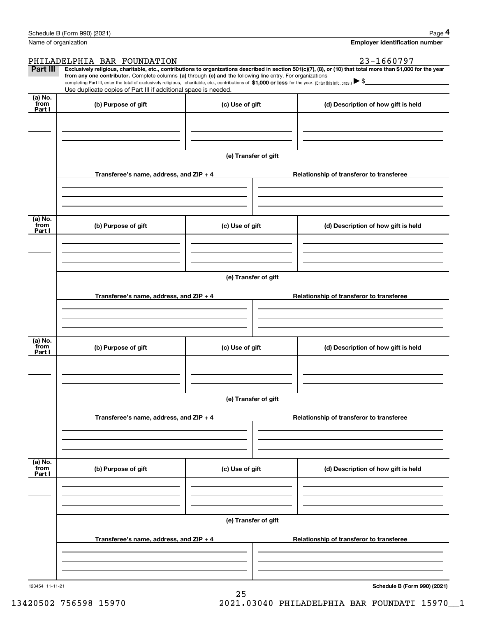|                      | Schedule B (Form 990) (2021)                                                                                                                                                                                                                                                                    |                      |  |  | Page 4                                   |  |  |  |
|----------------------|-------------------------------------------------------------------------------------------------------------------------------------------------------------------------------------------------------------------------------------------------------------------------------------------------|----------------------|--|--|------------------------------------------|--|--|--|
| Name of organization |                                                                                                                                                                                                                                                                                                 |                      |  |  | <b>Employer identification number</b>    |  |  |  |
|                      | PHILADELPHIA BAR FOUNDATION                                                                                                                                                                                                                                                                     |                      |  |  | 23-1660797                               |  |  |  |
| Part III             | Exclusively religious, charitable, etc., contributions to organizations described in section 501(c)(7), (8), or (10) that total more than \$1,000 for the year                                                                                                                                  |                      |  |  |                                          |  |  |  |
|                      | from any one contributor. Complete columns (a) through (e) and the following line entry. For organizations<br>completing Part III, enter the total of exclusively religious, charitable, etc., contributions of \$1,000 or less for the year. (Enter this info. once.) $\blacktriangleright$ \$ |                      |  |  |                                          |  |  |  |
|                      | Use duplicate copies of Part III if additional space is needed.                                                                                                                                                                                                                                 |                      |  |  |                                          |  |  |  |
| (a) No.<br>from      | (b) Purpose of gift                                                                                                                                                                                                                                                                             | (c) Use of gift      |  |  | (d) Description of how gift is held      |  |  |  |
| Part I               |                                                                                                                                                                                                                                                                                                 |                      |  |  |                                          |  |  |  |
|                      |                                                                                                                                                                                                                                                                                                 |                      |  |  |                                          |  |  |  |
|                      |                                                                                                                                                                                                                                                                                                 |                      |  |  |                                          |  |  |  |
|                      |                                                                                                                                                                                                                                                                                                 |                      |  |  |                                          |  |  |  |
|                      |                                                                                                                                                                                                                                                                                                 | (e) Transfer of gift |  |  |                                          |  |  |  |
|                      |                                                                                                                                                                                                                                                                                                 |                      |  |  |                                          |  |  |  |
|                      | Transferee's name, address, and ZIP + 4                                                                                                                                                                                                                                                         |                      |  |  | Relationship of transferor to transferee |  |  |  |
|                      |                                                                                                                                                                                                                                                                                                 |                      |  |  |                                          |  |  |  |
|                      |                                                                                                                                                                                                                                                                                                 |                      |  |  |                                          |  |  |  |
|                      |                                                                                                                                                                                                                                                                                                 |                      |  |  |                                          |  |  |  |
| (a) No.              |                                                                                                                                                                                                                                                                                                 |                      |  |  |                                          |  |  |  |
| from<br>Part I       | (b) Purpose of gift                                                                                                                                                                                                                                                                             | (c) Use of gift      |  |  | (d) Description of how gift is held      |  |  |  |
|                      |                                                                                                                                                                                                                                                                                                 |                      |  |  |                                          |  |  |  |
|                      |                                                                                                                                                                                                                                                                                                 |                      |  |  |                                          |  |  |  |
|                      |                                                                                                                                                                                                                                                                                                 |                      |  |  |                                          |  |  |  |
|                      |                                                                                                                                                                                                                                                                                                 |                      |  |  |                                          |  |  |  |
|                      | (e) Transfer of gift                                                                                                                                                                                                                                                                            |                      |  |  |                                          |  |  |  |
|                      |                                                                                                                                                                                                                                                                                                 |                      |  |  |                                          |  |  |  |
|                      | Transferee's name, address, and ZIP + 4                                                                                                                                                                                                                                                         |                      |  |  | Relationship of transferor to transferee |  |  |  |
|                      |                                                                                                                                                                                                                                                                                                 |                      |  |  |                                          |  |  |  |
|                      |                                                                                                                                                                                                                                                                                                 |                      |  |  |                                          |  |  |  |
|                      |                                                                                                                                                                                                                                                                                                 |                      |  |  |                                          |  |  |  |
| (a) No.              |                                                                                                                                                                                                                                                                                                 |                      |  |  |                                          |  |  |  |
| from<br>Part I       | (b) Purpose of gift                                                                                                                                                                                                                                                                             | (c) Use of gift      |  |  | (d) Description of how gift is held      |  |  |  |
|                      |                                                                                                                                                                                                                                                                                                 |                      |  |  |                                          |  |  |  |
|                      |                                                                                                                                                                                                                                                                                                 |                      |  |  |                                          |  |  |  |
|                      |                                                                                                                                                                                                                                                                                                 |                      |  |  |                                          |  |  |  |
|                      |                                                                                                                                                                                                                                                                                                 |                      |  |  |                                          |  |  |  |
|                      | (e) Transfer of gift                                                                                                                                                                                                                                                                            |                      |  |  |                                          |  |  |  |
|                      | Transferee's name, address, and $ZIP + 4$                                                                                                                                                                                                                                                       |                      |  |  | Relationship of transferor to transferee |  |  |  |
|                      |                                                                                                                                                                                                                                                                                                 |                      |  |  |                                          |  |  |  |
|                      |                                                                                                                                                                                                                                                                                                 |                      |  |  |                                          |  |  |  |
|                      |                                                                                                                                                                                                                                                                                                 |                      |  |  |                                          |  |  |  |
|                      |                                                                                                                                                                                                                                                                                                 |                      |  |  |                                          |  |  |  |
| (a) No.<br>from      | (b) Purpose of gift                                                                                                                                                                                                                                                                             | (c) Use of gift      |  |  | (d) Description of how gift is held      |  |  |  |
| Part I               |                                                                                                                                                                                                                                                                                                 |                      |  |  |                                          |  |  |  |
|                      |                                                                                                                                                                                                                                                                                                 |                      |  |  |                                          |  |  |  |
|                      |                                                                                                                                                                                                                                                                                                 |                      |  |  |                                          |  |  |  |
|                      |                                                                                                                                                                                                                                                                                                 |                      |  |  |                                          |  |  |  |
|                      | (e) Transfer of gift                                                                                                                                                                                                                                                                            |                      |  |  |                                          |  |  |  |
|                      |                                                                                                                                                                                                                                                                                                 |                      |  |  |                                          |  |  |  |
|                      | Transferee's name, address, and $ZIP + 4$<br>Relationship of transferor to transferee                                                                                                                                                                                                           |                      |  |  |                                          |  |  |  |
|                      |                                                                                                                                                                                                                                                                                                 |                      |  |  |                                          |  |  |  |
|                      |                                                                                                                                                                                                                                                                                                 |                      |  |  |                                          |  |  |  |
|                      |                                                                                                                                                                                                                                                                                                 |                      |  |  |                                          |  |  |  |
|                      |                                                                                                                                                                                                                                                                                                 |                      |  |  |                                          |  |  |  |

25

**Schedule B (Form 990) (2021)**

13420502 756598 15970 2021.03040 PHILADELPHIA BAR FOUNDATI 15970\_\_1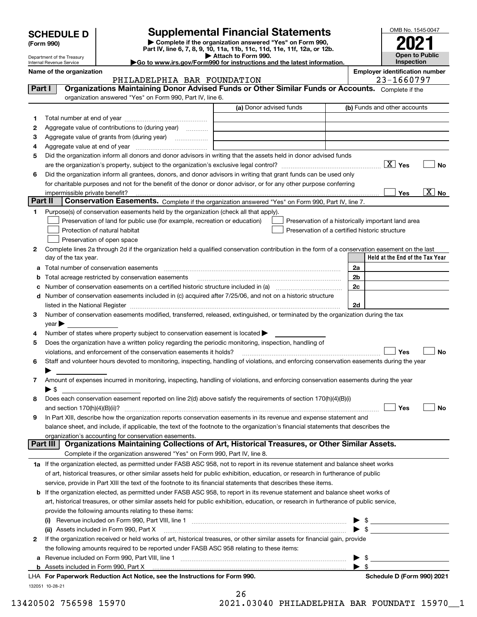| <b>SCHEDULE D</b> |  |
|-------------------|--|
|-------------------|--|

Department of the Treasury

| (Form 990) |
|------------|
|            |

## **Supplemental Financial Statements**

**| Complete if the organization answered "Yes" on Form 990, Part IV, line 6, 7, 8, 9, 10, 11a, 11b, 11c, 11d, 11e, 11f, 12a, or 12b. | Attach to Form 990.**

| OMB No. 1545-0047     |
|-----------------------|
|                       |
| 2021                  |
| <b>Open to Public</b> |
| Inspection            |

Internal Revenue Service

**|Go to www.irs.gov/Form990 for instructions and the latest information. Name of the organization Employer identification number**

|         | <b>Name of the organization</b><br>PHILADELPHIA BAR FOUNDATION                                                                                                                                                                                                                                                                                                    |                         | Linpiover identification number<br>23-1660797      |  |  |  |
|---------|-------------------------------------------------------------------------------------------------------------------------------------------------------------------------------------------------------------------------------------------------------------------------------------------------------------------------------------------------------------------|-------------------------|----------------------------------------------------|--|--|--|
|         | Organizations Maintaining Donor Advised Funds or Other Similar Funds or Accounts. Complete if the<br>Part I                                                                                                                                                                                                                                                       |                         |                                                    |  |  |  |
|         | organization answered "Yes" on Form 990, Part IV, line 6.                                                                                                                                                                                                                                                                                                         |                         |                                                    |  |  |  |
|         |                                                                                                                                                                                                                                                                                                                                                                   | (a) Donor advised funds | (b) Funds and other accounts                       |  |  |  |
| 1.      |                                                                                                                                                                                                                                                                                                                                                                   |                         |                                                    |  |  |  |
| 2       | Aggregate value of contributions to (during year)                                                                                                                                                                                                                                                                                                                 |                         |                                                    |  |  |  |
| з       | Aggregate value of grants from (during year)                                                                                                                                                                                                                                                                                                                      |                         |                                                    |  |  |  |
| 4       |                                                                                                                                                                                                                                                                                                                                                                   |                         |                                                    |  |  |  |
| 5       | Did the organization inform all donors and donor advisors in writing that the assets held in donor advised funds                                                                                                                                                                                                                                                  |                         |                                                    |  |  |  |
|         |                                                                                                                                                                                                                                                                                                                                                                   |                         | $\boxed{\text{X}}$ Yes<br>No                       |  |  |  |
| 6       | Did the organization inform all grantees, donors, and donor advisors in writing that grant funds can be used only                                                                                                                                                                                                                                                 |                         |                                                    |  |  |  |
|         | for charitable purposes and not for the benefit of the donor or donor advisor, or for any other purpose conferring                                                                                                                                                                                                                                                |                         |                                                    |  |  |  |
|         | impermissible private benefit?                                                                                                                                                                                                                                                                                                                                    |                         | $\overline{X}$ No<br>Yes                           |  |  |  |
| Part II | Conservation Easements. Complete if the organization answered "Yes" on Form 990, Part IV, line 7.                                                                                                                                                                                                                                                                 |                         |                                                    |  |  |  |
| 1       | Purpose(s) of conservation easements held by the organization (check all that apply).                                                                                                                                                                                                                                                                             |                         |                                                    |  |  |  |
|         | Preservation of land for public use (for example, recreation or education)                                                                                                                                                                                                                                                                                        |                         | Preservation of a historically important land area |  |  |  |
|         | Protection of natural habitat                                                                                                                                                                                                                                                                                                                                     |                         | Preservation of a certified historic structure     |  |  |  |
|         | Preservation of open space                                                                                                                                                                                                                                                                                                                                        |                         |                                                    |  |  |  |
| 2       | Complete lines 2a through 2d if the organization held a qualified conservation contribution in the form of a conservation easement on the last                                                                                                                                                                                                                    |                         |                                                    |  |  |  |
|         | day of the tax year.                                                                                                                                                                                                                                                                                                                                              |                         | Held at the End of the Tax Year                    |  |  |  |
| a       | Total number of conservation easements                                                                                                                                                                                                                                                                                                                            |                         | 2a                                                 |  |  |  |
| b       | Total acreage restricted by conservation easements                                                                                                                                                                                                                                                                                                                |                         | 2b                                                 |  |  |  |
| c       | Number of conservation easements on a certified historic structure included in (a) manufacture included in (a)                                                                                                                                                                                                                                                    |                         | 2c                                                 |  |  |  |
| d       | Number of conservation easements included in (c) acquired after 7/25/06, and not on a historic structure                                                                                                                                                                                                                                                          |                         |                                                    |  |  |  |
|         | listed in the National Register [111] Marshall Register [11] Marshall Register [11] Marshall Register [11] Marshall Register [11] Marshall Register [11] Marshall Register [11] Marshall Register [11] Marshall Register [11]<br>Number of conservation easements modified, transferred, released, extinguished, or terminated by the organization during the tax |                         | 2d                                                 |  |  |  |
| З       | year                                                                                                                                                                                                                                                                                                                                                              |                         |                                                    |  |  |  |
| 4       | Number of states where property subject to conservation easement is located >                                                                                                                                                                                                                                                                                     |                         |                                                    |  |  |  |
| 5       |                                                                                                                                                                                                                                                                                                                                                                   |                         |                                                    |  |  |  |
|         | Does the organization have a written policy regarding the periodic monitoring, inspection, handling of<br>violations, and enforcement of the conservation easements it holds?<br>Yes<br>No                                                                                                                                                                        |                         |                                                    |  |  |  |
| 6       |                                                                                                                                                                                                                                                                                                                                                                   |                         |                                                    |  |  |  |
|         | Staff and volunteer hours devoted to monitoring, inspecting, handling of violations, and enforcing conservation easements during the year                                                                                                                                                                                                                         |                         |                                                    |  |  |  |
| 7       | Amount of expenses incurred in monitoring, inspecting, handling of violations, and enforcing conservation easements during the year                                                                                                                                                                                                                               |                         |                                                    |  |  |  |
|         | ▶ \$                                                                                                                                                                                                                                                                                                                                                              |                         |                                                    |  |  |  |
| 8       | Does each conservation easement reported on line 2(d) above satisfy the requirements of section 170(h)(4)(B)(i)                                                                                                                                                                                                                                                   |                         |                                                    |  |  |  |
|         | and section $170(h)(4)(B)(ii)?$                                                                                                                                                                                                                                                                                                                                   |                         | Yes<br>No                                          |  |  |  |
| 9       | In Part XIII, describe how the organization reports conservation easements in its revenue and expense statement and                                                                                                                                                                                                                                               |                         |                                                    |  |  |  |
|         | balance sheet, and include, if applicable, the text of the footnote to the organization's financial statements that describes the                                                                                                                                                                                                                                 |                         |                                                    |  |  |  |
|         | organization's accounting for conservation easements.                                                                                                                                                                                                                                                                                                             |                         |                                                    |  |  |  |
|         | Organizations Maintaining Collections of Art, Historical Treasures, or Other Similar Assets.<br>Part III                                                                                                                                                                                                                                                          |                         |                                                    |  |  |  |
|         | Complete if the organization answered "Yes" on Form 990, Part IV, line 8.                                                                                                                                                                                                                                                                                         |                         |                                                    |  |  |  |
|         | 1a If the organization elected, as permitted under FASB ASC 958, not to report in its revenue statement and balance sheet works                                                                                                                                                                                                                                   |                         |                                                    |  |  |  |
|         | of art, historical treasures, or other similar assets held for public exhibition, education, or research in furtherance of public                                                                                                                                                                                                                                 |                         |                                                    |  |  |  |
|         | service, provide in Part XIII the text of the footnote to its financial statements that describes these items.                                                                                                                                                                                                                                                    |                         |                                                    |  |  |  |
| b       | If the organization elected, as permitted under FASB ASC 958, to report in its revenue statement and balance sheet works of                                                                                                                                                                                                                                       |                         |                                                    |  |  |  |
|         | art, historical treasures, or other similar assets held for public exhibition, education, or research in furtherance of public service,                                                                                                                                                                                                                           |                         |                                                    |  |  |  |
|         | provide the following amounts relating to these items:                                                                                                                                                                                                                                                                                                            |                         |                                                    |  |  |  |
|         |                                                                                                                                                                                                                                                                                                                                                                   |                         | \$                                                 |  |  |  |
|         | (ii) Assets included in Form 990, Part X                                                                                                                                                                                                                                                                                                                          |                         | $\blacktriangleright$ s                            |  |  |  |
| 2       | If the organization received or held works of art, historical treasures, or other similar assets for financial gain, provide                                                                                                                                                                                                                                      |                         |                                                    |  |  |  |
| а       | the following amounts required to be reported under FASB ASC 958 relating to these items:                                                                                                                                                                                                                                                                         |                         | - \$                                               |  |  |  |
| b       |                                                                                                                                                                                                                                                                                                                                                                   |                         | $\blacktriangleright$ s                            |  |  |  |
|         |                                                                                                                                                                                                                                                                                                                                                                   |                         |                                                    |  |  |  |

| LHA For Paperwork Reduction Act Notice, see the Instructions for Form 9 |
|-------------------------------------------------------------------------|
| 132051 10-28-21                                                         |

26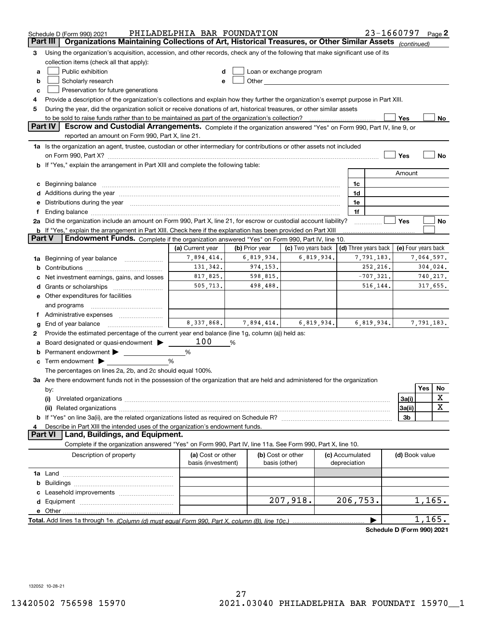|        | PHILADELPHIA BAR FOUNDATION<br>$23 - 1660797$ Page 2<br>Schedule D (Form 990) 2021                                                                                                                                             |                                         |                |                                                                                                                                                                                                                               |  |                                 |                                            |                |            |    |
|--------|--------------------------------------------------------------------------------------------------------------------------------------------------------------------------------------------------------------------------------|-----------------------------------------|----------------|-------------------------------------------------------------------------------------------------------------------------------------------------------------------------------------------------------------------------------|--|---------------------------------|--------------------------------------------|----------------|------------|----|
|        | Organizations Maintaining Collections of Art, Historical Treasures, or Other Similar Assets (continued)<br>Part III                                                                                                            |                                         |                |                                                                                                                                                                                                                               |  |                                 |                                            |                |            |    |
| з      | Using the organization's acquisition, accession, and other records, check any of the following that make significant use of its                                                                                                |                                         |                |                                                                                                                                                                                                                               |  |                                 |                                            |                |            |    |
|        | collection items (check all that apply):                                                                                                                                                                                       |                                         |                |                                                                                                                                                                                                                               |  |                                 |                                            |                |            |    |
| a      | Public exhibition                                                                                                                                                                                                              |                                         |                | Loan or exchange program                                                                                                                                                                                                      |  |                                 |                                            |                |            |    |
| b      | Scholarly research                                                                                                                                                                                                             |                                         |                | Other and the contract of the contract of the contract of the contract of the contract of the contract of the contract of the contract of the contract of the contract of the contract of the contract of the contract of the |  |                                 |                                            |                |            |    |
| c      | Preservation for future generations                                                                                                                                                                                            |                                         |                |                                                                                                                                                                                                                               |  |                                 |                                            |                |            |    |
| 4      | Provide a description of the organization's collections and explain how they further the organization's exempt purpose in Part XIII.                                                                                           |                                         |                |                                                                                                                                                                                                                               |  |                                 |                                            |                |            |    |
| 5      | During the year, did the organization solicit or receive donations of art, historical treasures, or other similar assets                                                                                                       |                                         |                |                                                                                                                                                                                                                               |  |                                 |                                            |                |            |    |
|        | to be sold to raise funds rather than to be maintained as part of the organization's collection?                                                                                                                               |                                         |                |                                                                                                                                                                                                                               |  |                                 |                                            | Yes            |            | No |
|        | <b>Part IV</b><br>Escrow and Custodial Arrangements. Complete if the organization answered "Yes" on Form 990, Part IV, line 9, or                                                                                              |                                         |                |                                                                                                                                                                                                                               |  |                                 |                                            |                |            |    |
|        | reported an amount on Form 990, Part X, line 21.                                                                                                                                                                               |                                         |                |                                                                                                                                                                                                                               |  |                                 |                                            |                |            |    |
|        | 1a Is the organization an agent, trustee, custodian or other intermediary for contributions or other assets not included                                                                                                       |                                         |                |                                                                                                                                                                                                                               |  |                                 |                                            |                |            |    |
|        |                                                                                                                                                                                                                                |                                         |                |                                                                                                                                                                                                                               |  |                                 |                                            | Yes            |            | No |
|        | b If "Yes," explain the arrangement in Part XIII and complete the following table:                                                                                                                                             |                                         |                |                                                                                                                                                                                                                               |  |                                 |                                            |                |            |    |
|        |                                                                                                                                                                                                                                |                                         |                |                                                                                                                                                                                                                               |  |                                 |                                            | Amount         |            |    |
| c      | Beginning balance measurements and the contract measurement of the contract measurement of the contract measurement                                                                                                            |                                         |                |                                                                                                                                                                                                                               |  | 1c                              |                                            |                |            |    |
|        |                                                                                                                                                                                                                                |                                         |                |                                                                                                                                                                                                                               |  | 1d                              |                                            |                |            |    |
|        | e Distributions during the year manufactured and continuum and contained and the year manufactured and contained and the year manufactured and contained and contained and contained and contained and contained and contained |                                         |                |                                                                                                                                                                                                                               |  | 1e                              |                                            |                |            |    |
| Ť.,    | Ending balance measurements are all the contract of the contract of the contract of the contract of the contract of the contract of the contract of the contract of the contract of the contract of the contract of the contra |                                         |                |                                                                                                                                                                                                                               |  | 1f                              |                                            |                |            |    |
|        | 2a Did the organization include an amount on Form 990, Part X, line 21, for escrow or custodial account liability?                                                                                                             |                                         |                |                                                                                                                                                                                                                               |  |                                 |                                            | Yes            |            | No |
| Part V | <b>b</b> If "Yes," explain the arrangement in Part XIII. Check here if the explanation has been provided on Part XIII<br>Endowment Funds. Complete if the organization answered "Yes" on Form 990, Part IV, line 10.           |                                         |                |                                                                                                                                                                                                                               |  |                                 |                                            |                |            |    |
|        |                                                                                                                                                                                                                                | (a) Current year                        | (b) Prior year | (c) Two years back                                                                                                                                                                                                            |  |                                 | (d) Three years back   (e) Four years back |                |            |    |
|        |                                                                                                                                                                                                                                | 7,894,414.                              | 6,819,934.     | 6,819,934.                                                                                                                                                                                                                    |  |                                 | 7,791,183.                                 |                | 7,064,597. |    |
|        | 1a Beginning of year balance                                                                                                                                                                                                   | 131,342.                                | 974, 153.      |                                                                                                                                                                                                                               |  |                                 | 252,216.                                   |                | 304,024.   |    |
|        |                                                                                                                                                                                                                                | 817,825.                                | 598,815.       |                                                                                                                                                                                                                               |  |                                 | $-707, 321.$                               |                | 740,217.   |    |
|        | Net investment earnings, gains, and losses                                                                                                                                                                                     | 505,713.                                | 498,488.       |                                                                                                                                                                                                                               |  |                                 | 516,144.                                   |                | 317,655.   |    |
|        |                                                                                                                                                                                                                                |                                         |                |                                                                                                                                                                                                                               |  |                                 |                                            |                |            |    |
|        | e Other expenditures for facilities                                                                                                                                                                                            |                                         |                |                                                                                                                                                                                                                               |  |                                 |                                            |                |            |    |
|        | and programs                                                                                                                                                                                                                   |                                         |                |                                                                                                                                                                                                                               |  |                                 |                                            |                |            |    |
|        | f Administrative expenses<br>End of year balance                                                                                                                                                                               | 8,337,868.                              | 7,894,414.     | 6,819,934.                                                                                                                                                                                                                    |  |                                 | 6,819,934.                                 |                | 7,791,183. |    |
| g<br>2 | Provide the estimated percentage of the current year end balance (line 1g, column (a)) held as:                                                                                                                                |                                         |                |                                                                                                                                                                                                                               |  |                                 |                                            |                |            |    |
| а      | Board designated or quasi-endowment >                                                                                                                                                                                          | 100                                     | %              |                                                                                                                                                                                                                               |  |                                 |                                            |                |            |    |
|        |                                                                                                                                                                                                                                | %                                       |                |                                                                                                                                                                                                                               |  |                                 |                                            |                |            |    |
|        | <b>c</b> Term endowment $\blacktriangleright$                                                                                                                                                                                  | %                                       |                |                                                                                                                                                                                                                               |  |                                 |                                            |                |            |    |
|        | The percentages on lines 2a, 2b, and 2c should equal 100%.                                                                                                                                                                     |                                         |                |                                                                                                                                                                                                                               |  |                                 |                                            |                |            |    |
|        | 3a Are there endowment funds not in the possession of the organization that are held and administered for the organization                                                                                                     |                                         |                |                                                                                                                                                                                                                               |  |                                 |                                            |                |            |    |
|        | by:                                                                                                                                                                                                                            |                                         |                |                                                                                                                                                                                                                               |  |                                 |                                            |                | Yes        | No |
|        | X<br>3a(i)<br>(i)                                                                                                                                                                                                              |                                         |                |                                                                                                                                                                                                                               |  |                                 |                                            |                |            |    |
|        | X<br>3a(ii)                                                                                                                                                                                                                    |                                         |                |                                                                                                                                                                                                                               |  |                                 |                                            |                |            |    |
|        |                                                                                                                                                                                                                                |                                         |                |                                                                                                                                                                                                                               |  |                                 |                                            | 3b             |            |    |
| 4      | Describe in Part XIII the intended uses of the organization's endowment funds.                                                                                                                                                 |                                         |                |                                                                                                                                                                                                                               |  |                                 |                                            |                |            |    |
|        | Land, Buildings, and Equipment.<br>Part VI                                                                                                                                                                                     |                                         |                |                                                                                                                                                                                                                               |  |                                 |                                            |                |            |    |
|        | Complete if the organization answered "Yes" on Form 990, Part IV, line 11a. See Form 990, Part X, line 10.                                                                                                                     |                                         |                |                                                                                                                                                                                                                               |  |                                 |                                            |                |            |    |
|        | Description of property                                                                                                                                                                                                        | (a) Cost or other<br>basis (investment) |                | (b) Cost or other<br>basis (other)                                                                                                                                                                                            |  | (c) Accumulated<br>depreciation |                                            | (d) Book value |            |    |
|        |                                                                                                                                                                                                                                |                                         |                |                                                                                                                                                                                                                               |  |                                 |                                            |                |            |    |
| b      |                                                                                                                                                                                                                                |                                         |                |                                                                                                                                                                                                                               |  |                                 |                                            |                |            |    |
|        |                                                                                                                                                                                                                                |                                         |                |                                                                                                                                                                                                                               |  |                                 |                                            |                |            |    |
|        | 207,918.<br>206,753.<br>1,165.                                                                                                                                                                                                 |                                         |                |                                                                                                                                                                                                                               |  |                                 |                                            |                |            |    |
|        |                                                                                                                                                                                                                                |                                         |                |                                                                                                                                                                                                                               |  |                                 |                                            |                |            |    |
|        |                                                                                                                                                                                                                                |                                         |                |                                                                                                                                                                                                                               |  |                                 |                                            |                | 1,165.     |    |
|        |                                                                                                                                                                                                                                |                                         |                |                                                                                                                                                                                                                               |  |                                 |                                            |                |            |    |

**Schedule D (Form 990) 2021**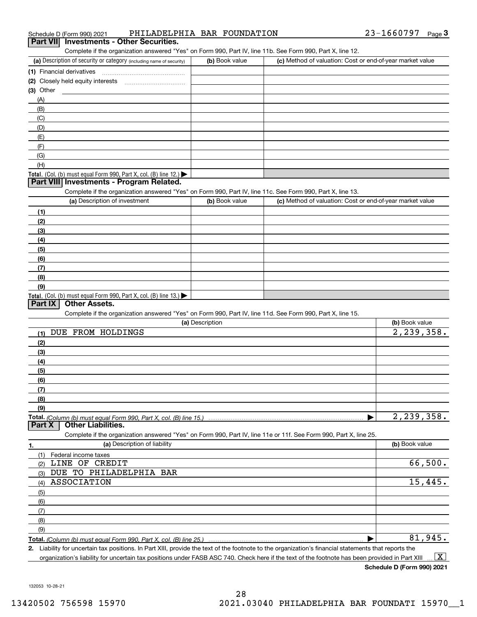| Schedule D (Form 990) 2021 | PHILADELPHIA BAR FOUNDATION              |  | 23-1660797 | $P$ age $3$ |
|----------------------------|------------------------------------------|--|------------|-------------|
|                            | Part VII Investments - Other Securities. |  |            |             |

| Part VII Investments - Other Securities. |
|------------------------------------------|
|------------------------------------------|

Complete if the organization answered "Yes" on Form 990, Part IV, line 11b. See Form 990, Part X, line 12.

| (a) Description of security or category (including name of security)                   | (b) Book value | (c) Method of valuation: Cost or end-of-year market value |
|----------------------------------------------------------------------------------------|----------------|-----------------------------------------------------------|
| (1) Financial derivatives                                                              |                |                                                           |
| (2) Closely held equity interests                                                      |                |                                                           |
| $(3)$ Other                                                                            |                |                                                           |
| (A)                                                                                    |                |                                                           |
| (B)                                                                                    |                |                                                           |
| (C)                                                                                    |                |                                                           |
| (D)                                                                                    |                |                                                           |
| (E)                                                                                    |                |                                                           |
| (F)                                                                                    |                |                                                           |
| (G)                                                                                    |                |                                                           |
| (H)                                                                                    |                |                                                           |
| Total. (Col. (b) must equal Form 990, Part X, col. (B) line 12.) $\blacktriangleright$ |                |                                                           |

#### **Part VIII Investments - Program Related.**

Complete if the organization answered "Yes" on Form 990, Part IV, line 11c. See Form 990, Part X, line 13.

| (a) Description of investment                                    | (b) Book value | (c) Method of valuation: Cost or end-of-year market value |
|------------------------------------------------------------------|----------------|-----------------------------------------------------------|
| (1)                                                              |                |                                                           |
| (2)                                                              |                |                                                           |
| (3)                                                              |                |                                                           |
| (4)                                                              |                |                                                           |
| $\frac{1}{2}$                                                    |                |                                                           |
| (6)                                                              |                |                                                           |
| (7)                                                              |                |                                                           |
| (8)                                                              |                |                                                           |
| (9)                                                              |                |                                                           |
| Total. (Col. (b) must equal Form 990, Part X, col. (B) line 13.) |                |                                                           |

#### **Part IX Other Assets.**

Complete if the organization answered "Yes" on Form 990, Part IV, line 11d. See Form 990, Part X, line 15.

| (a) Description                                                                                                   | (b) Book value |
|-------------------------------------------------------------------------------------------------------------------|----------------|
| DUE FROM HOLDINGS<br>(1)                                                                                          | 2, 239, 358.   |
| (2)                                                                                                               |                |
| (3)                                                                                                               |                |
| (4)                                                                                                               |                |
| (5)                                                                                                               |                |
| (6)                                                                                                               |                |
| (7)                                                                                                               |                |
| (8)                                                                                                               |                |
| (9)                                                                                                               |                |
| Total. (Column (b) must equal Form 990, Part X, col. (B) line 15.)<br>.                                           | 2, 239, 358.   |
| <b>Other Liabilities.</b><br>Part X                                                                               |                |
| Complete if the organization answered "Yes" on Form 990, Part IV, line 11e or 11f. See Form 990, Part X, line 25. |                |
| (a) Description of liability<br>1.                                                                                | (b) Book value |
| (1)<br>Federal income taxes                                                                                       |                |
| LINE OF<br>CREDIT<br>(2)                                                                                          | 66,500.        |
| PHILADELPHIA BAR<br>DUE TO<br>(3)                                                                                 |                |
| ASSOCIATION<br>(4)                                                                                                | 15,445.        |
| (5)                                                                                                               |                |
| (6)                                                                                                               |                |
| (7)                                                                                                               |                |
| (8)                                                                                                               |                |

**Total.**  *(Column (b) must equal Form 990, Part X, col. (B) line 25.)* 

**2.**Liability for uncertain tax positions. In Part XIII, provide the text of the footnote to the organization's financial statements that reports the

organization's liability for uncertain tax positions under FASB ASC 740. Check here if the text of the footnote has been provided in Part XIII  $\boxed{\text{X}}$ 

**Schedule D (Form 990) 2021**

81,945.

 $\blacktriangleright$ 

132053 10-28-21

(9)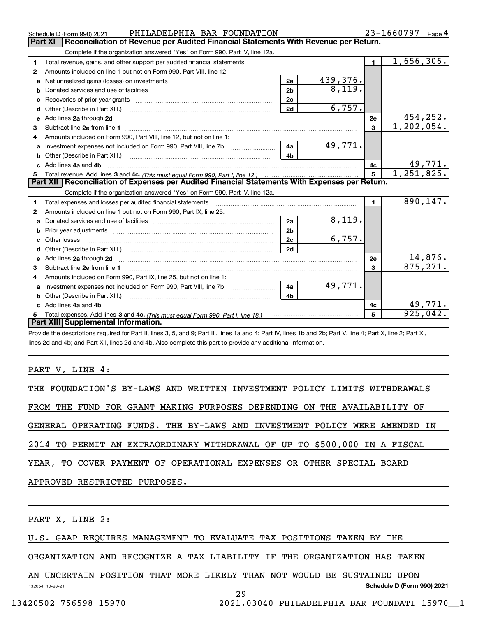|   | PHILADELPHIA BAR FOUNDATION<br>Schedule D (Form 990) 2021                                                                                                                                                                           |                |          |                | $23 - 1660797$ Page 4 |
|---|-------------------------------------------------------------------------------------------------------------------------------------------------------------------------------------------------------------------------------------|----------------|----------|----------------|-----------------------|
|   | Reconciliation of Revenue per Audited Financial Statements With Revenue per Return.<br><b>Part XI</b>                                                                                                                               |                |          |                |                       |
|   | Complete if the organization answered "Yes" on Form 990, Part IV, line 12a.                                                                                                                                                         |                |          |                |                       |
| 1 | Total revenue, gains, and other support per audited financial statements                                                                                                                                                            |                |          | 1 <sup>1</sup> | 1,656,306.            |
| 2 | Amounts included on line 1 but not on Form 990, Part VIII, line 12:                                                                                                                                                                 |                |          |                |                       |
| a |                                                                                                                                                                                                                                     | 2a             | 439,376. |                |                       |
| b |                                                                                                                                                                                                                                     | 2 <sub>b</sub> | 8,119.   |                |                       |
| c |                                                                                                                                                                                                                                     | 2c             |          |                |                       |
| d | Other (Describe in Part XIII.)                                                                                                                                                                                                      | 2d             | 6,757.   |                |                       |
| е | Add lines 2a through 2d <b>must be a constructed as the constant of the construction of the construction</b> and the construction of the construction of the construction of the construction of the construction of the constructi |                |          | 2e             | 454,252.              |
| з |                                                                                                                                                                                                                                     |                |          | 3              | 1, 202, 054.          |
| 4 | Amounts included on Form 990. Part VIII. line 12, but not on line 1:                                                                                                                                                                |                |          |                |                       |
|   |                                                                                                                                                                                                                                     | 4a             | 49,771.  |                |                       |
| b |                                                                                                                                                                                                                                     | 4 <sub>b</sub> |          |                |                       |
|   | c Add lines 4a and 4b                                                                                                                                                                                                               |                |          | 4с             | 49,771.               |
|   |                                                                                                                                                                                                                                     |                |          | $5^{\circ}$    | 1, 251, 825.          |
|   |                                                                                                                                                                                                                                     |                |          |                |                       |
|   | Part XII   Reconciliation of Expenses per Audited Financial Statements With Expenses per Return.                                                                                                                                    |                |          |                |                       |
|   | Complete if the organization answered "Yes" on Form 990, Part IV, line 12a.                                                                                                                                                         |                |          |                |                       |
| 1 | Total expenses and losses per audited financial statements [11,11] [11] Total expenses and losses per audited financial statements [11] [11] Total expenses and losses per audited financial statements                             |                |          | $\blacksquare$ | 890,147.              |
| 2 | Amounts included on line 1 but not on Form 990, Part IX, line 25:                                                                                                                                                                   |                |          |                |                       |
| a |                                                                                                                                                                                                                                     | 2a             | 8,119.   |                |                       |
| b |                                                                                                                                                                                                                                     | 2 <sub>b</sub> |          |                |                       |
|   |                                                                                                                                                                                                                                     | 2c             | 6,757.   |                |                       |
| d |                                                                                                                                                                                                                                     | 2d             |          |                |                       |
| e | Add lines 2a through 2d <b>contained a contained a contained a contained a</b> contained a contained a contained a contained a contained a contained a contained a contained a contained a contained a contained a contained a cont |                |          | 2e             | <u>14,876.</u>        |
| 3 | Subtract line 2e from line 1 <b>manufacture in the contract of the 2e</b> from line 1                                                                                                                                               |                |          | $\mathbf{3}$   | 875, 271.             |
| 4 | Amounts included on Form 990, Part IX, line 25, but not on line 1:                                                                                                                                                                  |                |          |                |                       |
| a | Investment expenses not included on Form 990, Part VIII, line 7b [1000000000000000000000000000000000                                                                                                                                | 4a             | 49,771.  |                |                       |
| b | Other (Describe in Part XIII.)                                                                                                                                                                                                      | 4 <sub>h</sub> |          |                |                       |
|   | c Add lines 4a and 4b                                                                                                                                                                                                               |                |          | 4с             | 49,771.               |
|   | Part XIII Supplemental Information.                                                                                                                                                                                                 |                |          | 5              | 925,042.              |

Provide the descriptions required for Part II, lines 3, 5, and 9; Part III, lines 1a and 4; Part IV, lines 1b and 2b; Part V, line 4; Part X, line 2; Part XI, lines 2d and 4b; and Part XII, lines 2d and 4b. Also complete this part to provide any additional information.

#### PART V, LINE 4:

|  |  |                                                                       |  |  |  |  | THE FOUNDATION'S BY-LAWS AND WRITTEN INVESTMENT POLICY LIMITS WITHDRAWALS  |  |
|--|--|-----------------------------------------------------------------------|--|--|--|--|----------------------------------------------------------------------------|--|
|  |  |                                                                       |  |  |  |  | FROM THE FUND FOR GRANT MAKING PURPOSES DEPENDING ON THE AVAILABILITY OF   |  |
|  |  |                                                                       |  |  |  |  | GENERAL OPERATING FUNDS. THE BY-LAWS AND INVESTMENT POLICY WERE AMENDED IN |  |
|  |  |                                                                       |  |  |  |  | 2014 TO PERMIT AN EXTRAORDINARY WITHDRAWAL OF UP TO \$500,000 IN A FISCAL  |  |
|  |  | YEAR, TO COVER PAYMENT OF OPERATIONAL EXPENSES OR OTHER SPECIAL BOARD |  |  |  |  |                                                                            |  |
|  |  | APPROVED RESTRICTED PURPOSES.                                         |  |  |  |  |                                                                            |  |
|  |  |                                                                       |  |  |  |  |                                                                            |  |

PART X, LINE 2:

### U.S. GAAP REQUIRES MANAGEMENT TO EVALUATE TAX POSITIONS TAKEN BY THE

ORGANIZATION AND RECOGNIZE A TAX LIABILITY IF THE ORGANIZATION HAS TAKEN

AN UNCERTAIN POSITION THAT MORE LIKELY THAN NOT WOULD BE SUSTAINED UPON

**Schedule D (Form 990) 2021**

132054 10-28-21

29

13420502 756598 15970 2021.03040 PHILADELPHIA BAR FOUNDATI 15970\_\_1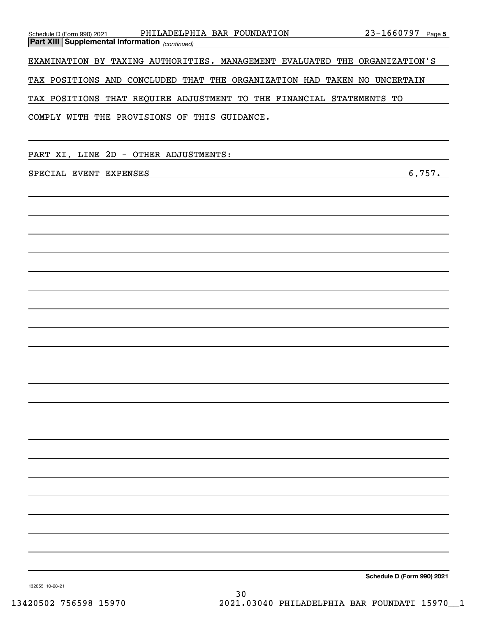| PHILADELPHIA BAR FOUNDATION<br>Schedule D (Form 990) 2021<br><b>Part XIII Supplemental Information</b> (continued) | 23-1660797 Page 5          |
|--------------------------------------------------------------------------------------------------------------------|----------------------------|
|                                                                                                                    |                            |
| EXAMINATION BY TAXING AUTHORITIES. MANAGEMENT EVALUATED THE ORGANIZATION'S                                         |                            |
| TAX POSITIONS AND CONCLUDED THAT THE ORGANIZATION HAD TAKEN NO UNCERTAIN                                           |                            |
| TAX POSITIONS THAT REQUIRE ADJUSTMENT TO THE FINANCIAL STATEMENTS TO                                               |                            |
| COMPLY WITH THE PROVISIONS OF THIS GUIDANCE.                                                                       |                            |
|                                                                                                                    |                            |
| PART XI, LINE 2D - OTHER ADJUSTMENTS:                                                                              |                            |
| SPECIAL EVENT EXPENSES                                                                                             | 6,757.                     |
|                                                                                                                    |                            |
|                                                                                                                    |                            |
|                                                                                                                    |                            |
|                                                                                                                    |                            |
|                                                                                                                    |                            |
|                                                                                                                    |                            |
|                                                                                                                    |                            |
|                                                                                                                    |                            |
|                                                                                                                    |                            |
|                                                                                                                    |                            |
|                                                                                                                    |                            |
|                                                                                                                    |                            |
|                                                                                                                    |                            |
|                                                                                                                    |                            |
|                                                                                                                    |                            |
|                                                                                                                    |                            |
|                                                                                                                    |                            |
|                                                                                                                    |                            |
|                                                                                                                    |                            |
|                                                                                                                    |                            |
|                                                                                                                    |                            |
|                                                                                                                    |                            |
|                                                                                                                    |                            |
|                                                                                                                    |                            |
|                                                                                                                    | Schedule D (Form 990) 2021 |

132055 10-28-21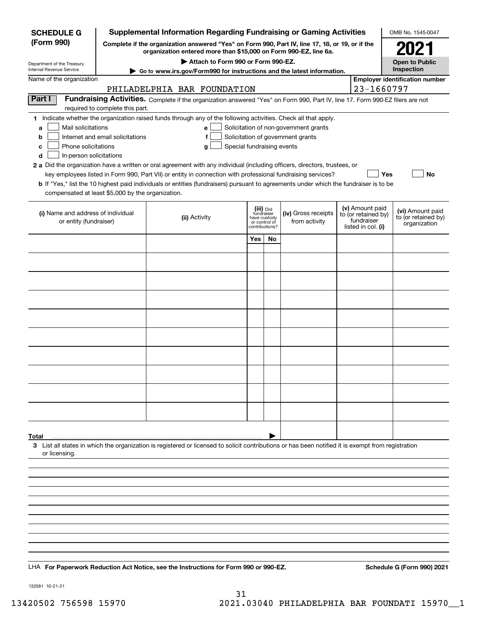| <b>SCHEDULE G</b>                                            |                                  | Supplemental Information Regarding Fundraising or Gaming Activities                                                                                                                                                                       |                         |                               |                                       |                                   | OMB No. 1545-0047                       |
|--------------------------------------------------------------|----------------------------------|-------------------------------------------------------------------------------------------------------------------------------------------------------------------------------------------------------------------------------------------|-------------------------|-------------------------------|---------------------------------------|-----------------------------------|-----------------------------------------|
| (Form 990)                                                   |                                  | Complete if the organization answered "Yes" on Form 990, Part IV, line 17, 18, or 19, or if the<br>organization entered more than \$15,000 on Form 990-EZ, line 6a.                                                                       |                         |                               |                                       |                                   | 2021                                    |
| Department of the Treasury                                   |                                  | Attach to Form 990 or Form 990-EZ.                                                                                                                                                                                                        |                         |                               |                                       |                                   | <b>Open to Public</b>                   |
| Internal Revenue Service                                     |                                  | ► Go to www.irs.gov/Form990 for instructions and the latest information.                                                                                                                                                                  |                         |                               |                                       |                                   | Inspection                              |
| Name of the organization                                     |                                  | PHILADELPHIA BAR FOUNDATION                                                                                                                                                                                                               |                         |                               |                                       | 23-1660797                        | <b>Employer identification number</b>   |
| Part I                                                       |                                  | Fundraising Activities. Complete if the organization answered "Yes" on Form 990, Part IV, line 17. Form 990-EZ filers are not                                                                                                             |                         |                               |                                       |                                   |                                         |
|                                                              | required to complete this part.  |                                                                                                                                                                                                                                           |                         |                               |                                       |                                   |                                         |
| Mail solicitations<br>a                                      |                                  | 1 Indicate whether the organization raised funds through any of the following activities. Check all that apply.<br>e                                                                                                                      |                         |                               | Solicitation of non-government grants |                                   |                                         |
| b                                                            | Internet and email solicitations | f                                                                                                                                                                                                                                         |                         |                               | Solicitation of government grants     |                                   |                                         |
| Phone solicitations<br>с                                     |                                  | Special fundraising events<br>g                                                                                                                                                                                                           |                         |                               |                                       |                                   |                                         |
| In-person solicitations<br>d                                 |                                  |                                                                                                                                                                                                                                           |                         |                               |                                       |                                   |                                         |
|                                                              |                                  | 2 a Did the organization have a written or oral agreement with any individual (including officers, directors, trustees, or<br>key employees listed in Form 990, Part VII) or entity in connection with professional fundraising services? |                         |                               |                                       | Yes                               | No                                      |
|                                                              |                                  | b If "Yes," list the 10 highest paid individuals or entities (fundraisers) pursuant to agreements under which the fundraiser is to be                                                                                                     |                         |                               |                                       |                                   |                                         |
| compensated at least \$5,000 by the organization.            |                                  |                                                                                                                                                                                                                                           |                         |                               |                                       |                                   |                                         |
|                                                              |                                  |                                                                                                                                                                                                                                           |                         |                               |                                       | (v) Amount paid                   |                                         |
| (i) Name and address of individual<br>or entity (fundraiser) |                                  | (ii) Activity                                                                                                                                                                                                                             | (iii) Did<br>fundraiser | have custody<br>or control of | (iv) Gross receipts<br>from activity  | to (or retained by)<br>fundraiser | (vi) Amount paid<br>to (or retained by) |
|                                                              |                                  |                                                                                                                                                                                                                                           |                         | contributions?                |                                       | listed in col. (i)                | organization                            |
|                                                              |                                  |                                                                                                                                                                                                                                           | Yes                     | No.                           |                                       |                                   |                                         |
|                                                              |                                  |                                                                                                                                                                                                                                           |                         |                               |                                       |                                   |                                         |
|                                                              |                                  |                                                                                                                                                                                                                                           |                         |                               |                                       |                                   |                                         |
|                                                              |                                  |                                                                                                                                                                                                                                           |                         |                               |                                       |                                   |                                         |
|                                                              |                                  |                                                                                                                                                                                                                                           |                         |                               |                                       |                                   |                                         |
|                                                              |                                  |                                                                                                                                                                                                                                           |                         |                               |                                       |                                   |                                         |
|                                                              |                                  |                                                                                                                                                                                                                                           |                         |                               |                                       |                                   |                                         |
|                                                              |                                  |                                                                                                                                                                                                                                           |                         |                               |                                       |                                   |                                         |
|                                                              |                                  |                                                                                                                                                                                                                                           |                         |                               |                                       |                                   |                                         |
|                                                              |                                  |                                                                                                                                                                                                                                           |                         |                               |                                       |                                   |                                         |
|                                                              |                                  |                                                                                                                                                                                                                                           |                         |                               |                                       |                                   |                                         |
|                                                              |                                  |                                                                                                                                                                                                                                           |                         |                               |                                       |                                   |                                         |
|                                                              |                                  |                                                                                                                                                                                                                                           |                         |                               |                                       |                                   |                                         |
|                                                              |                                  |                                                                                                                                                                                                                                           |                         |                               |                                       |                                   |                                         |
| Total                                                        |                                  |                                                                                                                                                                                                                                           |                         |                               |                                       |                                   |                                         |
| or licensing.                                                |                                  | 3 List all states in which the organization is registered or licensed to solicit contributions or has been notified it is exempt from registration                                                                                        |                         |                               |                                       |                                   |                                         |
|                                                              |                                  |                                                                                                                                                                                                                                           |                         |                               |                                       |                                   |                                         |
|                                                              |                                  |                                                                                                                                                                                                                                           |                         |                               |                                       |                                   |                                         |
|                                                              |                                  |                                                                                                                                                                                                                                           |                         |                               |                                       |                                   |                                         |
|                                                              |                                  |                                                                                                                                                                                                                                           |                         |                               |                                       |                                   |                                         |
|                                                              |                                  |                                                                                                                                                                                                                                           |                         |                               |                                       |                                   |                                         |
|                                                              |                                  |                                                                                                                                                                                                                                           |                         |                               |                                       |                                   |                                         |
|                                                              |                                  |                                                                                                                                                                                                                                           |                         |                               |                                       |                                   |                                         |
|                                                              |                                  |                                                                                                                                                                                                                                           |                         |                               |                                       |                                   |                                         |
|                                                              |                                  | LHA For Paperwork Reduction Act Notice, see the Instructions for Form 990 or 990-EZ.                                                                                                                                                      |                         |                               |                                       |                                   | Schedule G (Form 990) 2021              |
|                                                              |                                  |                                                                                                                                                                                                                                           |                         |                               |                                       |                                   |                                         |

132081 10-21-21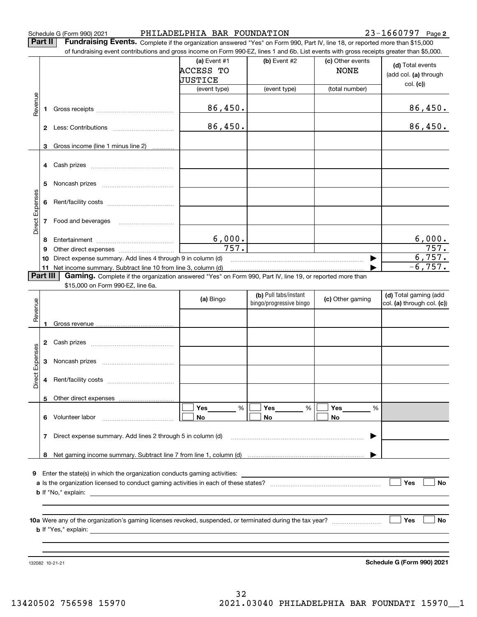Schedule G (Form 990) 2021 PHILADELPHIA BAR FOUNDATION 23-1660797 Page

**2**

**Part II** | Fundraising Events. Complete if the organization answered "Yes" on Form 990, Part IV, line 18, or reported more than \$15,000

|                 |          | of fundraising event contributions and gross income on Form 990-EZ, lines 1 and 6b. List events with gross receipts greater than \$5,000.     |                                        |                         |                                 |                                                       |
|-----------------|----------|-----------------------------------------------------------------------------------------------------------------------------------------------|----------------------------------------|-------------------------|---------------------------------|-------------------------------------------------------|
|                 |          |                                                                                                                                               | (a) Event $#1$<br>ACCESS TO<br>JUSTICE | (b) Event #2            | (c) Other events<br><b>NONE</b> | (d) Total events<br>(add col. (a) through<br>col. (c) |
|                 |          |                                                                                                                                               | (event type)                           | (event type)            | (total number)                  |                                                       |
| Revenue         | 1.       |                                                                                                                                               | 86,450.                                |                         |                                 | 86,450.                                               |
|                 |          |                                                                                                                                               | 86,450.                                |                         |                                 | 86,450.                                               |
|                 |          | 3 Gross income (line 1 minus line 2)<br>.                                                                                                     |                                        |                         |                                 |                                                       |
|                 |          |                                                                                                                                               |                                        |                         |                                 |                                                       |
|                 | 5        |                                                                                                                                               |                                        |                         |                                 |                                                       |
| Direct Expenses | 6        |                                                                                                                                               |                                        |                         |                                 |                                                       |
|                 |          | 7 Food and beverages                                                                                                                          |                                        |                         |                                 |                                                       |
|                 | 8        |                                                                                                                                               |                                        |                         |                                 |                                                       |
|                 | 9        |                                                                                                                                               | $\frac{6,000}{757}$                    |                         |                                 | $\frac{6,000}{757}$                                   |
|                 | 10       | Direct expense summary. Add lines 4 through 9 in column (d)                                                                                   |                                        |                         |                                 | 6,757.                                                |
|                 |          | 11 Net income summary. Subtract line 10 from line 3, column (d)                                                                               |                                        |                         |                                 | $-6, 757.$                                            |
|                 | Part III | Gaming. Complete if the organization answered "Yes" on Form 990, Part IV, line 19, or reported more than<br>\$15,000 on Form 990-EZ, line 6a. |                                        |                         |                                 |                                                       |
|                 |          |                                                                                                                                               |                                        | (b) Pull tabs/instant   |                                 | (d) Total gaming (add                                 |
|                 |          |                                                                                                                                               | (a) Bingo                              | bingo/progressive bingo | (c) Other gaming                | col. (a) through col. (c))                            |
| Revenue         |          |                                                                                                                                               |                                        |                         |                                 |                                                       |
|                 |          |                                                                                                                                               |                                        |                         |                                 |                                                       |
|                 |          |                                                                                                                                               |                                        |                         |                                 |                                                       |
|                 |          |                                                                                                                                               |                                        |                         |                                 |                                                       |
| Direct Expenses | 3        |                                                                                                                                               |                                        |                         |                                 |                                                       |
|                 | 4        |                                                                                                                                               |                                        |                         |                                 |                                                       |
|                 | 5        |                                                                                                                                               |                                        |                         |                                 |                                                       |
|                 |          |                                                                                                                                               | Yes<br>%                               | Yes<br>%                | Yes<br>%                        |                                                       |
|                 |          | 6 Volunteer labor                                                                                                                             | No                                     | No                      | No                              |                                                       |
|                 |          | 7 Direct expense summary. Add lines 2 through 5 in column (d)                                                                                 |                                        |                         |                                 |                                                       |
|                 |          |                                                                                                                                               |                                        |                         |                                 |                                                       |
|                 |          |                                                                                                                                               |                                        |                         |                                 |                                                       |
|                 |          | 9 Enter the state(s) in which the organization conducts gaming activities:                                                                    |                                        |                         |                                 |                                                       |
|                 |          |                                                                                                                                               |                                        |                         |                                 | Yes<br>No                                             |
|                 |          |                                                                                                                                               |                                        |                         |                                 |                                                       |
|                 |          |                                                                                                                                               |                                        |                         |                                 |                                                       |
|                 |          |                                                                                                                                               |                                        |                         |                                 | Yes<br>No                                             |

132082 10-21-21

**Schedule G (Form 990) 2021**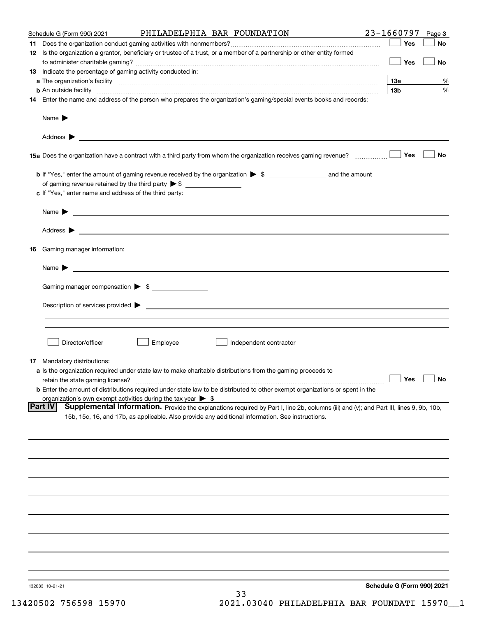|                 | Schedule G (Form 990) 2021                                                   | PHILADELPHIA BAR FOUNDATION |                                                                                                                                                                                                                                            | 23-1660797                 | Page 3    |
|-----------------|------------------------------------------------------------------------------|-----------------------------|--------------------------------------------------------------------------------------------------------------------------------------------------------------------------------------------------------------------------------------------|----------------------------|-----------|
|                 |                                                                              |                             | 12 Is the organization a grantor, beneficiary or trustee of a trust, or a member of a partnership or other entity formed                                                                                                                   | Yes<br>$\mathbf{I}$        | No        |
|                 |                                                                              |                             |                                                                                                                                                                                                                                            | $\Box$ Yes                 | No        |
|                 | 13 Indicate the percentage of gaming activity conducted in:                  |                             |                                                                                                                                                                                                                                            | 13a                        | %         |
|                 |                                                                              |                             | <b>b</b> An outside facility <b>contained a contract and a contract of the contract of the contract of the contract of the contract of the contract of the contract of the contract of the contract of the contract of the contract o</b>  | 13b l                      | %         |
|                 |                                                                              |                             | 14 Enter the name and address of the person who prepares the organization's gaming/special events books and records:                                                                                                                       |                            |           |
|                 |                                                                              |                             |                                                                                                                                                                                                                                            |                            |           |
|                 |                                                                              |                             |                                                                                                                                                                                                                                            |                            |           |
|                 |                                                                              |                             |                                                                                                                                                                                                                                            |                            | No        |
|                 |                                                                              |                             | <b>b</b> If "Yes," enter the amount of gaming revenue received by the organization $\triangleright$ \$                                                                                                                                     |                            |           |
|                 | c If "Yes," enter name and address of the third party:                       |                             |                                                                                                                                                                                                                                            |                            |           |
|                 |                                                                              |                             |                                                                                                                                                                                                                                            |                            |           |
|                 |                                                                              |                             |                                                                                                                                                                                                                                            |                            |           |
|                 | 16 Gaming manager information:                                               |                             |                                                                                                                                                                                                                                            |                            |           |
|                 | Name $\blacktriangleright$ $\lrcorner$                                       |                             |                                                                                                                                                                                                                                            |                            |           |
|                 | Gaming manager compensation > \$                                             |                             |                                                                                                                                                                                                                                            |                            |           |
|                 |                                                                              |                             | $Description of services provided$ $\triangleright$                                                                                                                                                                                        |                            |           |
|                 |                                                                              |                             |                                                                                                                                                                                                                                            |                            |           |
|                 | Director/officer                                                             | Employee                    | Independent contractor                                                                                                                                                                                                                     |                            |           |
|                 | 17 Mandatory distributions:                                                  |                             |                                                                                                                                                                                                                                            |                            |           |
|                 |                                                                              |                             | a Is the organization required under state law to make charitable distributions from the gaming proceeds to                                                                                                                                | $\Box$ Yes                 | $\Box$ No |
|                 | retain the state gaming license?                                             |                             |                                                                                                                                                                                                                                            |                            |           |
|                 | organization's own exempt activities during the tax year $\triangleright$ \$ |                             | <b>b</b> Enter the amount of distributions required under state law to be distributed to other exempt organizations or spent in the                                                                                                        |                            |           |
| <b>Part IV</b>  |                                                                              |                             | Supplemental Information. Provide the explanations required by Part I, line 2b, columns (iii) and (v); and Part III, lines 9, 9b, 10b,<br>15b, 15c, 16, and 17b, as applicable. Also provide any additional information. See instructions. |                            |           |
|                 |                                                                              |                             |                                                                                                                                                                                                                                            |                            |           |
|                 |                                                                              |                             |                                                                                                                                                                                                                                            |                            |           |
|                 |                                                                              |                             |                                                                                                                                                                                                                                            |                            |           |
|                 |                                                                              |                             |                                                                                                                                                                                                                                            |                            |           |
|                 |                                                                              |                             |                                                                                                                                                                                                                                            |                            |           |
|                 |                                                                              |                             |                                                                                                                                                                                                                                            |                            |           |
|                 |                                                                              |                             |                                                                                                                                                                                                                                            |                            |           |
|                 |                                                                              |                             |                                                                                                                                                                                                                                            |                            |           |
|                 |                                                                              |                             |                                                                                                                                                                                                                                            |                            |           |
| 132083 10-21-21 |                                                                              |                             | 33                                                                                                                                                                                                                                         | Schedule G (Form 990) 2021 |           |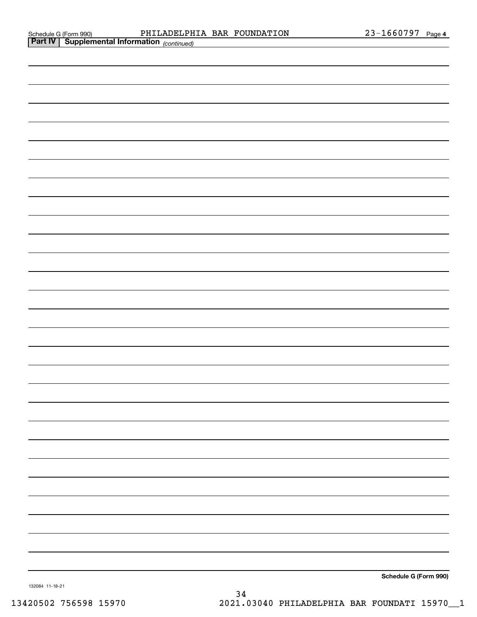| Schedule G (Form 990 |  |
|----------------------|--|
|                      |  |

| <b>Part IV   Supplemental Information</b> (continued) |
|-------------------------------------------------------|
|                                                       |
|                                                       |
|                                                       |
|                                                       |
|                                                       |
|                                                       |
|                                                       |
|                                                       |
|                                                       |
|                                                       |
|                                                       |
|                                                       |
|                                                       |
|                                                       |
|                                                       |
|                                                       |
|                                                       |
|                                                       |
|                                                       |
|                                                       |
|                                                       |
|                                                       |
|                                                       |
|                                                       |
|                                                       |
|                                                       |
|                                                       |
|                                                       |
| Schedule G (Form 990)                                 |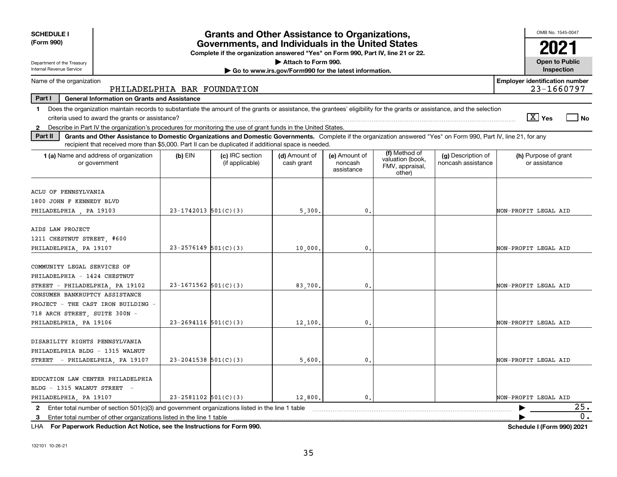| <b>SCHEDULE I</b>                                                                                                                                                                                                                                                                    |                          | <b>Grants and Other Assistance to Organizations,</b>                                                                                  |                                                       |                                        |                                                                |                                          | OMB No. 1545-0047                                   |
|--------------------------------------------------------------------------------------------------------------------------------------------------------------------------------------------------------------------------------------------------------------------------------------|--------------------------|---------------------------------------------------------------------------------------------------------------------------------------|-------------------------------------------------------|----------------------------------------|----------------------------------------------------------------|------------------------------------------|-----------------------------------------------------|
| (Form 990)                                                                                                                                                                                                                                                                           |                          | Governments, and Individuals in the United States<br>Complete if the organization answered "Yes" on Form 990, Part IV, line 21 or 22. |                                                       |                                        |                                                                |                                          | 2021                                                |
| Department of the Treasury                                                                                                                                                                                                                                                           |                          |                                                                                                                                       | Attach to Form 990.                                   |                                        |                                                                |                                          | <b>Open to Public</b>                               |
| <b>Internal Revenue Service</b>                                                                                                                                                                                                                                                      |                          |                                                                                                                                       | Go to www.irs.gov/Form990 for the latest information. |                                        |                                                                |                                          | Inspection                                          |
| Name of the organization<br>PHILADELPHIA BAR FOUNDATION                                                                                                                                                                                                                              |                          |                                                                                                                                       |                                                       |                                        |                                                                |                                          | <b>Employer identification number</b><br>23-1660797 |
| Part I<br>General Information on Grants and Assistance                                                                                                                                                                                                                               |                          |                                                                                                                                       |                                                       |                                        |                                                                |                                          |                                                     |
| Does the organization maintain records to substantiate the amount of the grants or assistance, the grantees' eligibility for the grants or assistance, and the selection<br>$\mathbf 1$                                                                                              |                          |                                                                                                                                       |                                                       |                                        |                                                                |                                          |                                                     |
|                                                                                                                                                                                                                                                                                      |                          |                                                                                                                                       |                                                       |                                        |                                                                |                                          | $\sqrt{X}$ Yes<br>$\overline{\phantom{a}}$ No       |
| 2 Describe in Part IV the organization's procedures for monitoring the use of grant funds in the United States.                                                                                                                                                                      |                          |                                                                                                                                       |                                                       |                                        |                                                                |                                          |                                                     |
| Grants and Other Assistance to Domestic Organizations and Domestic Governments. Complete if the organization answered "Yes" on Form 990, Part IV, line 21, for any<br>Part II<br>recipient that received more than \$5,000. Part II can be duplicated if additional space is needed. |                          |                                                                                                                                       |                                                       |                                        |                                                                |                                          |                                                     |
| 1 (a) Name and address of organization<br>or government                                                                                                                                                                                                                              | $(b)$ EIN                | (c) IRC section<br>(if applicable)                                                                                                    | (d) Amount of<br>cash grant                           | (e) Amount of<br>noncash<br>assistance | (f) Method of<br>valuation (book,<br>FMV, appraisal,<br>other) | (g) Description of<br>noncash assistance | (h) Purpose of grant<br>or assistance               |
| ACLU OF PENNSYLVANIA                                                                                                                                                                                                                                                                 |                          |                                                                                                                                       |                                                       |                                        |                                                                |                                          |                                                     |
| 1800 JOHN F KENNEDY BLVD                                                                                                                                                                                                                                                             |                          |                                                                                                                                       |                                                       |                                        |                                                                |                                          |                                                     |
| PHILADELPHIA, PA 19103                                                                                                                                                                                                                                                               | $23-1742013$ 501(C)(3)   |                                                                                                                                       | 5,300,                                                | $\mathbf{0}$ .                         |                                                                |                                          | NON-PROFIT LEGAL AID                                |
| AIDS LAW PROJECT<br>1211 CHESTNUT STREET #600<br>PHILADELPHIA, PA 19107                                                                                                                                                                                                              | $23 - 2576149$ 501(C)(3) |                                                                                                                                       | 10,000,                                               | $\mathbf{0}$ .                         |                                                                |                                          | NON-PROFIT LEGAL AID                                |
|                                                                                                                                                                                                                                                                                      |                          |                                                                                                                                       |                                                       |                                        |                                                                |                                          |                                                     |
| COMMUNITY LEGAL SERVICES OF<br>PHILADELPHIA - 1424 CHESTNUT<br>STREET - PHILADELPHIA, PA 19102                                                                                                                                                                                       | $23-1671562$ 501(C)(3)   |                                                                                                                                       | 83,700.                                               | 0.                                     |                                                                |                                          | NON-PROFIT LEGAL AID                                |
| CONSUMER BANKRUPTCY ASSISTANCE<br>PROJECT - THE CAST IRON BUILDING<br>718 ARCH STREET, SUITE 300N -                                                                                                                                                                                  |                          |                                                                                                                                       |                                                       |                                        |                                                                |                                          |                                                     |
| PHILADELPHIA, PA 19106                                                                                                                                                                                                                                                               | $23 - 2694116$ 501(C)(3) |                                                                                                                                       | 12,100,                                               | $\mathbf{0}$ .                         |                                                                |                                          | NON-PROFIT LEGAL AID                                |
| DISABILITY RIGHTS PENNSYLVANIA<br>PHILADELPHIA BLDG - 1315 WALNUT<br>STREET - PHILADELPHIA, PA 19107                                                                                                                                                                                 | $23 - 2041538$ 501(C)(3) |                                                                                                                                       | 5,600,                                                | 0.                                     |                                                                |                                          | NON-PROFIT LEGAL AID                                |
| EDUCATION LAW CENTER PHILADELPHIA<br>BLDG - 1315 WALNUT STREET -<br>PHILADELPHIA, PA 19107                                                                                                                                                                                           | $23 - 2581102$ 501(C)(3) |                                                                                                                                       | 12,800.                                               | 0.                                     |                                                                |                                          | NON-PROFIT LEGAL AID                                |
| Enter total number of section 501(c)(3) and government organizations listed in the line 1 table<br>$\mathbf{2}$                                                                                                                                                                      |                          |                                                                                                                                       |                                                       |                                        |                                                                |                                          | 25.                                                 |
| Enter total number of other organizations listed in the line 1 table<br>3.                                                                                                                                                                                                           |                          |                                                                                                                                       |                                                       |                                        |                                                                |                                          | 0.                                                  |

**For Paperwork Reduction Act Notice, see the Instructions for Form 990. Schedule I (Form 990) 2021** LHA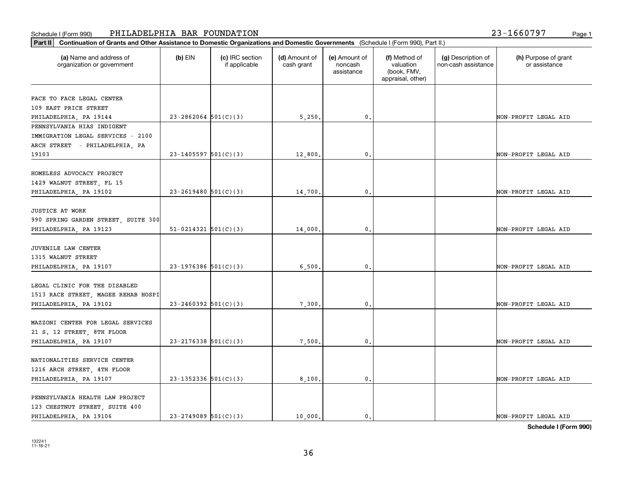#### Schedule I (Form 990) Page 1 PHILADELPHIA BAR FOUNDATION 23-1660797

| Part II   Continuation of Grants and Other Assistance to Domestic Organizations and Domestic Governments (Schedule I (Form 990), Part II.) |                            |                                  |                             |                                        |                                                                |                                           |                                       |
|--------------------------------------------------------------------------------------------------------------------------------------------|----------------------------|----------------------------------|-----------------------------|----------------------------------------|----------------------------------------------------------------|-------------------------------------------|---------------------------------------|
| (a) Name and address of<br>organization or government                                                                                      | $(b)$ EIN                  | (c) IRC section<br>if applicable | (d) Amount of<br>cash grant | (e) Amount of<br>noncash<br>assistance | (f) Method of<br>valuation<br>(book, FMV,<br>appraisal, other) | (g) Description of<br>non-cash assistance | (h) Purpose of grant<br>or assistance |
| FACE TO FACE LEGAL CENTER                                                                                                                  |                            |                                  |                             |                                        |                                                                |                                           |                                       |
| 109 EAST PRICE STREET                                                                                                                      |                            |                                  |                             |                                        |                                                                |                                           |                                       |
| PHILADELPHIA, PA 19144                                                                                                                     | $23 - 2862064$ $501(C)(3)$ |                                  | 5,250.                      | $\mathfrak{o}$ .                       |                                                                |                                           | NON-PROFIT LEGAL AID                  |
| PENNSYLVANIA HIAS INDIGENT                                                                                                                 |                            |                                  |                             |                                        |                                                                |                                           |                                       |
| IMMIGRATION LEGAL SERVICES - 2100                                                                                                          |                            |                                  |                             |                                        |                                                                |                                           |                                       |
| ARCH STREET - PHILADELPHIA, PA                                                                                                             |                            |                                  |                             |                                        |                                                                |                                           |                                       |
| 19103                                                                                                                                      | $23 - 1405597$ $501(C)(3)$ |                                  | 12,800,                     | 0.                                     |                                                                |                                           | NON-PROFIT LEGAL AID                  |
|                                                                                                                                            |                            |                                  |                             |                                        |                                                                |                                           |                                       |
| HOMELESS ADVOCACY PROJECT                                                                                                                  |                            |                                  |                             |                                        |                                                                |                                           |                                       |
| 1429 WALNUT STREET, FL 15                                                                                                                  |                            |                                  |                             |                                        |                                                                |                                           |                                       |
| PHILADELPHIA, PA 19102                                                                                                                     | $23 - 2619480$ 501(C)(3)   |                                  | 14,700.                     | $\mathbf{0}$ .                         |                                                                |                                           | NON-PROFIT LEGAL AID                  |
| <b>JUSTICE AT WORK</b>                                                                                                                     |                            |                                  |                             |                                        |                                                                |                                           |                                       |
| 990 SPRING GARDEN STREET, SUITE 300                                                                                                        |                            |                                  |                             |                                        |                                                                |                                           |                                       |
| PHILADELPHIA, PA 19123                                                                                                                     | $51-0214321$ $501(C)(3)$   |                                  | 14,000.                     | 0.                                     |                                                                |                                           | NON-PROFIT LEGAL AID                  |
|                                                                                                                                            |                            |                                  |                             |                                        |                                                                |                                           |                                       |
| <b>JUVENILE LAW CENTER</b>                                                                                                                 |                            |                                  |                             |                                        |                                                                |                                           |                                       |
| 1315 WALNUT STREET                                                                                                                         |                            |                                  |                             |                                        |                                                                |                                           |                                       |
| PHILADELPHIA, PA 19107                                                                                                                     | $23-1976386$ 501(C)(3)     |                                  | 6,500,                      | $\mathbf{0}$                           |                                                                |                                           | NON-PROFIT LEGAL AID                  |
|                                                                                                                                            |                            |                                  |                             |                                        |                                                                |                                           |                                       |
| LEGAL CLINIC FOR THE DISABLED                                                                                                              |                            |                                  |                             |                                        |                                                                |                                           |                                       |
| 1513 RACE STREET, MAGEE REHAB HOSPI                                                                                                        |                            |                                  |                             |                                        |                                                                |                                           |                                       |
| PHILADELPHIA, PA 19102                                                                                                                     | $23 - 2460392$ 501(C)(3)   |                                  | 7,300.                      | $\mathfrak{o}$ .                       |                                                                |                                           | NON-PROFIT LEGAL AID                  |
|                                                                                                                                            |                            |                                  |                             |                                        |                                                                |                                           |                                       |
| MAZZONI CENTER FOR LEGAL SERVICES                                                                                                          |                            |                                  |                             |                                        |                                                                |                                           |                                       |
| 21 S. 12 STREET, 8TH FLOOR                                                                                                                 |                            |                                  |                             |                                        |                                                                |                                           |                                       |
| PHILADELPHIA, PA 19107                                                                                                                     | $23 - 2176338$ 501(C)(3)   |                                  | 7,500,                      | $\mathfrak{o}$ .                       |                                                                |                                           | NON-PROFIT LEGAL AID                  |
|                                                                                                                                            |                            |                                  |                             |                                        |                                                                |                                           |                                       |
| NATIONALITIES SERVICE CENTER                                                                                                               |                            |                                  |                             |                                        |                                                                |                                           |                                       |
| 1216 ARCH STREET, 4TH FLOOR                                                                                                                | $23-1352336$ $501(C)(3)$   |                                  |                             | $\mathfrak o$ .                        |                                                                |                                           |                                       |
| PHILADELPHIA, PA 19107                                                                                                                     |                            |                                  | 8,100.                      |                                        |                                                                |                                           | NON-PROFIT LEGAL AID                  |
| PENNSYLVANIA HEALTH LAW PROJECT                                                                                                            |                            |                                  |                             |                                        |                                                                |                                           |                                       |
| 123 CHESTNUT STREET, SUITE 400                                                                                                             |                            |                                  |                             |                                        |                                                                |                                           |                                       |
| PHILADELPHIA, PA 19106                                                                                                                     | $23 - 2749089$ 501(C)(3)   |                                  | 10,000.                     | $\mathfrak{o}$ .                       |                                                                |                                           | NON-PROFIT LEGAL AID                  |

**Schedule I (Form 990)**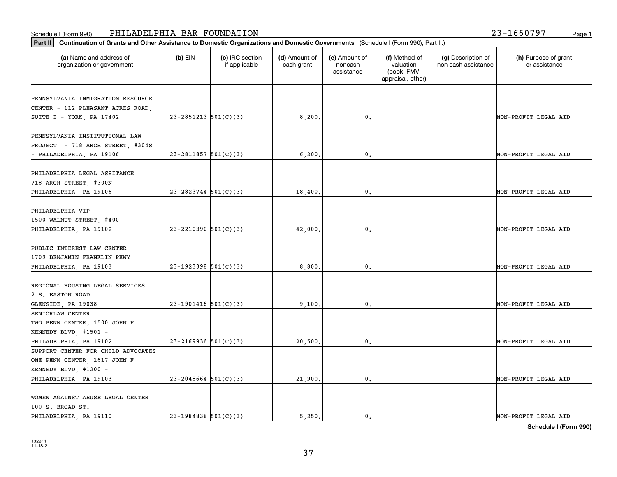#### Schedule I (Form 990) PHILADELPHIA BAR FOUNDATION 23-1660797 Page 1

| Continuation of Grants and Other Assistance to Domestic Organizations and Domestic Governments (Schedule I (Form 990), Part II.)<br>Part II |                            |                                  |                             |                                        |                                                                |                                           |                                       |  |  |  |
|---------------------------------------------------------------------------------------------------------------------------------------------|----------------------------|----------------------------------|-----------------------------|----------------------------------------|----------------------------------------------------------------|-------------------------------------------|---------------------------------------|--|--|--|
| (a) Name and address of<br>organization or government                                                                                       | $(b)$ EIN                  | (c) IRC section<br>if applicable | (d) Amount of<br>cash grant | (e) Amount of<br>noncash<br>assistance | (f) Method of<br>valuation<br>(book, FMV,<br>appraisal, other) | (g) Description of<br>non-cash assistance | (h) Purpose of grant<br>or assistance |  |  |  |
| PENNSYLVANIA IMMIGRATION RESOURCE<br>CENTER - 112 PLEASANT ACRES ROAD.<br>SUITE $I - YORK$ , PA 17402                                       | $23 - 2851213$ $501(C)(3)$ |                                  | 8,200,                      | 0.                                     |                                                                |                                           | NON-PROFIT LEGAL AID                  |  |  |  |
| PENNSYLVANIA INSTITUTIONAL LAW<br>PROJECT - 718 ARCH STREET, #304S<br>- PHILADELPHIA, PA 19106                                              | $23 - 2811857$ 501(C)(3)   |                                  | 6, 200.                     | 0.                                     |                                                                |                                           | NON-PROFIT LEGAL AID                  |  |  |  |
| PHILADELPHIA LEGAL ASSITANCE<br>718 ARCH STREET, #300N<br>PHILADELPHIA, PA 19106                                                            | $23 - 2823744$ 501(C)(3)   |                                  | 18,400.                     | 0.                                     |                                                                |                                           | NON-PROFIT LEGAL AID                  |  |  |  |
| PHILADELPHIA VIP<br>1500 WALNUT STREET, #400<br>PHILADELPHIA, PA 19102                                                                      | $23 - 2210390$ 501(C)(3)   |                                  | 42,000.                     | 0.                                     |                                                                |                                           | NON-PROFIT LEGAL AID                  |  |  |  |
| PUBLIC INTEREST LAW CENTER<br>1709 BENJAMIN FRANKLIN PKWY<br>PHILADELPHIA, PA 19103                                                         | $23-1923398$ 501(C)(3)     |                                  | 8,800,                      | 0.                                     |                                                                |                                           | NON-PROFIT LEGAL AID                  |  |  |  |
| REGIONAL HOUSING LEGAL SERVICES<br>2 S. EASTON ROAD<br>GLENSIDE, PA 19038                                                                   | $23-1901416$ 501(C)(3)     |                                  | 9,100                       | 0.                                     |                                                                |                                           | NON-PROFIT LEGAL AID                  |  |  |  |
| SENIORLAW CENTER<br>TWO PENN CENTER, 1500 JOHN F<br>KENNEDY BLVD, #1501 -<br>PHILADELPHIA, PA 19102                                         | $23 - 2169936$ 501(C)(3)   |                                  | 20,500.                     | 0.                                     |                                                                |                                           | NON-PROFIT LEGAL AID                  |  |  |  |
| SUPPORT CENTER FOR CHILD ADVOCATES<br>ONE PENN CENTER, 1617 JOHN F<br>KENNEDY BLVD, #1200 -<br>PHILADELPHIA, PA 19103                       | $23 - 2048664$ 501(C)(3)   |                                  | 21,900.                     | 0.                                     |                                                                |                                           | NON-PROFIT LEGAL AID                  |  |  |  |
| WOMEN AGAINST ABUSE LEGAL CENTER<br>100 S. BROAD ST.<br>PHILADELPHIA, PA 19110                                                              | $23-1984838$ 501(C)(3)     |                                  | 5.250.                      | $\mathfrak{o}$ .                       |                                                                |                                           | NON-PROFIT LEGAL AID                  |  |  |  |

**Schedule I (Form 990)**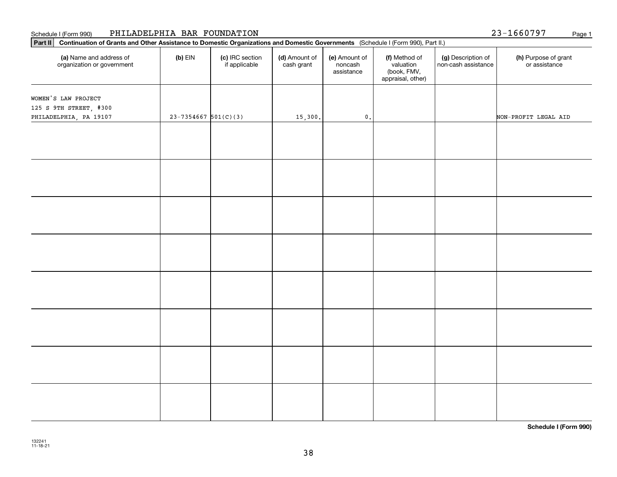#### Schedule I (Form 990) PHILADELPHIA BAR FOUNDATION 23-1660797 <sub>Page 1</sub>

**Part II Continuation of Grants and Other Assistance to Domestic Organizations and Domestic Governments**  (Schedule I (Form 990), Part II.)

| (a) Name and address of<br>organization or government                   | $(b)$ EIN                | (c) IRC section<br>(d) Amount of<br>(e) Amount of<br>if applicable<br>cash grant<br>noncash<br>valuation<br>assistance |         | (f) Method of<br>(book, FMV,<br>appraisal, other) | (g) Description of<br>non-cash assistance | (h) Purpose of grant<br>or assistance |                      |
|-------------------------------------------------------------------------|--------------------------|------------------------------------------------------------------------------------------------------------------------|---------|---------------------------------------------------|-------------------------------------------|---------------------------------------|----------------------|
| WOMEN'S LAW PROJECT<br>125 S 9TH STREET, #300<br>PHILADELPHIA, PA 19107 | $23 - 7354667$ 501(C)(3) |                                                                                                                        | 15,300. | $\mathfrak o$ .                                   |                                           |                                       | NON-PROFIT LEGAL AID |
|                                                                         |                          |                                                                                                                        |         |                                                   |                                           |                                       |                      |
|                                                                         |                          |                                                                                                                        |         |                                                   |                                           |                                       |                      |
|                                                                         |                          |                                                                                                                        |         |                                                   |                                           |                                       |                      |
|                                                                         |                          |                                                                                                                        |         |                                                   |                                           |                                       |                      |
|                                                                         |                          |                                                                                                                        |         |                                                   |                                           |                                       |                      |
|                                                                         |                          |                                                                                                                        |         |                                                   |                                           |                                       |                      |
|                                                                         |                          |                                                                                                                        |         |                                                   |                                           |                                       |                      |
|                                                                         |                          |                                                                                                                        |         |                                                   |                                           |                                       |                      |

**Schedule I (Form 990)**

23-1660797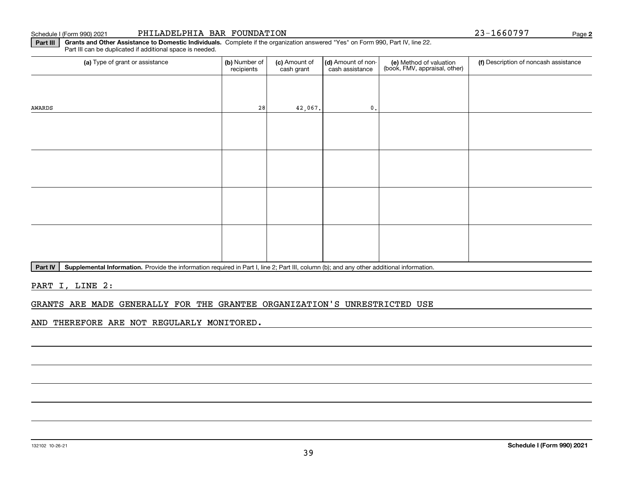#### **Part III Grants and Other Assistance to Domestic Individuals.**  Complete if the organization answered "Yes" on Form 990, Part IV, line 22. Schedule I (Form 990) 2021 PHILADELPHIA BAR FOUNDATION 2 3-1 6 6 0 7 9 7 Page

(a) Type of grant or assistance **(b)** Number of **(c)** Amount of **(d)** Amount of non-**(e)** Method of valuation (f)<br>cash are continuous cash are cash assistance (book, FMV, appraisal, other) Part III can be duplicated if additional space is needed. (a) Type of grant or assistance (b) Number of recipients(c) Amount of cash grant (d) Amount of noncash assistance (f) Description of noncash assistance AWARDSDS  $28 \mid 42,067. \mid 0.$ 

Part IV | Supplemental Information. Provide the information required in Part I, line 2; Part III, column (b); and any other additional information.

PART I, LINE 2:

### GRANTS ARE MADE GENERALLY FOR THE GRANTEE ORGANIZATION'S UNRESTRICTED USE

AND THEREFORE ARE NOT REGULARLY MONITORED.

**2**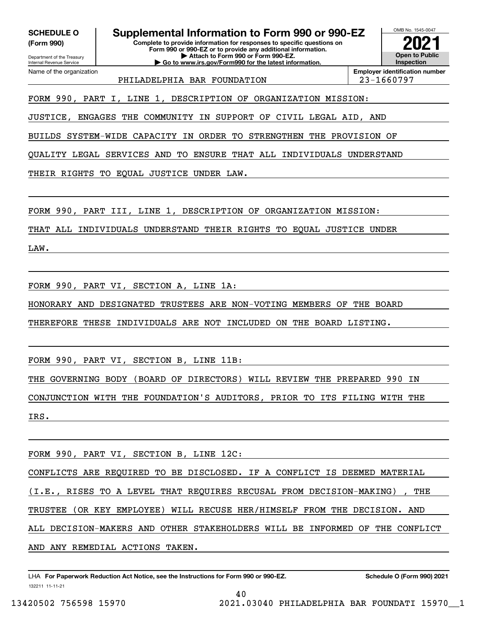**(Form 990)**

# **SCHEDULE O Supplemental Information to Form 990 or 990-EZ**

Department of the Treasury Internal Revenue Service Name of the organization

**Complete to provide information for responses to specific questions on Form 990 or 990-EZ or to provide any additional information. | Attach to Form 990 or Form 990-EZ. | Go to www.irs.gov/Form990 for the latest information.**



PHILADELPHIA BAR FOUNDATION 23-1660797

**Employer identification number**

FORM 990, PART I, LINE 1, DESCRIPTION OF ORGANIZATION MISSION:

JUSTICE, ENGAGES THE COMMUNITY IN SUPPORT OF CIVIL LEGAL AID, AND

BUILDS SYSTEM-WIDE CAPACITY IN ORDER TO STRENGTHEN THE PROVISION OF

QUALITY LEGAL SERVICES AND TO ENSURE THAT ALL INDIVIDUALS UNDERSTAND

THEIR RIGHTS TO EQUAL JUSTICE UNDER LAW.

FORM 990, PART III, LINE 1, DESCRIPTION OF ORGANIZATION MISSION:

THAT ALL INDIVIDUALS UNDERSTAND THEIR RIGHTS TO EQUAL JUSTICE UNDER

LAW.

FORM 990, PART VI, SECTION A, LINE 1A:

HONORARY AND DESIGNATED TRUSTEES ARE NON-VOTING MEMBERS OF THE BOARD

THEREFORE THESE INDIVIDUALS ARE NOT INCLUDED ON THE BOARD LISTING.

FORM 990, PART VI, SECTION B, LINE 11B:

THE GOVERNING BODY (BOARD OF DIRECTORS) WILL REVIEW THE PREPARED 990 IN

CONJUNCTION WITH THE FOUNDATION'S AUDITORS, PRIOR TO ITS FILING WITH THE

IRS.

FORM 990, PART VI, SECTION B, LINE 12C:

CONFLICTS ARE REQUIRED TO BE DISCLOSED. IF A CONFLICT IS DEEMED MATERIAL

(I.E., RISES TO A LEVEL THAT REQUIRES RECUSAL FROM DECISION-MAKING) , THE

TRUSTEE (OR KEY EMPLOYEE) WILL RECUSE HER/HIMSELF FROM THE DECISION. AND

ALL DECISION-MAKERS AND OTHER STAKEHOLDERS WILL BE INFORMED OF THE CONFLICT

40

AND ANY REMEDIAL ACTIONS TAKEN.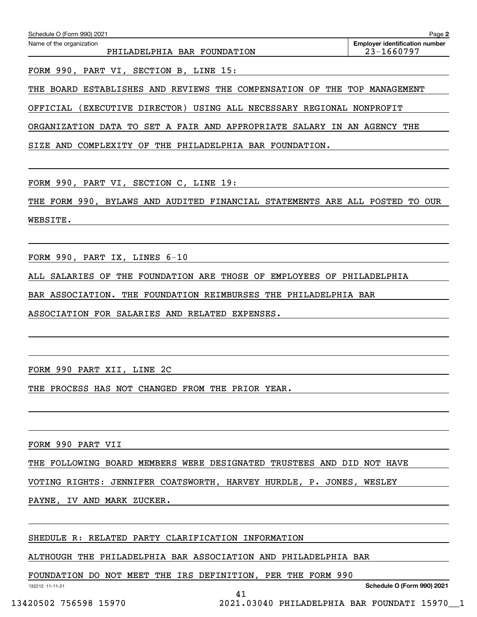FORM 990, PART VI, SECTION B, LINE 15:

THE BOARD ESTABLISHES AND REVIEWS THE COMPENSATION OF THE TOP MANAGEMENT

OFFICIAL (EXECUTIVE DIRECTOR) USING ALL NECESSARY REGIONAL NONPROFIT

ORGANIZATION DATA TO SET A FAIR AND APPROPRIATE SALARY IN AN AGENCY THE

SIZE AND COMPLEXITY OF THE PHILADELPHIA BAR FOUNDATION.

FORM 990, PART VI, SECTION C, LINE 19:

THE FORM 990, BYLAWS AND AUDITED FINANCIAL STATEMENTS ARE ALL POSTED TO OUR WEBSITE.

FORM 990, PART IX, LINES 6-10

ALL SALARIES OF THE FOUNDATION ARE THOSE OF EMPLOYEES OF PHILADELPHIA

BAR ASSOCIATION. THE FOUNDATION REIMBURSES THE PHILADELPHIA BAR

ASSOCIATION FOR SALARIES AND RELATED EXPENSES.

FORM 990 PART XII, LINE 2C

THE PROCESS HAS NOT CHANGED FROM THE PRIOR YEAR.

FORM 990 PART VII

THE FOLLOWING BOARD MEMBERS WERE DESIGNATED TRUSTEES AND DID NOT HAVE

VOTING RIGHTS: JENNIFER COATSWORTH, HARVEY HURDLE, P. JONES, WESLEY

PAYNE, IV AND MARK ZUCKER.

#### SHEDULE R: RELATED PARTY CLARIFICATION INFORMATION

ALTHOUGH THE PHILADELPHIA BAR ASSOCIATION AND PHILADELPHIA BAR

FOUNDATION DO NOT MEET THE IRS DEFINITION, PER THE FORM 990

132212 11-11-21

41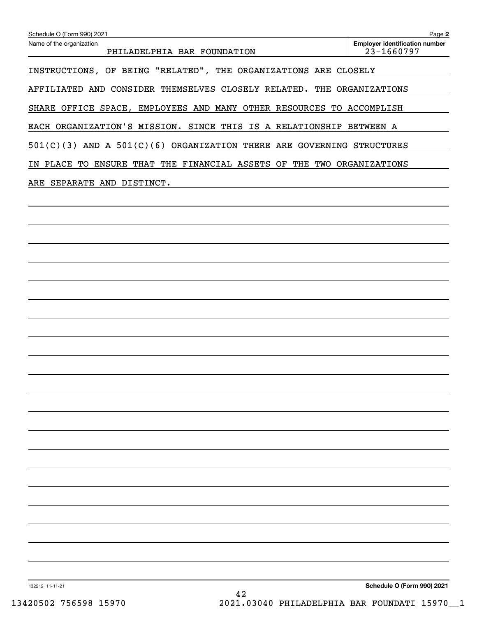| Schedule O (Form 990) 2021<br>Name of the organization |                                                                           |    | Page 2<br><b>Employer identification number</b> |
|--------------------------------------------------------|---------------------------------------------------------------------------|----|-------------------------------------------------|
|                                                        | PHILADELPHIA BAR FOUNDATION                                               |    | 23-1660797                                      |
|                                                        | INSTRUCTIONS, OF BEING "RELATED", THE ORGANIZATIONS ARE CLOSELY           |    |                                                 |
|                                                        | AFFILIATED AND CONSIDER THEMSELVES CLOSELY RELATED. THE ORGANIZATIONS     |    |                                                 |
|                                                        | SHARE OFFICE SPACE, EMPLOYEES AND MANY OTHER RESOURCES TO ACCOMPLISH      |    |                                                 |
|                                                        | EACH ORGANIZATION'S MISSION. SINCE THIS IS A RELATIONSHIP BETWEEN A       |    |                                                 |
|                                                        | $501(C)(3)$ AND A $501(C)(6)$ ORGANIZATION THERE ARE GOVERNING STRUCTURES |    |                                                 |
|                                                        | IN PLACE TO ENSURE THAT THE FINANCIAL ASSETS OF THE TWO ORGANIZATIONS     |    |                                                 |
|                                                        | ARE SEPARATE AND DISTINCT.                                                |    |                                                 |
|                                                        |                                                                           |    |                                                 |
|                                                        |                                                                           |    |                                                 |
|                                                        |                                                                           |    |                                                 |
|                                                        |                                                                           |    |                                                 |
|                                                        |                                                                           |    |                                                 |
|                                                        |                                                                           |    |                                                 |
|                                                        |                                                                           |    |                                                 |
|                                                        |                                                                           |    |                                                 |
|                                                        |                                                                           |    |                                                 |
|                                                        |                                                                           |    |                                                 |
|                                                        |                                                                           |    |                                                 |
|                                                        |                                                                           |    |                                                 |
|                                                        |                                                                           |    |                                                 |
|                                                        |                                                                           |    |                                                 |
|                                                        |                                                                           |    |                                                 |
|                                                        |                                                                           |    |                                                 |
|                                                        |                                                                           |    |                                                 |
|                                                        |                                                                           |    |                                                 |
|                                                        |                                                                           |    |                                                 |
|                                                        |                                                                           |    |                                                 |
|                                                        |                                                                           |    |                                                 |
| 132212 11-11-21                                        |                                                                           | 42 | Schedule O (Form 990) 2021                      |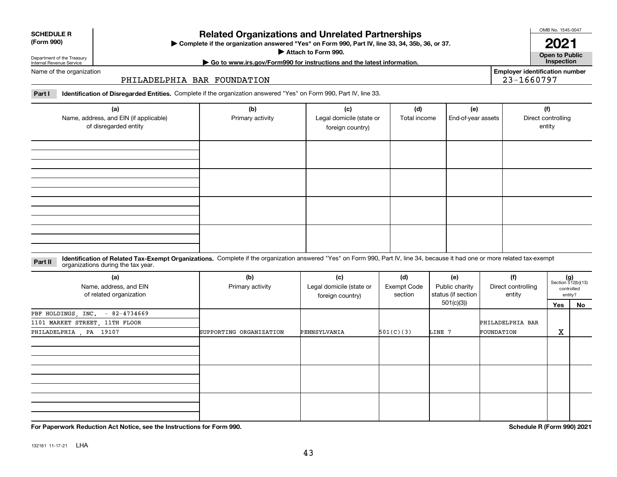| <b>SCHEDULE R</b>            |  |
|------------------------------|--|
| $(T_{\text{max}} \cap \cap)$ |  |

#### **(Form 990)**

### **Related Organizations and Unrelated Partnerships**

**Complete if the organization answered "Yes" on Form 990, Part IV, line 33, 34, 35b, 36, or 37.** |

**Attach to Form 990.**  |

OMB No. 1545-0047

**Open to Public 2021**

**Employer identification number**

23-1660797

Department of the Treasury Internal Revenue Service

### **| Go to www.irs.gov/Form990 for instructions and the latest information. Inspection**

Name of the organization

#### PHILADELPHIA BAR FOUNDATION

**Part I Identification of Disregarded Entities.**  Complete if the organization answered "Yes" on Form 990, Part IV, line 33.

| (a)<br>Name, address, and EIN (if applicable)<br>of disregarded entity | (b)<br>Primary activity | (c)<br>Legal domicile (state or<br>foreign country) | (d)<br>Total income | (e)<br>End-of-year assets | (f)<br>Direct controlling<br>entity |
|------------------------------------------------------------------------|-------------------------|-----------------------------------------------------|---------------------|---------------------------|-------------------------------------|
|                                                                        |                         |                                                     |                     |                           |                                     |
|                                                                        |                         |                                                     |                     |                           |                                     |
|                                                                        |                         |                                                     |                     |                           |                                     |
|                                                                        |                         |                                                     |                     |                           |                                     |

#### **Identification of Related Tax-Exempt Organizations.** Complete if the organization answered "Yes" on Form 990, Part IV, line 34, because it had one or more related tax-exempt **Part II** organizations during the tax year.

| (a)<br>Name, address, and EIN<br>of related organization | (b)<br>Primary activity | (c)<br>Legal domicile (state or<br>foreign country) | (d)<br><b>Exempt Code</b><br>section | (e)<br>Public charity<br>status (if section | (f)<br>Direct controlling<br>entity |     | $(g)$<br>Section 512(b)(13)<br>controlled<br>entity? |
|----------------------------------------------------------|-------------------------|-----------------------------------------------------|--------------------------------------|---------------------------------------------|-------------------------------------|-----|------------------------------------------------------|
|                                                          |                         |                                                     |                                      | 501(c)(3))                                  |                                     | Yes | No                                                   |
| PBF HOLDINGS, INC. - 82-4734669                          |                         |                                                     |                                      |                                             |                                     |     |                                                      |
| 1101 MARKET STREET, 11TH FLOOR                           |                         |                                                     |                                      |                                             | PHILADELPHIA BAR                    |     |                                                      |
| PHILADELPHIA, PA 19107                                   | SUPPORTING ORGANIZATION | PENNSYLVANIA                                        | 501(C)(3)                            | LINE 7                                      | FOUNDATION                          | X   |                                                      |
|                                                          |                         |                                                     |                                      |                                             |                                     |     |                                                      |
|                                                          |                         |                                                     |                                      |                                             |                                     |     |                                                      |
|                                                          |                         |                                                     |                                      |                                             |                                     |     |                                                      |

**For Paperwork Reduction Act Notice, see the Instructions for Form 990. Schedule R (Form 990) 2021**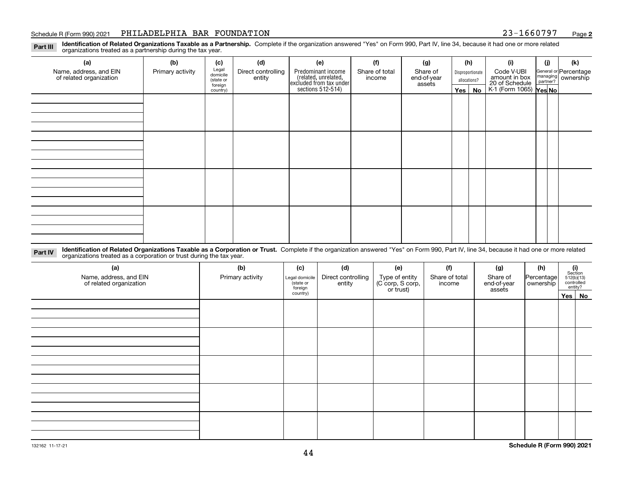#### Schedule R (Form 990) 2021 Page PHILADELPHIA BAR FOUNDATION 23-1660797

**2**

**Identification of Related Organizations Taxable as a Partnership.** Complete if the organization answered "Yes" on Form 990, Part IV, line 34, because it had one or more related **Part III** organizations treated as a partnership during the tax year.

| (a)                                               | (b)              | (c)                  | (d)                          | (e)                                                                  | (f)                      | (g)                     |              | (h)              | (i)                                                       | (i) | (k)                                                       |
|---------------------------------------------------|------------------|----------------------|------------------------------|----------------------------------------------------------------------|--------------------------|-------------------------|--------------|------------------|-----------------------------------------------------------|-----|-----------------------------------------------------------|
| Name, address, and EIN<br>of related organization | Primary activity | Legal<br>domicile    | Direct controlling<br>entity | Predominant income                                                   | Share of total<br>income | Share of<br>end-of-year |              | Disproportionate | Code V-UBI                                                |     | General or Percentage<br>managing<br>partner?<br>partner? |
|                                                   |                  | (state or<br>foreign |                              |                                                                      |                          | assets                  | allocations? |                  |                                                           |     |                                                           |
|                                                   |                  | country)             |                              | (related, unrelated,<br>excluded from tax under<br>sections 512-514) |                          |                         | Yes $ $      | No               | amount in box<br>20 of Schedule<br>K-1 (Form 1065) Yes No |     |                                                           |
|                                                   |                  |                      |                              |                                                                      |                          |                         |              |                  |                                                           |     |                                                           |
|                                                   |                  |                      |                              |                                                                      |                          |                         |              |                  |                                                           |     |                                                           |
|                                                   |                  |                      |                              |                                                                      |                          |                         |              |                  |                                                           |     |                                                           |
|                                                   |                  |                      |                              |                                                                      |                          |                         |              |                  |                                                           |     |                                                           |
|                                                   |                  |                      |                              |                                                                      |                          |                         |              |                  |                                                           |     |                                                           |
|                                                   |                  |                      |                              |                                                                      |                          |                         |              |                  |                                                           |     |                                                           |
|                                                   |                  |                      |                              |                                                                      |                          |                         |              |                  |                                                           |     |                                                           |
|                                                   |                  |                      |                              |                                                                      |                          |                         |              |                  |                                                           |     |                                                           |
|                                                   |                  |                      |                              |                                                                      |                          |                         |              |                  |                                                           |     |                                                           |
|                                                   |                  |                      |                              |                                                                      |                          |                         |              |                  |                                                           |     |                                                           |
|                                                   |                  |                      |                              |                                                                      |                          |                         |              |                  |                                                           |     |                                                           |
|                                                   |                  |                      |                              |                                                                      |                          |                         |              |                  |                                                           |     |                                                           |
|                                                   |                  |                      |                              |                                                                      |                          |                         |              |                  |                                                           |     |                                                           |
|                                                   |                  |                      |                              |                                                                      |                          |                         |              |                  |                                                           |     |                                                           |
|                                                   |                  |                      |                              |                                                                      |                          |                         |              |                  |                                                           |     |                                                           |
|                                                   |                  |                      |                              |                                                                      |                          |                         |              |                  |                                                           |     |                                                           |
|                                                   |                  |                      |                              |                                                                      |                          |                         |              |                  |                                                           |     |                                                           |

**Identification of Related Organizations Taxable as a Corporation or Trust.** Complete if the organization answered "Yes" on Form 990, Part IV, line 34, because it had one or more related **Part IV** organizations treated as a corporation or trust during the tax year.

| (a)<br>Name, address, and EIN<br>of related organization | (b)<br>Primary activity | (c)<br>Legal domicile<br>(state or<br>foreign | (d)<br>Direct controlling<br>entity | (e)<br>Type of entity<br>(C corp, S corp,<br>or trust) | (f)<br>Share of total<br>income | (g)<br>Share of<br>end-of-year<br>assets | (h)<br>Percentage<br>ownership |  | (i)<br>Section<br>512(b)(13)<br>controlled<br>entity? |
|----------------------------------------------------------|-------------------------|-----------------------------------------------|-------------------------------------|--------------------------------------------------------|---------------------------------|------------------------------------------|--------------------------------|--|-------------------------------------------------------|
|                                                          |                         | country)                                      |                                     |                                                        |                                 |                                          |                                |  | Yes No                                                |
|                                                          |                         |                                               |                                     |                                                        |                                 |                                          |                                |  |                                                       |
|                                                          |                         |                                               |                                     |                                                        |                                 |                                          |                                |  |                                                       |
|                                                          |                         |                                               |                                     |                                                        |                                 |                                          |                                |  |                                                       |
|                                                          |                         |                                               |                                     |                                                        |                                 |                                          |                                |  |                                                       |
|                                                          |                         |                                               |                                     |                                                        |                                 |                                          |                                |  |                                                       |
|                                                          |                         |                                               |                                     |                                                        |                                 |                                          |                                |  |                                                       |
|                                                          |                         |                                               |                                     |                                                        |                                 |                                          |                                |  |                                                       |
|                                                          |                         |                                               |                                     |                                                        |                                 |                                          |                                |  |                                                       |
|                                                          |                         |                                               |                                     |                                                        |                                 |                                          |                                |  |                                                       |
|                                                          |                         |                                               |                                     |                                                        |                                 |                                          |                                |  |                                                       |
|                                                          |                         |                                               |                                     |                                                        |                                 |                                          |                                |  |                                                       |
|                                                          |                         |                                               |                                     |                                                        |                                 |                                          |                                |  |                                                       |
|                                                          |                         |                                               |                                     |                                                        |                                 |                                          |                                |  |                                                       |
|                                                          |                         |                                               |                                     |                                                        |                                 |                                          |                                |  |                                                       |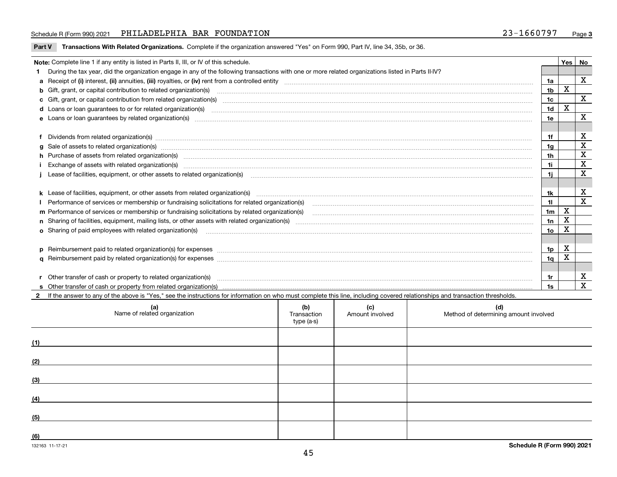#### Schedule R (Form 990) 2021 Page PHILADELPHIA BAR FOUNDATION 23-1660797

| Part V Transactions With Related Organizations. Complete if the organization answered "Yes" on Form 990, Part IV, line 34, 35b, or 36. |  |
|----------------------------------------------------------------------------------------------------------------------------------------|--|
|                                                                                                                                        |  |

|    | Note: Complete line 1 if any entity is listed in Parts II, III, or IV of this schedule.                                                                                                                                        |                 | <b>Yes</b> | No                      |
|----|--------------------------------------------------------------------------------------------------------------------------------------------------------------------------------------------------------------------------------|-----------------|------------|-------------------------|
| 1. | During the tax year, did the organization engage in any of the following transactions with one or more related organizations listed in Parts II-IV?                                                                            |                 |            |                         |
|    |                                                                                                                                                                                                                                | 1a              |            | $\overline{\mathbf{x}}$ |
|    | b Gift, grant, or capital contribution to related organization(s) manufactured and contribution to related organization(s)                                                                                                     | 1 <sub>b</sub>  | X          |                         |
|    | c Gift, grant, or capital contribution from related organization(s) material content and contribution from related organization(s) material content and content and contribution from related organization(s) material content | 1 <sub>c</sub>  |            | $\mathbf X$             |
|    |                                                                                                                                                                                                                                | 1 <sub>d</sub>  | X          |                         |
|    |                                                                                                                                                                                                                                | 1e              |            | $\mathbf{x}$            |
|    |                                                                                                                                                                                                                                |                 |            |                         |
|    | Dividends from related organization(s) material contents and content and content of the content of the content of the content of the content of the content of the content of the content of the content of the content of the | 1f              |            | X                       |
|    |                                                                                                                                                                                                                                | 1g              |            | х                       |
|    | h Purchase of assets from related organization(s) manufactured and content to content the content of assets from related organization(s)                                                                                       | 1h              |            | $\mathbf X$             |
|    | Exchange of assets with related organization(s) www.wallen.com/www.wallen.com/www.wallen.com/www.wallen.com/www.wallen.com/www.wallen.com/www.wallen.com/www.wallen.com/www.wallen.com/www.wallen.com/www.wallen.com/www.walle | 11              |            | X                       |
|    | Lease of facilities, equipment, or other assets to related organization(s) manufactured content and content and content and content and content and content and content and content and content and content and content and co | 1i.             |            | X                       |
|    |                                                                                                                                                                                                                                |                 |            |                         |
|    |                                                                                                                                                                                                                                | 1k              |            | X                       |
|    | Performance of services or membership or fundraising solicitations for related organization(s) [10] process content to the services or membership or fundraising solicitations for related organization(s) [10] process conten | 11              |            | X                       |
|    | m Performance of services or membership or fundraising solicitations by related organization(s)                                                                                                                                | 1 <sub>m</sub>  | X          |                         |
|    |                                                                                                                                                                                                                                | 1n              | X          |                         |
|    | <b>o</b> Sharing of paid employees with related organization(s)                                                                                                                                                                | 10 <sub>o</sub> | x          |                         |
|    |                                                                                                                                                                                                                                |                 |            |                         |
|    | p Reimbursement paid to related organization(s) for expenses [11111] and the content of the content of the content of the content of the content of the content of the content of the content of the content of the content of | 1p              | X          |                         |
|    |                                                                                                                                                                                                                                | 1 <sub>q</sub>  | X          |                         |
|    |                                                                                                                                                                                                                                |                 |            |                         |
|    | Other transfer of cash or property to related organization(s)                                                                                                                                                                  | 1r              |            | X                       |
|    |                                                                                                                                                                                                                                | 1s              |            | X                       |
|    | 2 If the answer to any of the above is "Yes," see the instructions for information on who must complete this line, including covered relationships and transaction thresholds.                                                 |                 |            |                         |

| (a)<br>Name of related organization | (b)<br>Transaction<br>type (a-s) | (c)<br>Amount involved | (d)<br>Method of determining amount involved |
|-------------------------------------|----------------------------------|------------------------|----------------------------------------------|
| (1)                                 |                                  |                        |                                              |
| (2)                                 |                                  |                        |                                              |
| (3)                                 |                                  |                        |                                              |
| (4)                                 |                                  |                        |                                              |
| (5)                                 |                                  |                        |                                              |
| (6)                                 |                                  |                        | --------                                     |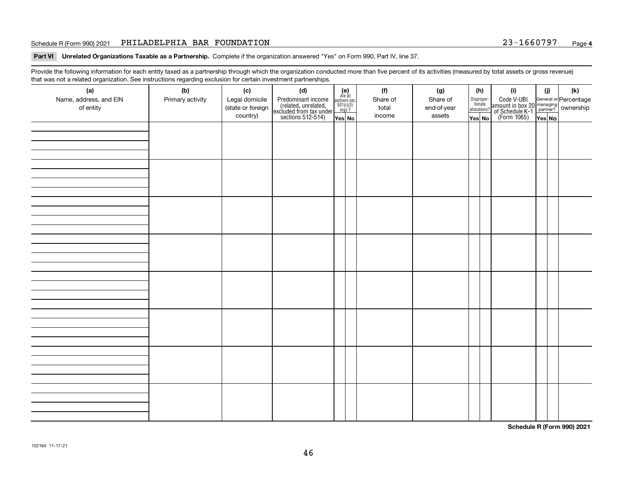#### Schedule R (Form 990) 2021 Page PHILADELPHIA BAR FOUNDATION 23-1660797

**Part VI Unrelated Organizations Taxable as a Partnership. Complete if the organization answered "Yes" on Form 990, Part IV, line 37.** 

Provide the following information for each entity taxed as a partnership through which the organization conducted more than five percent of its activities (measured by total assets or gross revenue) that was not a related organization. See instructions regarding exclusion for certain investment partnerships.

| - - - - -<br>(a)<br>Name, address, and EIN<br>of entity | ----- <del>-</del> -------<br>(b)<br>Primary activity | (c)<br>Legal domicile<br>(state or foreign<br>country) | (d)<br>Predominant income<br>(related, unrelated,<br>excluded from tax under<br>sections 512-514) | (e)<br>Are all<br>partners sec.<br>$501(c)(3)$<br>orgs.?<br>Yes No | (f)<br>Share of<br>total<br>income | (g)<br>Share of<br>end-of-year<br>assets | allocations? | (h)<br>Dispropor-<br>tionate<br>Yes No | (i)<br>Code V-UBI<br>amount in box 20 managing<br>of Schedule K-1<br>(Form 1065)<br>$\overline{Yes}$ No | (i)<br>Yes No | (k) |
|---------------------------------------------------------|-------------------------------------------------------|--------------------------------------------------------|---------------------------------------------------------------------------------------------------|--------------------------------------------------------------------|------------------------------------|------------------------------------------|--------------|----------------------------------------|---------------------------------------------------------------------------------------------------------|---------------|-----|
|                                                         |                                                       |                                                        |                                                                                                   |                                                                    |                                    |                                          |              |                                        |                                                                                                         |               |     |
|                                                         |                                                       |                                                        |                                                                                                   |                                                                    |                                    |                                          |              |                                        |                                                                                                         |               |     |
|                                                         |                                                       |                                                        |                                                                                                   |                                                                    |                                    |                                          |              |                                        |                                                                                                         |               |     |
|                                                         |                                                       |                                                        |                                                                                                   |                                                                    |                                    |                                          |              |                                        |                                                                                                         |               |     |
|                                                         |                                                       |                                                        |                                                                                                   |                                                                    |                                    |                                          |              |                                        |                                                                                                         |               |     |
|                                                         |                                                       |                                                        |                                                                                                   |                                                                    |                                    |                                          |              |                                        |                                                                                                         |               |     |
|                                                         |                                                       |                                                        |                                                                                                   |                                                                    |                                    |                                          |              |                                        |                                                                                                         |               |     |
|                                                         |                                                       |                                                        |                                                                                                   |                                                                    |                                    |                                          |              |                                        |                                                                                                         |               |     |

**Schedule R (Form 990) 2021**